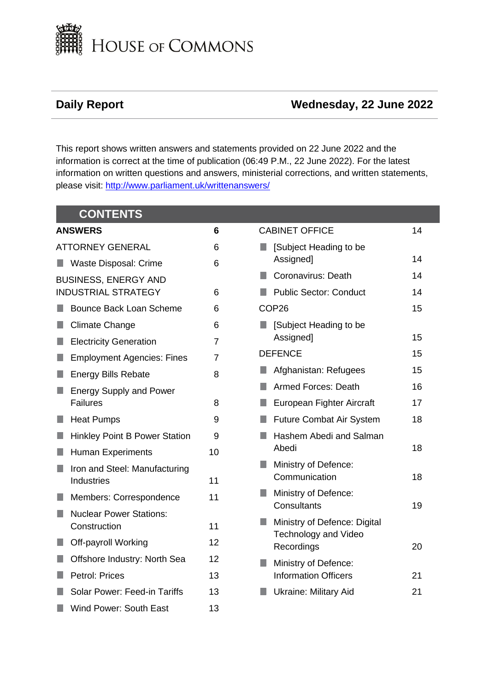

# **Daily Report Wednesday, 22 June 2022**

This report shows written answers and statements provided on 22 June 2022 and the information is correct at the time of publication (06:49 P.M., 22 June 2022). For the latest information on written questions and answers, ministerial corrections, and written statements, please visit: [http://www.parliament.uk/writtenanswers/](http://www.parliament.uk/writtenanswers)

|                         | <b>CONTENTS</b>                                |                |                                                             |    |
|-------------------------|------------------------------------------------|----------------|-------------------------------------------------------------|----|
|                         | <b>ANSWERS</b>                                 |                | <b>CABINET OFFICE</b>                                       | 14 |
| <b>ATTORNEY GENERAL</b> |                                                | 6              | [Subject Heading to be<br>H.                                |    |
|                         | Waste Disposal: Crime                          | 6              | Assigned]                                                   | 14 |
|                         | <b>BUSINESS, ENERGY AND</b>                    |                | Coronavirus: Death<br>H.                                    | 14 |
|                         | <b>INDUSTRIAL STRATEGY</b>                     | 6              | <b>Public Sector: Conduct</b>                               | 14 |
|                         | <b>Bounce Back Loan Scheme</b>                 | 6              | COP <sub>26</sub>                                           | 15 |
|                         | <b>Climate Change</b>                          | 6              | [Subject Heading to be<br>H.                                |    |
|                         | <b>Electricity Generation</b>                  | $\overline{7}$ | Assigned]                                                   | 15 |
|                         | <b>Employment Agencies: Fines</b>              | $\overline{7}$ | <b>DEFENCE</b>                                              | 15 |
|                         | <b>Energy Bills Rebate</b>                     | 8              | Afghanistan: Refugees                                       | 15 |
|                         | <b>Energy Supply and Power</b>                 |                | <b>Armed Forces: Death</b>                                  | 16 |
|                         | <b>Failures</b>                                | 8              | European Fighter Aircraft                                   | 17 |
|                         | <b>Heat Pumps</b>                              | 9              | <b>Future Combat Air System</b>                             | 18 |
|                         | <b>Hinkley Point B Power Station</b>           | 9              | Hashem Abedi and Salman<br>٠                                |    |
|                         | <b>Human Experiments</b>                       | 10             | Abedi                                                       | 18 |
|                         | Iron and Steel: Manufacturing                  |                | Ministry of Defence:<br>Communication                       | 18 |
|                         | <b>Industries</b>                              | 11             | Ministry of Defence:                                        |    |
|                         | Members: Correspondence                        | 11             | Consultants                                                 | 19 |
|                         | <b>Nuclear Power Stations:</b><br>Construction | 11             | Ministry of Defence: Digital<br><b>Technology and Video</b> |    |
|                         | Off-payroll Working                            | 12             | Recordings                                                  | 20 |
|                         | Offshore Industry: North Sea                   | 12             | Ministry of Defence:<br>I.                                  |    |
|                         | <b>Petrol: Prices</b>                          | 13             | <b>Information Officers</b>                                 | 21 |
|                         | Solar Power: Feed-in Tariffs                   | 13             | <b>Ukraine: Military Aid</b>                                | 21 |
|                         | Wind Power: South East                         | 13             |                                                             |    |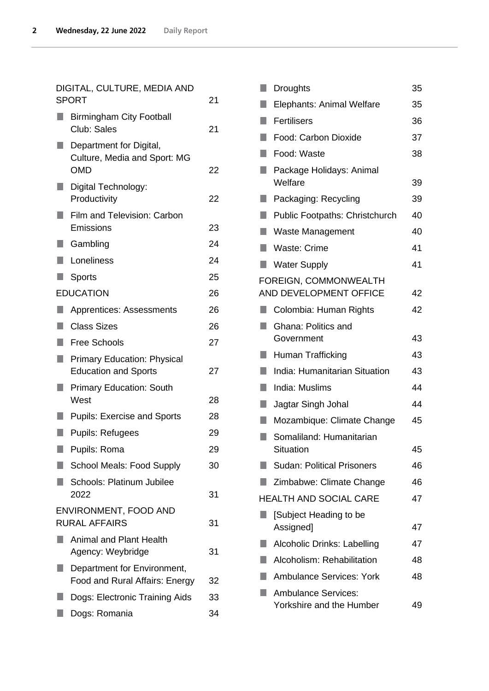| DIGITAL, CULTURE, MEDIA AND<br><b>SPORT</b>                           | 21 |
|-----------------------------------------------------------------------|----|
| <b>Birmingham City Football</b><br>Club: Sales                        | 21 |
| Department for Digital,<br>Culture, Media and Sport: MG<br><b>OMD</b> | 22 |
| Digital Technology:<br>Productivity                                   | 22 |
| Film and Television: Carbon<br>Emissions                              | 23 |
| Gambling                                                              | 24 |
| Loneliness                                                            | 24 |
| Sports                                                                | 25 |
| <b>EDUCATION</b>                                                      | 26 |
| <b>Apprentices: Assessments</b>                                       | 26 |
| <b>Class Sizes</b>                                                    | 26 |
| <b>Free Schools</b>                                                   | 27 |
| <b>Primary Education: Physical</b><br><b>Education and Sports</b>     | 27 |
| <b>Primary Education: South</b><br>West                               | 28 |
| <b>Pupils: Exercise and Sports</b>                                    | 28 |
| <b>Pupils: Refugees</b>                                               | 29 |
| Pupils: Roma                                                          | 29 |
| <b>School Meals: Food Supply</b>                                      | 30 |
| Schools: Platinum Jubilee<br>2022                                     | 31 |
| ENVIRONMENT, FOOD AND<br><b>RURAL AFFAIRS</b>                         | 31 |
| <b>Animal and Plant Health</b><br>Agency: Weybridge                   | 31 |
| Department for Environment,<br>Food and Rural Affairs: Energy         | 32 |
| Dogs: Electronic Training Aids                                        | 33 |

**[Dogs: Romania](#page-33-0)** [34](#page-33-0)

|    | <b>Droughts</b>                                        | 35 |
|----|--------------------------------------------------------|----|
|    | Elephants: Animal Welfare                              | 35 |
| ٠  | Fertilisers                                            | 36 |
|    | Food: Carbon Dioxide                                   | 37 |
|    | Food: Waste                                            | 38 |
| ×. | Package Holidays: Animal<br>Welfare                    | 39 |
|    | Packaging: Recycling                                   | 39 |
| H. | <b>Public Footpaths: Christchurch</b>                  | 40 |
| n  | Waste Management                                       | 40 |
|    | <b>Waste: Crime</b>                                    | 41 |
|    | <b>Water Supply</b>                                    | 41 |
|    | FOREIGN, COMMONWEALTH<br>AND DEVELOPMENT OFFICE        | 42 |
| H. | Colombia: Human Rights                                 | 42 |
|    | Ghana: Politics and<br>Government                      | 43 |
| n  | Human Trafficking                                      | 43 |
| ٠  | <b>India: Humanitarian Situation</b>                   | 43 |
| ٠  | India: Muslims                                         | 44 |
| H. | Jagtar Singh Johal                                     | 44 |
| ×. | Mozambique: Climate Change                             | 45 |
|    | Somaliland: Humanitarian<br>Situation                  | 45 |
|    | <b>Sudan: Political Prisoners</b>                      | 46 |
|    | Zimbabwe: Climate Change                               | 46 |
|    | <b>HEALTH AND SOCIAL CARE</b>                          | 47 |
|    | [Subject Heading to be<br>Assigned]                    | 47 |
| ٠  | Alcoholic Drinks: Labelling                            | 47 |
|    | Alcoholism: Rehabilitation                             | 48 |
|    | <b>Ambulance Services: York</b>                        | 48 |
|    | <b>Ambulance Services:</b><br>Yorkshire and the Humber | 49 |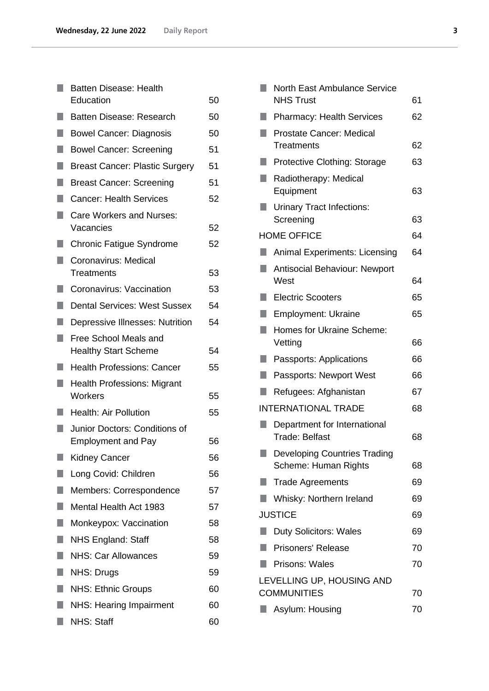|    | <b>Batten Disease: Health</b>                              |    |
|----|------------------------------------------------------------|----|
|    | Education                                                  | 50 |
|    | Batten Disease: Research                                   | 50 |
|    | <b>Bowel Cancer: Diagnosis</b>                             | 50 |
|    | <b>Bowel Cancer: Screening</b>                             | 51 |
|    | <b>Breast Cancer: Plastic Surgery</b>                      | 51 |
|    | <b>Breast Cancer: Screening</b>                            | 51 |
|    | <b>Cancer: Health Services</b>                             | 52 |
| ×. | Care Workers and Nurses:<br>Vacancies                      | 52 |
|    | <b>Chronic Fatigue Syndrome</b>                            | 52 |
|    | Coronavirus: Medical<br><b>Treatments</b>                  | 53 |
|    | Coronavirus: Vaccination                                   | 53 |
|    | <b>Dental Services: West Sussex</b>                        | 54 |
|    | Depressive Illnesses: Nutrition                            | 54 |
| ×. | <b>Free School Meals and</b>                               |    |
|    | <b>Healthy Start Scheme</b>                                | 54 |
|    | <b>Health Professions: Cancer</b>                          | 55 |
|    | <b>Health Professions: Migrant</b><br>Workers              | 55 |
|    | <b>Health: Air Pollution</b>                               | 55 |
|    | Junior Doctors: Conditions of<br><b>Employment and Pay</b> | 56 |
|    | <b>Kidney Cancer</b>                                       | 56 |
|    | Long Covid: Children                                       | 56 |
| ٠  | Members: Correspondence                                    | 57 |
|    | Mental Health Act 1983                                     | 57 |
| H. | Monkeypox: Vaccination                                     | 58 |
| ۸  | <b>NHS England: Staff</b>                                  | 58 |
| п  | <b>NHS: Car Allowances</b>                                 | 59 |
| H. | <b>NHS: Drugs</b>                                          | 59 |
| ٠  | <b>NHS: Ethnic Groups</b>                                  | 60 |
|    | NHS: Hearing Impairment                                    | 60 |
| n  | <b>NHS: Staff</b>                                          | 60 |

|                                                                                                                      | North East Ambulance Service          |    |
|----------------------------------------------------------------------------------------------------------------------|---------------------------------------|----|
|                                                                                                                      | <b>NHS Trust</b>                      | 61 |
|                                                                                                                      | <b>Pharmacy: Health Services</b>      | 62 |
|                                                                                                                      | <b>Prostate Cancer: Medical</b>       |    |
|                                                                                                                      | <b>Treatments</b>                     | 62 |
|                                                                                                                      | <b>Protective Clothing: Storage</b>   | 63 |
|                                                                                                                      | Radiotherapy: Medical                 |    |
|                                                                                                                      | Equipment                             | 63 |
|                                                                                                                      | <b>Urinary Tract Infections:</b>      |    |
|                                                                                                                      | Screening                             | 63 |
|                                                                                                                      | <b>HOME OFFICE</b>                    | 64 |
|                                                                                                                      | <b>Animal Experiments: Licensing</b>  | 64 |
|                                                                                                                      | Antisocial Behaviour: Newport<br>West | 64 |
|                                                                                                                      | <b>Electric Scooters</b>              | 65 |
| H                                                                                                                    | <b>Employment: Ukraine</b>            | 65 |
| <b>STATE OF A STATE OF A STATE OF A STATE OF A STATE OF A STATE OF A STATE OF A STATE OF A STATE OF A STATE OF A</b> | Homes for Ukraine Scheme:             |    |
|                                                                                                                      | Vetting                               | 66 |
|                                                                                                                      | Passports: Applications               | 66 |
| H                                                                                                                    | Passports: Newport West               | 66 |
|                                                                                                                      | Refugees: Afghanistan                 | 67 |
|                                                                                                                      | <b>INTERNATIONAL TRADE</b>            | 68 |
|                                                                                                                      | Department for International          |    |
|                                                                                                                      | <b>Trade: Belfast</b>                 | 68 |
|                                                                                                                      | <b>Developing Countries Trading</b>   |    |
|                                                                                                                      | Scheme: Human Rights                  | 68 |
|                                                                                                                      | <b>Trade Agreements</b>               | 69 |
| D,                                                                                                                   | Whisky: Northern Ireland              | 69 |
|                                                                                                                      | <b>JUSTICE</b>                        | 69 |
| п                                                                                                                    | <b>Duty Solicitors: Wales</b>         | 69 |
| n                                                                                                                    | <b>Prisoners' Release</b>             | 70 |
|                                                                                                                      | Prisons: Wales                        | 70 |
|                                                                                                                      | LEVELLING UP, HOUSING AND             |    |
|                                                                                                                      | <b>COMMUNITIES</b>                    | 70 |
|                                                                                                                      | Asylum: Housing                       | 70 |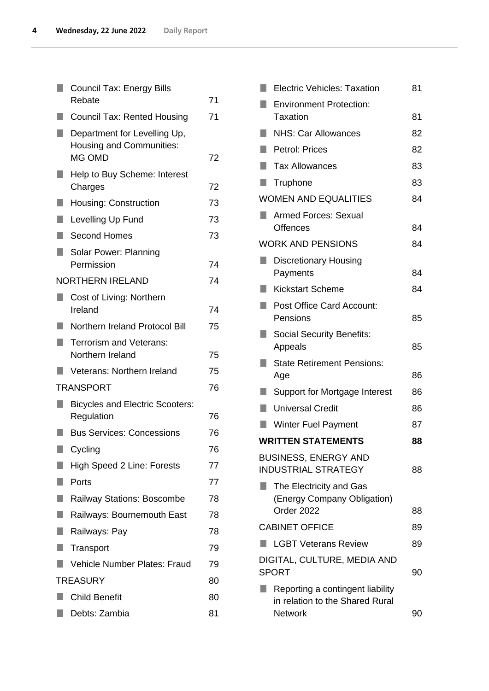|    | Council Tax: Energy Bills                                       |    |
|----|-----------------------------------------------------------------|----|
|    | Rebate                                                          | 71 |
|    | <b>Council Tax: Rented Housing</b>                              | 71 |
|    | Department for Levelling Up,<br><b>Housing and Communities:</b> |    |
|    | MG OMD                                                          | 72 |
|    | Help to Buy Scheme: Interest<br>Charges                         | 72 |
|    | <b>Housing: Construction</b>                                    | 73 |
| ۰  | Levelling Up Fund                                               | 73 |
|    | <b>Second Homes</b>                                             | 73 |
| H. | Solar Power: Planning<br>Permission                             | 74 |
|    | <b>NORTHERN IRELAND</b>                                         | 74 |
|    | Cost of Living: Northern                                        |    |
|    | Ireland                                                         | 74 |
|    | Northern Ireland Protocol Bill                                  | 75 |
|    | Terrorism and Veterans:<br>Northern Ireland                     | 75 |
|    | Veterans: Northern Ireland                                      | 75 |
|    | <b>TRANSPORT</b>                                                | 76 |
|    | <b>Bicycles and Electric Scooters:</b><br>Regulation            | 76 |
|    | <b>Bus Services: Concessions</b>                                | 76 |
| L. | Cycling                                                         | 76 |
|    | High Speed 2 Line: Forests                                      | 77 |
|    | Ports                                                           | 77 |
|    | Railway Stations: Boscombe                                      | 78 |
| n  | Railways: Bournemouth East                                      | 78 |
| ٠  | Railways: Pay                                                   | 78 |
| H. | Transport                                                       | 79 |
|    | Vehicle Number Plates: Fraud                                    | 79 |
|    | <b>TREASURY</b>                                                 | 80 |
|    | <b>Child Benefit</b>                                            | 80 |
|    | Debts: Zambia                                                   | 81 |

|     | <b>Electric Vehicles: Taxation</b>                        | 81 |
|-----|-----------------------------------------------------------|----|
|     | <b>Environment Protection:</b><br>Taxation                | 81 |
| ٠   | <b>NHS: Car Allowances</b>                                | 82 |
| ٠   | <b>Petrol: Prices</b>                                     | 82 |
| ٠   | <b>Tax Allowances</b>                                     | 83 |
| H.  | Truphone                                                  | 83 |
|     | <b>WOMEN AND EQUALITIES</b>                               | 84 |
|     | <b>Armed Forces: Sexual</b>                               |    |
|     | <b>Offences</b>                                           | 84 |
|     | <b>WORK AND PENSIONS</b>                                  | 84 |
|     | <b>Discretionary Housing</b><br>Payments                  | 84 |
| a a | <b>Kickstart Scheme</b>                                   | 84 |
| ٠   | <b>Post Office Card Account:</b>                          |    |
|     | Pensions                                                  | 85 |
|     | <b>Social Security Benefits:</b><br>Appeals               | 85 |
| ш   | <b>State Retirement Pensions:</b>                         |    |
|     | Age                                                       | 86 |
|     | Support for Mortgage Interest                             | 86 |
|     | <b>Universal Credit</b>                                   | 86 |
|     | <b>Winter Fuel Payment</b>                                | 87 |
|     | <b>WRITTEN STATEMENTS</b>                                 | 88 |
|     | <b>BUSINESS, ENERGY AND</b><br><b>INDUSTRIAL STRATEGY</b> | 88 |
|     | The Electricity and Gas                                   |    |
|     | (Energy Company Obligation)<br>Order 2022                 | 88 |
|     | <b>CABINET OFFICE</b>                                     | 89 |
|     | <b>LGBT Veterans Review</b>                               | 89 |
|     |                                                           |    |
|     | DIGITAL, CULTURE, MEDIA AND<br><b>SPORT</b>               | 90 |
|     | Reporting a contingent liability                          |    |
|     | in relation to the Shared Rural<br><b>Network</b>         | 90 |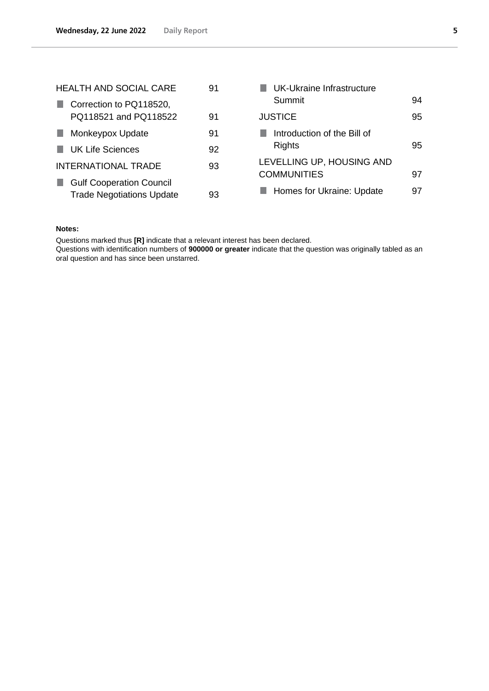| <b>HEALTH AND SOCIAL CARE</b> |                                  | 91 | UK-Ukraine Infrastructure   |    |
|-------------------------------|----------------------------------|----|-----------------------------|----|
|                               | Correction to PQ118520,          |    | Summit                      | 94 |
|                               | PQ118521 and PQ118522            | 91 | <b>JUSTICE</b>              | 95 |
| n.                            | Monkeypox Update                 | 91 | Introduction of the Bill of |    |
|                               | <b>UK Life Sciences</b>          | 92 | <b>Rights</b>               | 95 |
|                               | <b>INTERNATIONAL TRADE</b>       | 93 | LEVELLING UP, HOUSING AND   |    |
|                               | <b>Gulf Cooperation Council</b>  |    | <b>COMMUNITIES</b>          | 97 |
|                               | <b>Trade Negotiations Update</b> | 93 | Homes for Ukraine: Update   | 97 |

### **Notes:**

Questions marked thus **[R]** indicate that a relevant interest has been declared.

Questions with identification numbers of **900000 or greater** indicate that the question was originally tabled as an oral question and has since been unstarred.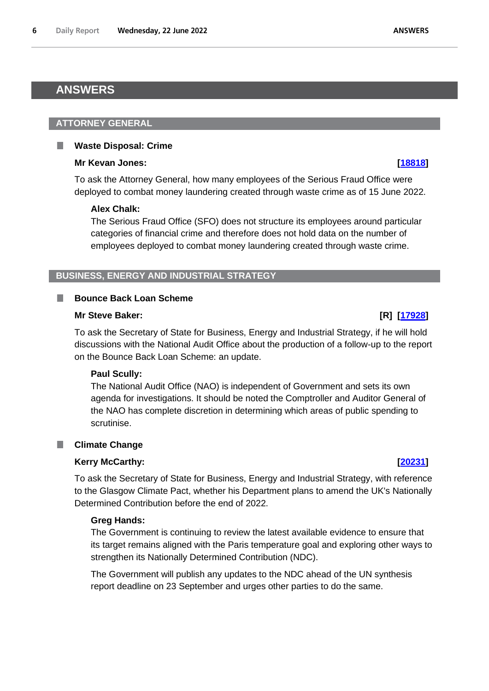# <span id="page-5-0"></span>**ANSWERS**

# <span id="page-5-1"></span>**ATTORNEY GENERAL**

#### <span id="page-5-2"></span> $\Box$ **Waste Disposal: Crime**

## **Mr Kevan Jones: [\[18818\]](http://www.parliament.uk/business/publications/written-questions-answers-statements/written-question/Commons/2022-06-15/18818)**

To ask the Attorney General, how many employees of the Serious Fraud Office were deployed to combat money laundering created through waste crime as of 15 June 2022.

# **Alex Chalk:**

The Serious Fraud Office (SFO) does not structure its employees around particular categories of financial crime and therefore does not hold data on the number of employees deployed to combat money laundering created through waste crime.

# <span id="page-5-3"></span>**BUSINESS, ENERGY AND INDUSTRIAL STRATEGY**

#### <span id="page-5-4"></span>L. **Bounce Back Loan Scheme**

## **Mr Steve Baker: [R] [\[17928\]](http://www.parliament.uk/business/publications/written-questions-answers-statements/written-question/Commons/2022-06-14/17928)**

To ask the Secretary of State for Business, Energy and Industrial Strategy, if he will hold discussions with the National Audit Office about the production of a follow-up to the report on the Bounce Back Loan Scheme: an update.

## **Paul Scully:**

The National Audit Office (NAO) is independent of Government and sets its own agenda for investigations. It should be noted the Comptroller and Auditor General of the NAO has complete discretion in determining which areas of public spending to scrutinise.

# <span id="page-5-5"></span>**Climate Change**

# **Kerry McCarthy: [\[20231\]](http://www.parliament.uk/business/publications/written-questions-answers-statements/written-question/Commons/2022-06-17/20231)**

To ask the Secretary of State for Business, Energy and Industrial Strategy, with reference to the Glasgow Climate Pact, whether his Department plans to amend the UK's Nationally Determined Contribution before the end of 2022.

## **Greg Hands:**

The Government is continuing to review the latest available evidence to ensure that its target remains aligned with the Paris temperature goal and exploring other ways to strengthen its Nationally Determined Contribution (NDC).

The Government will publish any updates to the NDC ahead of the UN synthesis report deadline on 23 September and urges other parties to do the same.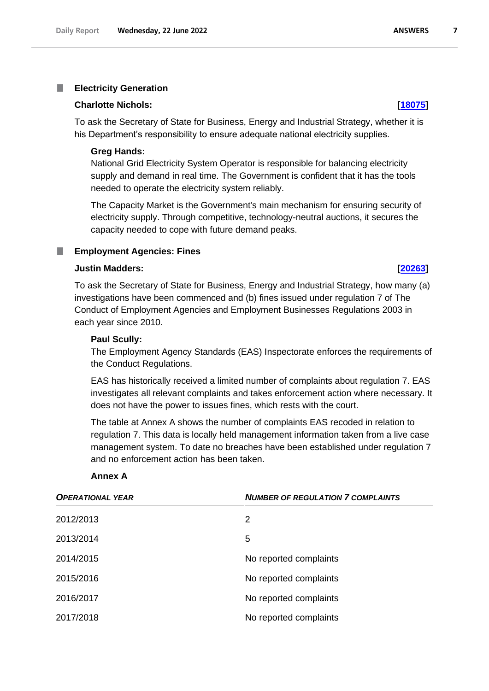#### <span id="page-6-0"></span>T. **Electricity Generation**

#### **Charlotte Nichols: [\[18075\]](http://www.parliament.uk/business/publications/written-questions-answers-statements/written-question/Commons/2022-06-14/18075)**

To ask the Secretary of State for Business, Energy and Industrial Strategy, whether it is his Department's responsibility to ensure adequate national electricity supplies.

### **Greg Hands:**

National Grid Electricity System Operator is responsible for balancing electricity supply and demand in real time. The Government is confident that it has the tools needed to operate the electricity system reliably.

The Capacity Market is the Government's main mechanism for ensuring security of electricity supply. Through competitive, technology-neutral auctions, it secures the capacity needed to cope with future demand peaks.

#### <span id="page-6-1"></span>п **Employment Agencies: Fines**

### **Justin Madders: [\[20263\]](http://www.parliament.uk/business/publications/written-questions-answers-statements/written-question/Commons/2022-06-17/20263)**

To ask the Secretary of State for Business, Energy and Industrial Strategy, how many (a) investigations have been commenced and (b) fines issued under regulation 7 of The Conduct of Employment Agencies and Employment Businesses Regulations 2003 in each year since 2010.

## **Paul Scully:**

The Employment Agency Standards (EAS) Inspectorate enforces the requirements of the Conduct Regulations.

EAS has historically received a limited number of complaints about regulation 7. EAS investigates all relevant complaints and takes enforcement action where necessary. It does not have the power to issues fines, which rests with the court.

The table at Annex A shows the number of complaints EAS recoded in relation to regulation 7. This data is locally held management information taken from a live case management system. To date no breaches have been established under regulation 7 and no enforcement action has been taken.

#### **Annex A**

| <b>OPERATIONAL YEAR</b> | <b>NUMBER OF REGULATION 7 COMPLAINTS</b> |
|-------------------------|------------------------------------------|
| 2012/2013               | 2                                        |
| 2013/2014               | 5                                        |
| 2014/2015               | No reported complaints                   |
| 2015/2016               | No reported complaints                   |
| 2016/2017               | No reported complaints                   |
| 2017/2018               | No reported complaints                   |

#### **ANSWERS**

 $\overline{7}$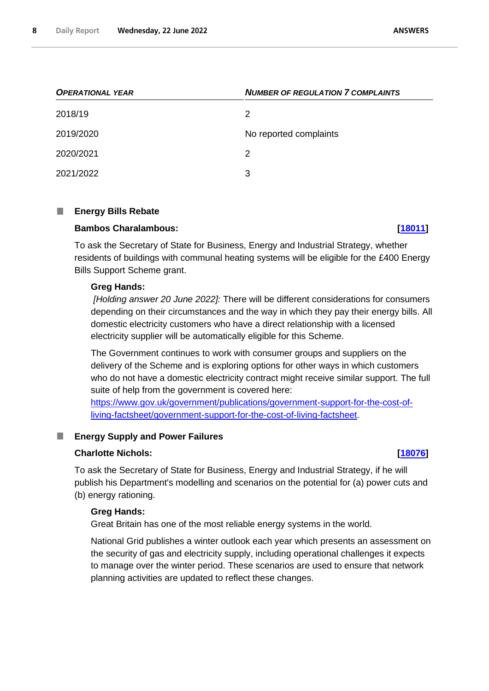| <b>OPERATIONAL YEAR</b> | <b>NUMBER OF REGULATION 7 COMPLAINTS</b> |
|-------------------------|------------------------------------------|
| 2018/19                 | 2                                        |
| 2019/2020               | No reported complaints                   |
| 2020/2021               | 2                                        |
| 2021/2022               | 3                                        |

#### <span id="page-7-0"></span>П **Energy Bills Rebate**

# **Bambos Charalambous: [\[18011\]](http://www.parliament.uk/business/publications/written-questions-answers-statements/written-question/Commons/2022-06-14/18011)**

To ask the Secretary of State for Business, Energy and Industrial Strategy, whether residents of buildings with communal heating systems will be eligible for the £400 Energy Bills Support Scheme grant.

### **Greg Hands:**

*[Holding answer 20 June 2022]:* There will be different considerations for consumers depending on their circumstances and the way in which they pay their energy bills. All domestic electricity customers who have a direct relationship with a licensed electricity supplier will be automatically eligible for this Scheme.

The Government continues to work with consumer groups and suppliers on the delivery of the Scheme and is exploring options for other ways in which customers who do not have a domestic electricity contract might receive similar support. The full suite of help from the government is covered here:

[https://www.gov.uk/government/publications/government-support-for-the-cost-of](https://www.gov.uk/government/publications/government-support-for-the-cost-of-living-factsheet/government-support-for-the-cost-of-living-factsheet)[living-factsheet/government-support-for-the-cost-of-living-factsheet.](https://www.gov.uk/government/publications/government-support-for-the-cost-of-living-factsheet/government-support-for-the-cost-of-living-factsheet)

#### <span id="page-7-1"></span>**Energy Supply and Power Failures** П

### **Charlotte Nichols: [\[18076\]](http://www.parliament.uk/business/publications/written-questions-answers-statements/written-question/Commons/2022-06-14/18076)**

To ask the Secretary of State for Business, Energy and Industrial Strategy, if he will publish his Department's modelling and scenarios on the potential for (a) power cuts and (b) energy rationing.

### **Greg Hands:**

Great Britain has one of the most reliable energy systems in the world.

National Grid publishes a winter outlook each year which presents an assessment on the security of gas and electricity supply, including operational challenges it expects to manage over the winter period. These scenarios are used to ensure that network planning activities are updated to reflect these changes.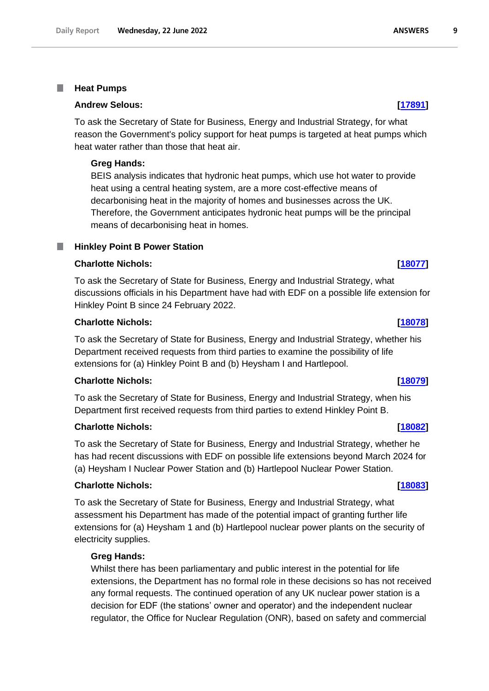#### <span id="page-8-0"></span>T. **Heat Pumps**

### **Andrew Selous: [\[17891\]](http://www.parliament.uk/business/publications/written-questions-answers-statements/written-question/Commons/2022-06-14/17891)**

To ask the Secretary of State for Business, Energy and Industrial Strategy, for what reason the Government's policy support for heat pumps is targeted at heat pumps which heat water rather than those that heat air.

### **Greg Hands:**

BEIS analysis indicates that hydronic heat pumps, which use hot water to provide heat using a central heating system, are a more cost-effective means of decarbonising heat in the majority of homes and businesses across the UK. Therefore, the Government anticipates hydronic heat pumps will be the principal means of decarbonising heat in homes.

#### <span id="page-8-1"></span>**Hinkley Point B Power Station** m.

# **Charlotte Nichols: [\[18077\]](http://www.parliament.uk/business/publications/written-questions-answers-statements/written-question/Commons/2022-06-14/18077)**

To ask the Secretary of State for Business, Energy and Industrial Strategy, what discussions officials in his Department have had with EDF on a possible life extension for Hinkley Point B since 24 February 2022.

### **Charlotte Nichols: [\[18078\]](http://www.parliament.uk/business/publications/written-questions-answers-statements/written-question/Commons/2022-06-14/18078)**

To ask the Secretary of State for Business, Energy and Industrial Strategy, whether his Department received requests from third parties to examine the possibility of life extensions for (a) Hinkley Point B and (b) Heysham I and Hartlepool.

# **Charlotte Nichols: [\[18079\]](http://www.parliament.uk/business/publications/written-questions-answers-statements/written-question/Commons/2022-06-14/18079)**

To ask the Secretary of State for Business, Energy and Industrial Strategy, when his Department first received requests from third parties to extend Hinkley Point B.

### **Charlotte Nichols: [\[18082\]](http://www.parliament.uk/business/publications/written-questions-answers-statements/written-question/Commons/2022-06-14/18082)**

To ask the Secretary of State for Business, Energy and Industrial Strategy, whether he has had recent discussions with EDF on possible life extensions beyond March 2024 for (a) Heysham I Nuclear Power Station and (b) Hartlepool Nuclear Power Station.

## **Charlotte Nichols: [\[18083\]](http://www.parliament.uk/business/publications/written-questions-answers-statements/written-question/Commons/2022-06-14/18083)**

To ask the Secretary of State for Business, Energy and Industrial Strategy, what assessment his Department has made of the potential impact of granting further life extensions for (a) Heysham 1 and (b) Hartlepool nuclear power plants on the security of electricity supplies.

### **Greg Hands:**

Whilst there has been parliamentary and public interest in the potential for life extensions, the Department has no formal role in these decisions so has not received any formal requests. The continued operation of any UK nuclear power station is a decision for EDF (the stations' owner and operator) and the independent nuclear regulator, the Office for Nuclear Regulation (ONR), based on safety and commercial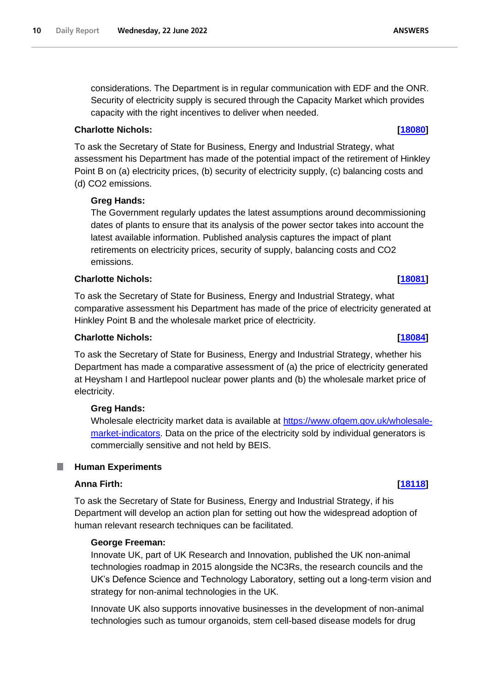considerations. The Department is in regular communication with EDF and the ONR. Security of electricity supply is secured through the Capacity Market which provides capacity with the right incentives to deliver when needed.

# **Charlotte Nichols: [\[18080\]](http://www.parliament.uk/business/publications/written-questions-answers-statements/written-question/Commons/2022-06-14/18080)**

To ask the Secretary of State for Business, Energy and Industrial Strategy, what assessment his Department has made of the potential impact of the retirement of Hinkley Point B on (a) electricity prices, (b) security of electricity supply, (c) balancing costs and (d) CO2 emissions.

# **Greg Hands:**

The Government regularly updates the latest assumptions around decommissioning dates of plants to ensure that its analysis of the power sector takes into account the latest available information. Published analysis captures the impact of plant retirements on electricity prices, security of supply, balancing costs and CO2 emissions.

# **Charlotte Nichols: [\[18081\]](http://www.parliament.uk/business/publications/written-questions-answers-statements/written-question/Commons/2022-06-14/18081)**

To ask the Secretary of State for Business, Energy and Industrial Strategy, what comparative assessment his Department has made of the price of electricity generated at Hinkley Point B and the wholesale market price of electricity.

# **Charlotte Nichols: [\[18084\]](http://www.parliament.uk/business/publications/written-questions-answers-statements/written-question/Commons/2022-06-14/18084)**

To ask the Secretary of State for Business, Energy and Industrial Strategy, whether his Department has made a comparative assessment of (a) the price of electricity generated at Heysham I and Hartlepool nuclear power plants and (b) the wholesale market price of electricity.

# **Greg Hands:**

Wholesale electricity market data is available at https://www.ofgem.gov.uk/wholesalemarket-indicators. Data on the price of the electricity sold by individual generators is commercially sensitive and not held by BEIS.

#### <span id="page-9-0"></span>ш **Human Experiments**

# **Anna Firth: [\[18118\]](http://www.parliament.uk/business/publications/written-questions-answers-statements/written-question/Commons/2022-06-14/18118)**

To ask the Secretary of State for Business, Energy and Industrial Strategy, if his Department will develop an action plan for setting out how the widespread adoption of human relevant research techniques can be facilitated.

# **George Freeman:**

Innovate UK, part of UK Research and Innovation, published the UK non-animal technologies roadmap in 2015 alongside the NC3Rs, the research councils and the UK's Defence Science and Technology Laboratory, setting out a long-term vision and strategy for non-animal technologies in the UK.

Innovate UK also supports innovative businesses in the development of non-animal technologies such as tumour organoids, stem cell-based disease models for drug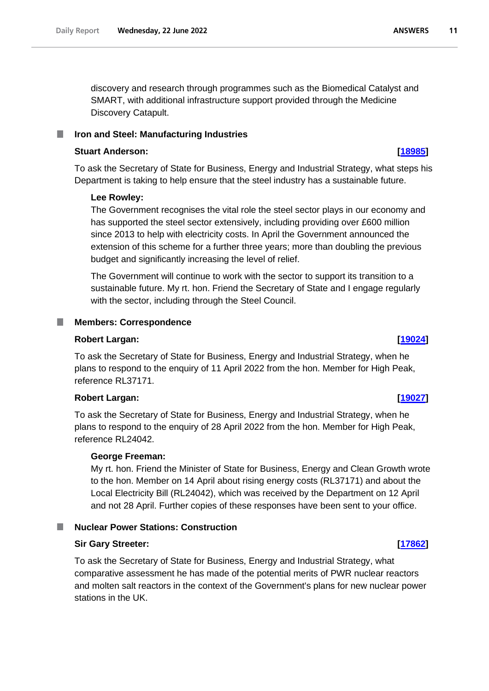discovery and research through programmes such as the Biomedical Catalyst and SMART, with additional infrastructure support provided through the Medicine Discovery Catapult.

#### <span id="page-10-0"></span>**Iron and Steel: Manufacturing Industries** ш

### **Stuart Anderson: [\[18985\]](http://www.parliament.uk/business/publications/written-questions-answers-statements/written-question/Commons/2022-06-15/18985)**

To ask the Secretary of State for Business, Energy and Industrial Strategy, what steps his Department is taking to help ensure that the steel industry has a sustainable future.

### **Lee Rowley:**

The Government recognises the vital role the steel sector plays in our economy and has supported the steel sector extensively, including providing over £600 million since 2013 to help with electricity costs. In April the Government announced the extension of this scheme for a further three years; more than doubling the previous budget and significantly increasing the level of relief.

The Government will continue to work with the sector to support its transition to a sustainable future. My rt. hon. Friend the Secretary of State and I engage regularly with the sector, including through the Steel Council.

## <span id="page-10-1"></span>**Members: Correspondence**

### **Robert Largan: [\[19024\]](http://www.parliament.uk/business/publications/written-questions-answers-statements/written-question/Commons/2022-06-15/19024)**

To ask the Secretary of State for Business, Energy and Industrial Strategy, when he plans to respond to the enquiry of 11 April 2022 from the hon. Member for High Peak, reference RL37171.

### **Robert Largan: [\[19027\]](http://www.parliament.uk/business/publications/written-questions-answers-statements/written-question/Commons/2022-06-15/19027)**

To ask the Secretary of State for Business, Energy and Industrial Strategy, when he plans to respond to the enquiry of 28 April 2022 from the hon. Member for High Peak, reference RL24042.

### **George Freeman:**

My rt. hon. Friend the Minister of State for Business, Energy and Clean Growth wrote to the hon. Member on 14 April about rising energy costs (RL37171) and about the Local Electricity Bill (RL24042), which was received by the Department on 12 April and not 28 April. Further copies of these responses have been sent to your office.

## <span id="page-10-2"></span>**Nuclear Power Stations: Construction**

# **Sir Gary Streeter: [\[17862\]](http://www.parliament.uk/business/publications/written-questions-answers-statements/written-question/Commons/2022-06-14/17862)**

To ask the Secretary of State for Business, Energy and Industrial Strategy, what comparative assessment he has made of the potential merits of PWR nuclear reactors and molten salt reactors in the context of the Government's plans for new nuclear power stations in the UK.

#### **ANSWERS** 11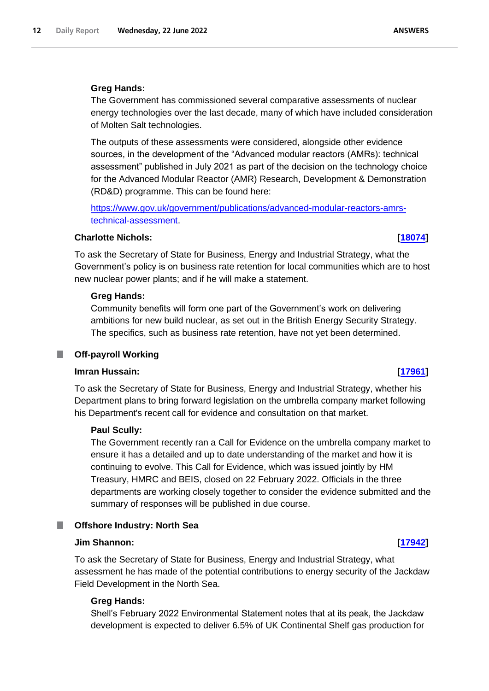## **Greg Hands:**

The Government has commissioned several comparative assessments of nuclear energy technologies over the last decade, many of which have included consideration of Molten Salt technologies.

The outputs of these assessments were considered, alongside other evidence sources, in the development of the "Advanced modular reactors (AMRs): technical assessment" published in July 2021 as part of the decision on the technology choice for the Advanced Modular Reactor (AMR) Research, Development & Demonstration (RD&D) programme. This can be found here:

[https://www.gov.uk/government/publications/advanced-modular-reactors-amrs](https://www.gov.uk/government/publications/advanced-modular-reactors-amrs-technical-assessment)[technical-assessment.](https://www.gov.uk/government/publications/advanced-modular-reactors-amrs-technical-assessment)

# **Charlotte Nichols: [\[18074\]](http://www.parliament.uk/business/publications/written-questions-answers-statements/written-question/Commons/2022-06-14/18074)**

To ask the Secretary of State for Business, Energy and Industrial Strategy, what the Government's policy is on business rate retention for local communities which are to host new nuclear power plants; and if he will make a statement.

### **Greg Hands:**

Community benefits will form one part of the Government's work on delivering ambitions for new build nuclear, as set out in the British Energy Security Strategy. The specifics, such as business rate retention, have not yet been determined.

## <span id="page-11-0"></span>**Off-payroll Working**

# **Imran Hussain: [\[17961\]](http://www.parliament.uk/business/publications/written-questions-answers-statements/written-question/Commons/2022-06-14/17961)**

To ask the Secretary of State for Business, Energy and Industrial Strategy, whether his Department plans to bring forward legislation on the umbrella company market following his Department's recent call for evidence and consultation on that market.

### **Paul Scully:**

The Government recently ran a Call for Evidence on the umbrella company market to ensure it has a detailed and up to date understanding of the market and how it is continuing to evolve. This Call for Evidence, which was issued jointly by HM Treasury, HMRC and BEIS, closed on 22 February 2022. Officials in the three departments are working closely together to consider the evidence submitted and the summary of responses will be published in due course.

#### <span id="page-11-1"></span>**Offshore Industry: North Sea** .

### **Jim Shannon: [\[17942\]](http://www.parliament.uk/business/publications/written-questions-answers-statements/written-question/Commons/2022-06-14/17942)**

To ask the Secretary of State for Business, Energy and Industrial Strategy, what assessment he has made of the potential contributions to energy security of the Jackdaw Field Development in the North Sea.

### **Greg Hands:**

Shell's February 2022 Environmental Statement notes that at its peak, the Jackdaw development is expected to deliver 6.5% of UK Continental Shelf gas production for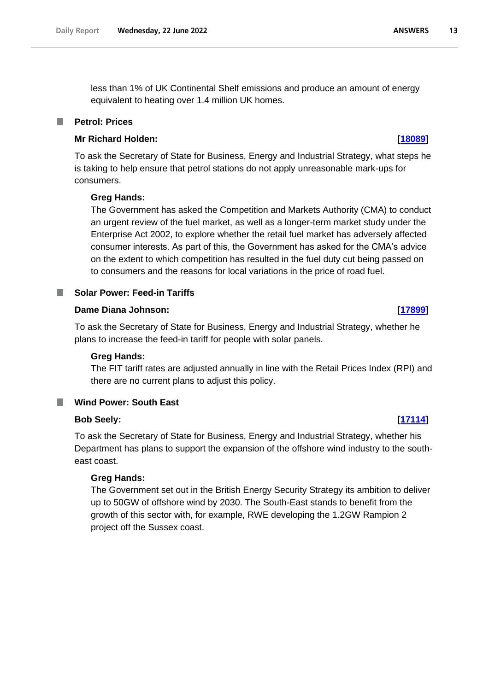less than 1% of UK Continental Shelf emissions and produce an amount of energy equivalent to heating over 1.4 million UK homes.

# <span id="page-12-0"></span>**Petrol: Prices**

# **Mr Richard Holden: [\[18089\]](http://www.parliament.uk/business/publications/written-questions-answers-statements/written-question/Commons/2022-06-14/18089)**

To ask the Secretary of State for Business, Energy and Industrial Strategy, what steps he is taking to help ensure that petrol stations do not apply unreasonable mark-ups for consumers.

# **Greg Hands:**

The Government has asked the Competition and Markets Authority (CMA) to conduct an urgent review of the fuel market, as well as a longer-term market study under the Enterprise Act 2002, to explore whether the retail fuel market has adversely affected consumer interests. As part of this, the Government has asked for the CMA's advice on the extent to which competition has resulted in the fuel duty cut being passed on to consumers and the reasons for local variations in the price of road fuel.

# <span id="page-12-1"></span>**Solar Power: Feed-in Tariffs**

# **Dame Diana Johnson: [\[17899\]](http://www.parliament.uk/business/publications/written-questions-answers-statements/written-question/Commons/2022-06-14/17899)**

To ask the Secretary of State for Business, Energy and Industrial Strategy, whether he plans to increase the feed-in tariff for people with solar panels.

## **Greg Hands:**

The FIT tariff rates are adjusted annually in line with the Retail Prices Index (RPI) and there are no current plans to adjust this policy.

# <span id="page-12-2"></span>**Wind Power: South East**

# **Bob Seely: [\[17114\]](http://www.parliament.uk/business/publications/written-questions-answers-statements/written-question/Commons/2022-06-13/17114)**

To ask the Secretary of State for Business, Energy and Industrial Strategy, whether his Department has plans to support the expansion of the offshore wind industry to the southeast coast.

## **Greg Hands:**

The Government set out in the British Energy Security Strategy its ambition to deliver up to 50GW of offshore wind by 2030. The South-East stands to benefit from the growth of this sector with, for example, RWE developing the 1.2GW Rampion 2 project off the Sussex coast.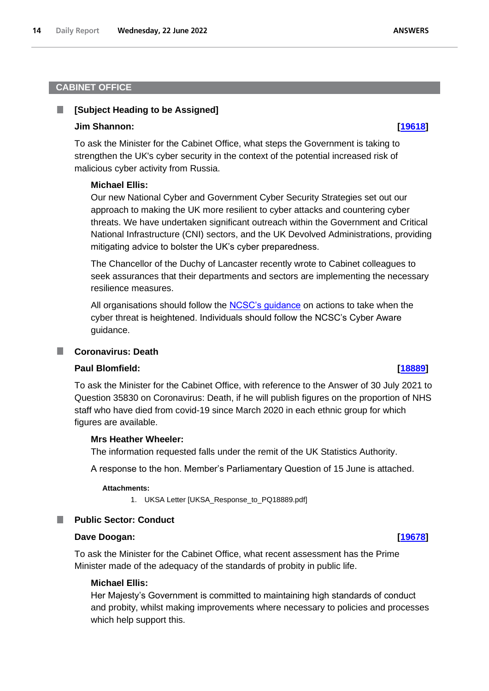# <span id="page-13-0"></span>**CABINET OFFICE**

#### <span id="page-13-1"></span>**[Subject Heading to be Assigned]** ш

### **Jim Shannon: [\[19618\]](http://www.parliament.uk/business/publications/written-questions-answers-statements/written-question/Commons/2022-06-16/19618)**

To ask the Minister for the Cabinet Office, what steps the Government is taking to strengthen the UK's cyber security in the context of the potential increased risk of malicious cyber activity from Russia.

### **Michael Ellis:**

Our new National Cyber and Government Cyber Security Strategies set out our approach to making the UK more resilient to cyber attacks and countering cyber threats. We have undertaken significant outreach within the Government and Critical National Infrastructure (CNI) sectors, and the UK Devolved Administrations, providing mitigating advice to bolster the UK's cyber preparedness.

The Chancellor of the Duchy of Lancaster recently wrote to Cabinet colleagues to seek assurances that their departments and sectors are implementing the necessary resilience measures.

All organisations should follow the [NCSC's guidance](https://www.ncsc.gov.uk/guidance/actions-to-take-when-the-cyber-threat-is-heightened) on actions to take when the cyber threat is heightened. Individuals should follow the NCSC's Cyber Aware guidance.

### <span id="page-13-2"></span>**Coronavirus: Death**

### **Paul Blomfield: [\[18889\]](http://www.parliament.uk/business/publications/written-questions-answers-statements/written-question/Commons/2022-06-15/18889)**

To ask the Minister for the Cabinet Office, with reference to the Answer of 30 July 2021 to Question 35830 on Coronavirus: Death, if he will publish figures on the proportion of NHS staff who have died from covid-19 since March 2020 in each ethnic group for which figures are available.

#### **Mrs Heather Wheeler:**

The information requested falls under the remit of the UK Statistics Authority.

A response to the hon. Member's Parliamentary Question of 15 June is attached.

#### **Attachments:**

1. UKSA Letter [UKSA\_Response\_to\_PQ18889.pdf]

#### <span id="page-13-3"></span>**Public Sector: Conduct** a an

### **Dave Doogan: [\[19678\]](http://www.parliament.uk/business/publications/written-questions-answers-statements/written-question/Commons/2022-06-16/19678)**

To ask the Minister for the Cabinet Office, what recent assessment has the Prime Minister made of the adequacy of the standards of probity in public life.

### **Michael Ellis:**

Her Majesty's Government is committed to maintaining high standards of conduct and probity, whilst making improvements where necessary to policies and processes which help support this.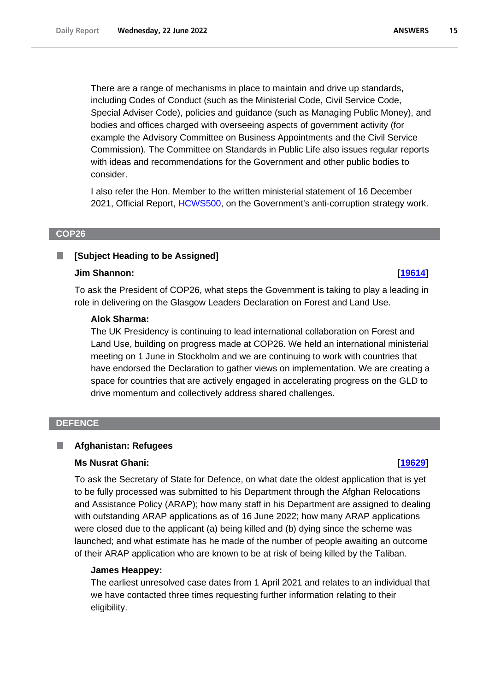There are a range of mechanisms in place to maintain and drive up standards, including Codes of Conduct (such as the Ministerial Code, Civil Service Code, Special Adviser Code), policies and guidance (such as Managing Public Money), and bodies and offices charged with overseeing aspects of government activity (for example the Advisory Committee on Business Appointments and the Civil Service Commission). The Committee on Standards in Public Life also issues regular reports with ideas and recommendations for the Government and other public bodies to consider.

I also refer the Hon. Member to the written ministerial statement of 16 December 2021, Official Report, [HCWS500,](https://questions-statements.parliament.uk/written-statements/detail/2021-12-16/hcws500) on the Government's anti-corruption strategy work.

### <span id="page-14-0"></span>**COP26**

#### <span id="page-14-1"></span>**[Subject Heading to be Assigned]** T.

## **Jim Shannon: [\[19614\]](http://www.parliament.uk/business/publications/written-questions-answers-statements/written-question/Commons/2022-06-16/19614)**

To ask the President of COP26, what steps the Government is taking to play a leading in role in delivering on the Glasgow Leaders Declaration on Forest and Land Use.

# **Alok Sharma:**

The UK Presidency is continuing to lead international collaboration on Forest and Land Use, building on progress made at COP26. We held an international ministerial meeting on 1 June in Stockholm and we are continuing to work with countries that have endorsed the Declaration to gather views on implementation. We are creating a space for countries that are actively engaged in accelerating progress on the GLD to drive momentum and collectively address shared challenges.

### <span id="page-14-2"></span>**DEFENCE**

#### <span id="page-14-3"></span>**Afghanistan: Refugees** П

### **Ms Nusrat Ghani: [\[19629\]](http://www.parliament.uk/business/publications/written-questions-answers-statements/written-question/Commons/2022-06-16/19629)**

To ask the Secretary of State for Defence, on what date the oldest application that is yet to be fully processed was submitted to his Department through the Afghan Relocations and Assistance Policy (ARAP); how many staff in his Department are assigned to dealing with outstanding ARAP applications as of 16 June 2022; how many ARAP applications were closed due to the applicant (a) being killed and (b) dying since the scheme was launched; and what estimate has he made of the number of people awaiting an outcome of their ARAP application who are known to be at risk of being killed by the Taliban.

### **James Heappey:**

The earliest unresolved case dates from 1 April 2021 and relates to an individual that we have contacted three times requesting further information relating to their eligibility.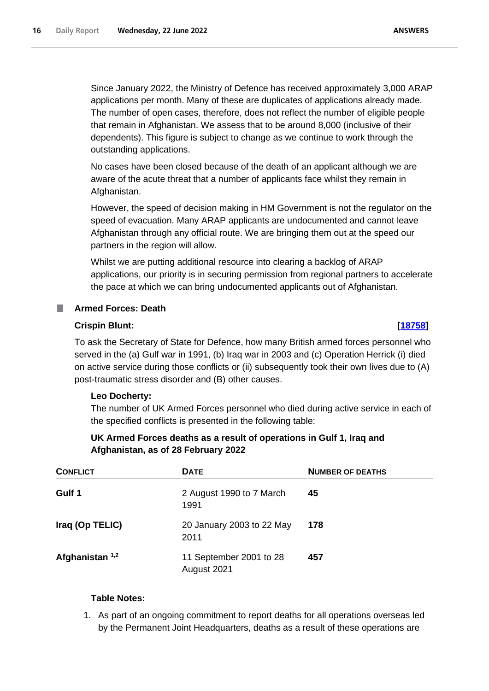Since January 2022, the Ministry of Defence has received approximately 3,000 ARAP applications per month. Many of these are duplicates of applications already made. The number of open cases, therefore, does not reflect the number of eligible people that remain in Afghanistan. We assess that to be around 8,000 (inclusive of their dependents). This figure is subject to change as we continue to work through the outstanding applications.

No cases have been closed because of the death of an applicant although we are aware of the acute threat that a number of applicants face whilst they remain in Afghanistan.

However, the speed of decision making in HM Government is not the regulator on the speed of evacuation. Many ARAP applicants are undocumented and cannot leave Afghanistan through any official route. We are bringing them out at the speed our partners in the region will allow.

Whilst we are putting additional resource into clearing a backlog of ARAP applications, our priority is in securing permission from regional partners to accelerate the pace at which we can bring undocumented applicants out of Afghanistan.

# <span id="page-15-0"></span>**Armed Forces: Death**

### **Crispin Blunt: [\[18758\]](http://www.parliament.uk/business/publications/written-questions-answers-statements/written-question/Commons/2022-06-15/18758)**

To ask the Secretary of State for Defence, how many British armed forces personnel who served in the (a) Gulf war in 1991, (b) Iraq war in 2003 and (c) Operation Herrick (i) died on active service during those conflicts or (ii) subsequently took their own lives due to (A) post-traumatic stress disorder and (B) other causes.

## **Leo Docherty:**

The number of UK Armed Forces personnel who died during active service in each of the specified conflicts is presented in the following table:

# **UK Armed Forces deaths as a result of operations in Gulf 1, Iraq and Afghanistan, as of 28 February 2022**

| <b>CONFLICT</b>   | <b>DATE</b>                            | <b>NUMBER OF DEATHS</b> |
|-------------------|----------------------------------------|-------------------------|
| Gulf 1            | 2 August 1990 to 7 March<br>1991       | 45                      |
| Iraq (Op TELIC)   | 20 January 2003 to 22 May<br>2011      | 178                     |
| Afghanistan $1,2$ | 11 September 2001 to 28<br>August 2021 | 457                     |

## **Table Notes:**

1. As part of an ongoing commitment to report deaths for all operations overseas led by the Permanent Joint Headquarters, deaths as a result of these operations are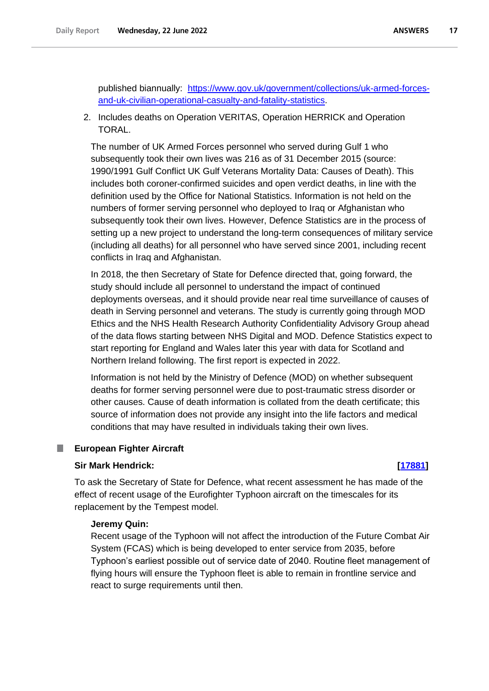published biannually: [https://www.gov.uk/government/collections/uk-armed-forces](https://www.gov.uk/government/collections/uk-armed-forces-and-uk-civilian-operational-casualty-and-fatality-statistics)[and-uk-civilian-operational-casualty-and-fatality-statistics.](https://www.gov.uk/government/collections/uk-armed-forces-and-uk-civilian-operational-casualty-and-fatality-statistics)

2. Includes deaths on Operation VERITAS, Operation HERRICK and Operation TORAL.

The number of UK Armed Forces personnel who served during Gulf 1 who subsequently took their own lives was 216 as of 31 December 2015 (source: 1990/1991 Gulf Conflict UK Gulf Veterans Mortality Data: Causes of Death). This includes both coroner-confirmed suicides and open verdict deaths, in line with the definition used by the Office for National Statistics. Information is not held on the numbers of former serving personnel who deployed to Iraq or Afghanistan who subsequently took their own lives. However, Defence Statistics are in the process of setting up a new project to understand the long-term consequences of military service (including all deaths) for all personnel who have served since 2001, including recent conflicts in Iraq and Afghanistan.

In 2018, the then Secretary of State for Defence directed that, going forward, the study should include all personnel to understand the impact of continued deployments overseas, and it should provide near real time surveillance of causes of death in Serving personnel and veterans. The study is currently going through MOD Ethics and the NHS Health Research Authority Confidentiality Advisory Group ahead of the data flows starting between NHS Digital and MOD. Defence Statistics expect to start reporting for England and Wales later this year with data for Scotland and Northern Ireland following. The first report is expected in 2022.

Information is not held by the Ministry of Defence (MOD) on whether subsequent deaths for former serving personnel were due to post-traumatic stress disorder or other causes. Cause of death information is collated from the death certificate; this source of information does not provide any insight into the life factors and medical conditions that may have resulted in individuals taking their own lives.

#### <span id="page-16-0"></span>**European Fighter Aircraft** ш

## **Sir Mark Hendrick: [\[17881\]](http://www.parliament.uk/business/publications/written-questions-answers-statements/written-question/Commons/2022-06-14/17881)**

To ask the Secretary of State for Defence, what recent assessment he has made of the effect of recent usage of the Eurofighter Typhoon aircraft on the timescales for its replacement by the Tempest model.

# **Jeremy Quin:**

Recent usage of the Typhoon will not affect the introduction of the Future Combat Air System (FCAS) which is being developed to enter service from 2035, before Typhoon's earliest possible out of service date of 2040. Routine fleet management of flying hours will ensure the Typhoon fleet is able to remain in frontline service and react to surge requirements until then.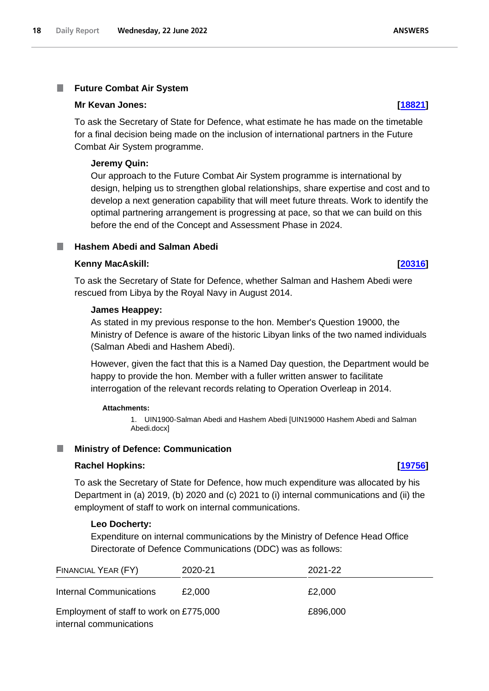#### <span id="page-17-0"></span>T. **Future Combat Air System**

### **Mr Kevan Jones: [\[18821\]](http://www.parliament.uk/business/publications/written-questions-answers-statements/written-question/Commons/2022-06-15/18821)**

To ask the Secretary of State for Defence, what estimate he has made on the timetable for a final decision being made on the inclusion of international partners in the Future Combat Air System programme.

## **Jeremy Quin:**

Our approach to the Future Combat Air System programme is international by design, helping us to strengthen global relationships, share expertise and cost and to develop a next generation capability that will meet future threats. Work to identify the optimal partnering arrangement is progressing at pace, so that we can build on this before the end of the Concept and Assessment Phase in 2024.

# <span id="page-17-1"></span>**Hashem Abedi and Salman Abedi**

### **Kenny MacAskill: [\[20316\]](http://www.parliament.uk/business/publications/written-questions-answers-statements/written-question/Commons/2022-06-17/20316)**

To ask the Secretary of State for Defence, whether Salman and Hashem Abedi were rescued from Libya by the Royal Navy in August 2014.

### **James Heappey:**

As stated in my previous response to the hon. Member's Question 19000, the Ministry of Defence is aware of the historic Libyan links of the two named individuals (Salman Abedi and Hashem Abedi).

However, given the fact that this is a Named Day question, the Department would be happy to provide the hon. Member with a fuller written answer to facilitate interrogation of the relevant records relating to Operation Overleap in 2014.

### **Attachments:**

1. UIN1900-Salman Abedi and Hashem Abedi [UIN19000 Hashem Abedi and Salman Abedi.docx]

## <span id="page-17-2"></span>**Ministry of Defence: Communication**

### **Rachel Hopkins: [\[19756\]](http://www.parliament.uk/business/publications/written-questions-answers-statements/written-question/Commons/2022-06-16/19756)**

To ask the Secretary of State for Defence, how much expenditure was allocated by his Department in (a) 2019, (b) 2020 and (c) 2021 to (i) internal communications and (ii) the employment of staff to work on internal communications.

# **Leo Docherty:**

Expenditure on internal communications by the Ministry of Defence Head Office Directorate of Defence Communications (DDC) was as follows:

| FINANCIAL YEAR (FY)                     | 2020-21 | 2021-22  |  |
|-----------------------------------------|---------|----------|--|
| <b>Internal Communications</b>          | £2,000  | £2.000   |  |
| Employment of staff to work on £775,000 |         | £896,000 |  |
| internal communications                 |         |          |  |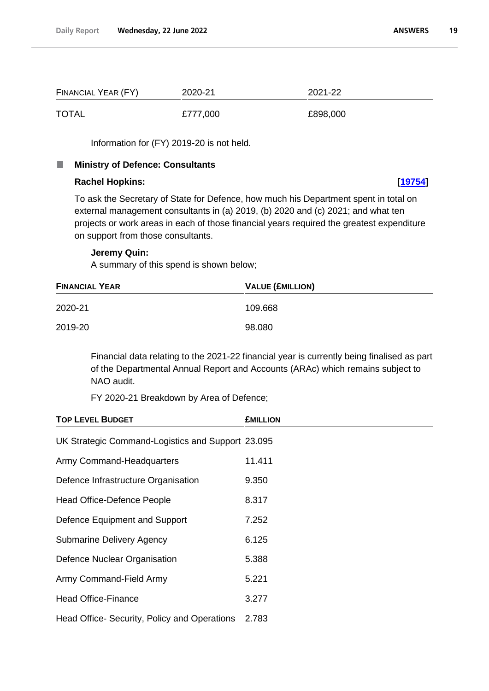| FINANCIAL YEAR (FY) | 2020-21  | 2021-22  |
|---------------------|----------|----------|
| <b>TOTAL</b>        | £777,000 | £898,000 |

Information for (FY) 2019-20 is not held.

#### <span id="page-18-0"></span>**I Ministry of Defence: Consultants**

# **Rachel Hopkins: [\[19754\]](http://www.parliament.uk/business/publications/written-questions-answers-statements/written-question/Commons/2022-06-16/19754)**

To ask the Secretary of State for Defence, how much his Department spent in total on external management consultants in (a) 2019, (b) 2020 and (c) 2021; and what ten projects or work areas in each of those financial years required the greatest expenditure on support from those consultants.

### **Jeremy Quin:**

A summary of this spend is shown below;

| <b>FINANCIAL YEAR</b> | <b>VALUE (£MILLION)</b> |  |
|-----------------------|-------------------------|--|
| 2020-21               | 109.668                 |  |
| 2019-20               | 98.080                  |  |

Financial data relating to the 2021-22 financial year is currently being finalised as part of the Departmental Annual Report and Accounts (ARAc) which remains subject to NAO audit.

FY 2020-21 Breakdown by Area of Defence;

| <b>TOP LEVEL BUDGET</b>                           | <b>EMILLION</b> |  |
|---------------------------------------------------|-----------------|--|
| UK Strategic Command-Logistics and Support 23.095 |                 |  |
| Army Command-Headquarters                         | 11.411          |  |
| Defence Infrastructure Organisation               | 9.350           |  |
| Head Office-Defence People                        | 8.317           |  |
| Defence Equipment and Support                     | 7.252           |  |
| <b>Submarine Delivery Agency</b>                  | 6.125           |  |
| Defence Nuclear Organisation                      | 5.388           |  |
| Army Command-Field Army                           | 5.221           |  |
| <b>Head Office-Finance</b>                        | 3.277           |  |
| Head Office- Security, Policy and Operations      | 2.783           |  |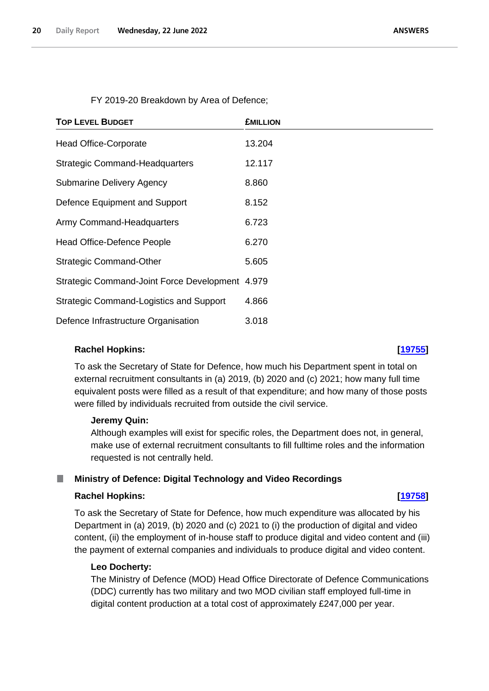FY 2019-20 Breakdown by Area of Defence;

| <b>TOP LEVEL BUDGET</b>                         | <b>£MILLION</b> |
|-------------------------------------------------|-----------------|
| <b>Head Office-Corporate</b>                    | 13.204          |
| <b>Strategic Command-Headquarters</b>           | 12.117          |
| <b>Submarine Delivery Agency</b>                | 8.860           |
| Defence Equipment and Support                   | 8.152           |
| Army Command-Headquarters                       | 6.723           |
| Head Office-Defence People                      | 6.270           |
| <b>Strategic Command-Other</b>                  | 5.605           |
| Strategic Command-Joint Force Development 4.979 |                 |
| <b>Strategic Command-Logistics and Support</b>  | 4.866           |
| Defence Infrastructure Organisation             | 3.018           |

## **Rachel Hopkins: [\[19755\]](http://www.parliament.uk/business/publications/written-questions-answers-statements/written-question/Commons/2022-06-16/19755)**

To ask the Secretary of State for Defence, how much his Department spent in total on external recruitment consultants in (a) 2019, (b) 2020 and (c) 2021; how many full time equivalent posts were filled as a result of that expenditure; and how many of those posts were filled by individuals recruited from outside the civil service.

### **Jeremy Quin:**

Although examples will exist for specific roles, the Department does not, in general, make use of external recruitment consultants to fill fulltime roles and the information requested is not centrally held.

#### <span id="page-19-0"></span>**Ministry of Defence: Digital Technology and Video Recordings** H

### **Rachel Hopkins: [\[19758\]](http://www.parliament.uk/business/publications/written-questions-answers-statements/written-question/Commons/2022-06-16/19758)**

To ask the Secretary of State for Defence, how much expenditure was allocated by his Department in (a) 2019, (b) 2020 and (c) 2021 to (i) the production of digital and video content, (ii) the employment of in-house staff to produce digital and video content and (iii) the payment of external companies and individuals to produce digital and video content.

### **Leo Docherty:**

The Ministry of Defence (MOD) Head Office Directorate of Defence Communications (DDC) currently has two military and two MOD civilian staff employed full-time in digital content production at a total cost of approximately £247,000 per year.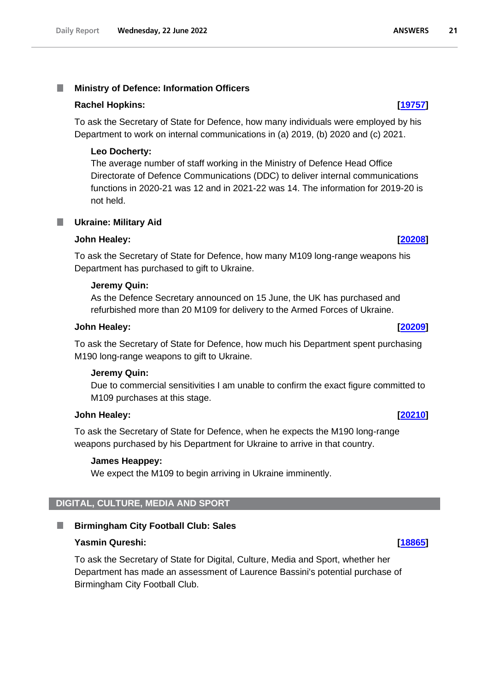#### <span id="page-20-0"></span>T. **Ministry of Defence: Information Officers**

### **Rachel Hopkins: [\[19757\]](http://www.parliament.uk/business/publications/written-questions-answers-statements/written-question/Commons/2022-06-16/19757)**

To ask the Secretary of State for Defence, how many individuals were employed by his Department to work on internal communications in (a) 2019, (b) 2020 and (c) 2021.

# **Leo Docherty:**

The average number of staff working in the Ministry of Defence Head Office Directorate of Defence Communications (DDC) to deliver internal communications functions in 2020-21 was 12 and in 2021-22 was 14. The information for 2019-20 is not held.

<span id="page-20-1"></span>**Ukraine: Military Aid** T.

## **John Healey: [\[20208\]](http://www.parliament.uk/business/publications/written-questions-answers-statements/written-question/Commons/2022-06-17/20208)**

To ask the Secretary of State for Defence, how many M109 long-range weapons his Department has purchased to gift to Ukraine.

### **Jeremy Quin:**

As the Defence Secretary announced on 15 June, the UK has purchased and refurbished more than 20 M109 for delivery to the Armed Forces of Ukraine.

### **John Healey: [\[20209\]](http://www.parliament.uk/business/publications/written-questions-answers-statements/written-question/Commons/2022-06-17/20209)**

To ask the Secretary of State for Defence, how much his Department spent purchasing M190 long-range weapons to gift to Ukraine.

## **Jeremy Quin:**

Due to commercial sensitivities I am unable to confirm the exact figure committed to M109 purchases at this stage.

### **John Healey: [\[20210\]](http://www.parliament.uk/business/publications/written-questions-answers-statements/written-question/Commons/2022-06-17/20210)**

To ask the Secretary of State for Defence, when he expects the M190 long-range weapons purchased by his Department for Ukraine to arrive in that country.

# **James Heappey:**

We expect the M109 to begin arriving in Ukraine imminently.

# <span id="page-20-2"></span>**DIGITAL, CULTURE, MEDIA AND SPORT**

<span id="page-20-3"></span>**Birmingham City Football Club: Sales** 

# **Yasmin Qureshi: [\[18865\]](http://www.parliament.uk/business/publications/written-questions-answers-statements/written-question/Commons/2022-06-15/18865)**

To ask the Secretary of State for Digital, Culture, Media and Sport, whether her Department has made an assessment of Laurence Bassini's potential purchase of Birmingham City Football Club.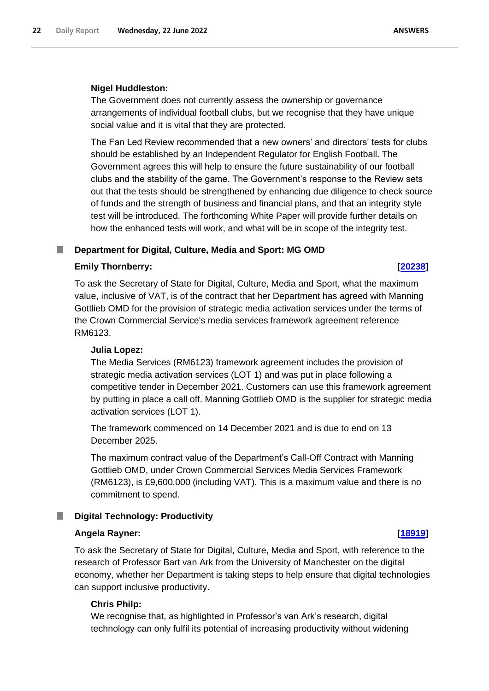# **Nigel Huddleston:**

The Government does not currently assess the ownership or governance arrangements of individual football clubs, but we recognise that they have unique social value and it is vital that they are protected.

The Fan Led Review recommended that a new owners' and directors' tests for clubs should be established by an Independent Regulator for English Football. The Government agrees this will help to ensure the future sustainability of our football clubs and the stability of the game. The Government's response to the Review sets out that the tests should be strengthened by enhancing due diligence to check source of funds and the strength of business and financial plans, and that an integrity style test will be introduced. The forthcoming White Paper will provide further details on how the enhanced tests will work, and what will be in scope of the integrity test.

# <span id="page-21-0"></span>■ **Department for Digital, Culture, Media and Sport: MG OMD**

# **Emily Thornberry: [\[20238\]](http://www.parliament.uk/business/publications/written-questions-answers-statements/written-question/Commons/2022-06-17/20238)**

To ask the Secretary of State for Digital, Culture, Media and Sport, what the maximum value, inclusive of VAT, is of the contract that her Department has agreed with Manning Gottlieb OMD for the provision of strategic media activation services under the terms of the Crown Commercial Service's media services framework agreement reference RM6123.

# **Julia Lopez:**

The Media Services (RM6123) framework agreement includes the provision of strategic media activation services (LOT 1) and was put in place following a competitive tender in December 2021. Customers can use this framework agreement by putting in place a call off. Manning Gottlieb OMD is the supplier for strategic media activation services (LOT 1).

The framework commenced on 14 December 2021 and is due to end on 13 December 2025.

The maximum contract value of the Department's Call-Off Contract with Manning Gottlieb OMD, under Crown Commercial Services Media Services Framework (RM6123), is £9,600,000 (including VAT). This is a maximum value and there is no commitment to spend.

# <span id="page-21-1"></span>**Digital Technology: Productivity**

# **Angela Rayner: [\[18919\]](http://www.parliament.uk/business/publications/written-questions-answers-statements/written-question/Commons/2022-06-15/18919)**

To ask the Secretary of State for Digital, Culture, Media and Sport, with reference to the research of Professor Bart van Ark from the University of Manchester on the digital economy, whether her Department is taking steps to help ensure that digital technologies can support inclusive productivity.

# **Chris Philp:**

We recognise that, as highlighted in Professor's van Ark's research, digital technology can only fulfil its potential of increasing productivity without widening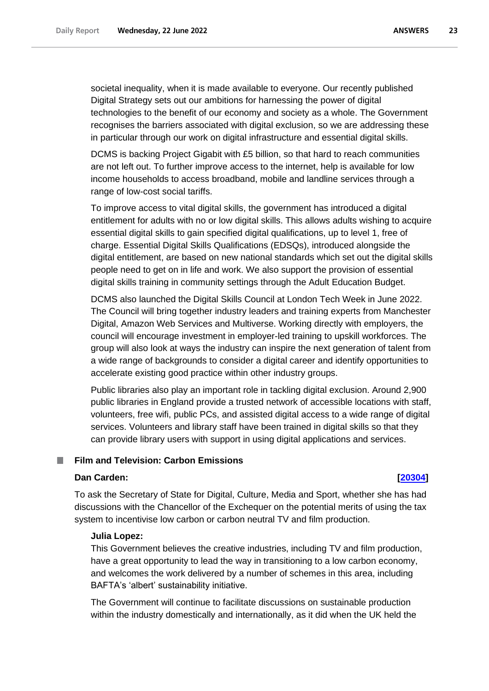societal inequality, when it is made available to everyone. Our recently published Digital Strategy sets out our ambitions for harnessing the power of digital technologies to the benefit of our economy and society as a whole. The Government recognises the barriers associated with digital exclusion, so we are addressing these in particular through our work on digital infrastructure and essential digital skills.

DCMS is backing Project Gigabit with £5 billion, so that hard to reach communities are not left out. To further improve access to the internet, help is available for low income households to access broadband, mobile and landline services through a range of low-cost social tariffs.

To improve access to vital digital skills, the government has introduced a digital entitlement for adults with no or low digital skills. This allows adults wishing to acquire essential digital skills to gain specified digital qualifications, up to level 1, free of charge. Essential Digital Skills Qualifications (EDSQs), introduced alongside the digital entitlement, are based on new national standards which set out the digital skills people need to get on in life and work. We also support the provision of essential digital skills training in community settings through the Adult Education Budget.

DCMS also launched the Digital Skills Council at London Tech Week in June 2022. The Council will bring together industry leaders and training experts from Manchester Digital, Amazon Web Services and Multiverse. Working directly with employers, the council will encourage investment in employer-led training to upskill workforces. The group will also look at ways the industry can inspire the next generation of talent from a wide range of backgrounds to consider a digital career and identify opportunities to accelerate existing good practice within other industry groups.

Public libraries also play an important role in tackling digital exclusion. Around 2,900 public libraries in England provide a trusted network of accessible locations with staff, volunteers, free wifi, public PCs, and assisted digital access to a wide range of digital services. Volunteers and library staff have been trained in digital skills so that they can provide library users with support in using digital applications and services.

## <span id="page-22-0"></span>**Film and Television: Carbon Emissions**

### **Dan Carden: [\[20304\]](http://www.parliament.uk/business/publications/written-questions-answers-statements/written-question/Commons/2022-06-17/20304)**

To ask the Secretary of State for Digital, Culture, Media and Sport, whether she has had discussions with the Chancellor of the Exchequer on the potential merits of using the tax system to incentivise low carbon or carbon neutral TV and film production.

### **Julia Lopez:**

This Government believes the creative industries, including TV and film production, have a great opportunity to lead the way in transitioning to a low carbon economy, and welcomes the work delivered by a number of schemes in this area, including BAFTA's 'albert' sustainability initiative.

The Government will continue to facilitate discussions on sustainable production within the industry domestically and internationally, as it did when the UK held the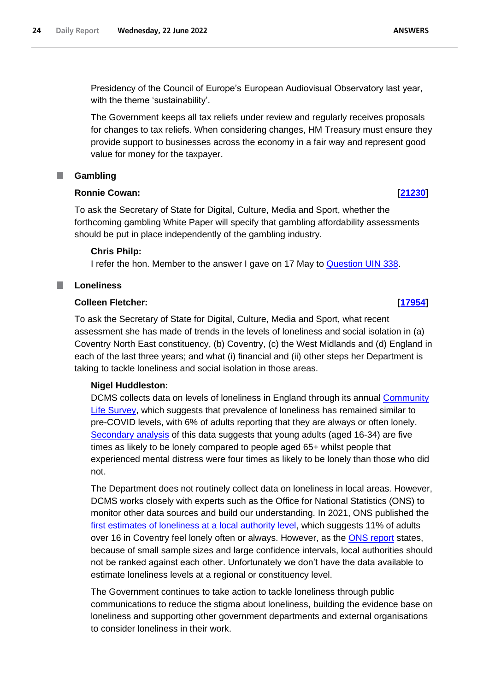Presidency of the Council of Europe's European Audiovisual Observatory last year, with the theme 'sustainability'.

The Government keeps all tax reliefs under review and regularly receives proposals for changes to tax reliefs. When considering changes, HM Treasury must ensure they provide support to businesses across the economy in a fair way and represent good value for money for the taxpayer.

# <span id="page-23-0"></span>**Gambling**

## **Ronnie Cowan: [\[21230\]](http://www.parliament.uk/business/publications/written-questions-answers-statements/written-question/Commons/2022-06-20/21230)**

To ask the Secretary of State for Digital, Culture, Media and Sport, whether the forthcoming gambling White Paper will specify that gambling affordability assessments should be put in place independently of the gambling industry.

# **Chris Philp:**

I refer the hon. Member to the answer I gave on 17 May to Question UIN 338.

#### <span id="page-23-1"></span>m. **Loneliness**

# **Colleen Fletcher: [\[17954\]](http://www.parliament.uk/business/publications/written-questions-answers-statements/written-question/Commons/2022-06-14/17954)**

To ask the Secretary of State for Digital, Culture, Media and Sport, what recent assessment she has made of trends in the levels of loneliness and social isolation in (a) Coventry North East constituency, (b) Coventry, (c) the West Midlands and (d) England in each of the last three years; and what (i) financial and (ii) other steps her Department is taking to tackle loneliness and social isolation in those areas.

# **Nigel Huddleston:**

DCMS collects data on levels of loneliness in England through its annual Community Life Survey, which suggests that prevalence of loneliness has remained similar to pre-COVID levels, with 6% of adults reporting that they are always or often lonely. Secondary analysis of this data suggests that young adults (aged 16-34) are five times as likely to be lonely compared to people aged 65+ whilst people that experienced mental distress were four times as likely to be lonely than those who did not.

The Department does not routinely collect data on loneliness in local areas. However, DCMS works closely with experts such as the Office for National Statistics (ONS) to monitor other data sources and build our understanding. In 2021, ONS published the [first estimates of loneliness at a local authority level,](https://www.ons.gov.uk/peoplepopulationandcommunity/wellbeing/articles/mappinglonelinessduringthecoronaviruspandemic/2021-04-07) which suggests 11% of adults over 16 in Coventry feel lonely often or always. However, as the [ONS report](https://www.ons.gov.uk/peoplepopulationandcommunity/wellbeing/articles/mappinglonelinessduringthecoronaviruspandemic/2021-04-07) states, because of small sample sizes and large confidence intervals, local authorities should not be ranked against each other. Unfortunately we don't have the data available to estimate loneliness levels at a regional or constituency level.

The Government continues to take action to tackle loneliness through public communications to reduce the stigma about loneliness, building the evidence base on loneliness and supporting other government departments and external organisations to consider loneliness in their work.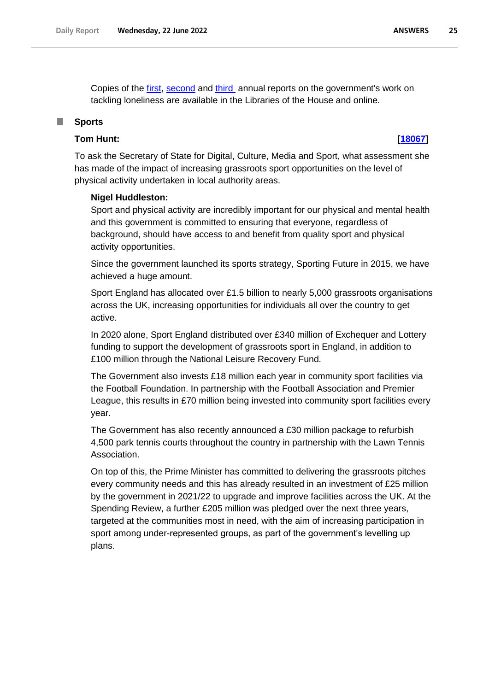Copies of the [first,](https://www.gov.uk/government/publications/loneliness-annual-report-the-first-year) [second](https://www.gov.uk/government/publications/loneliness-annual-report-the-second-year) and [third](https://www.gov.uk/government/publications/loneliness-annual-report-the-third-year/tackling-loneliness-annual-report-february-2022-the-third-year) annual reports on the government's work on tackling loneliness are available in the Libraries of the House and online.

### <span id="page-24-0"></span>**Sports**

# **Tom Hunt: [\[18067\]](http://www.parliament.uk/business/publications/written-questions-answers-statements/written-question/Commons/2022-06-14/18067)**

To ask the Secretary of State for Digital, Culture, Media and Sport, what assessment she has made of the impact of increasing grassroots sport opportunities on the level of physical activity undertaken in local authority areas.

#### **Nigel Huddleston:**

Sport and physical activity are incredibly important for our physical and mental health and this government is committed to ensuring that everyone, regardless of background, should have access to and benefit from quality sport and physical activity opportunities.

Since the government launched its sports strategy, Sporting Future in 2015, we have achieved a huge amount.

Sport England has allocated over £1.5 billion to nearly 5,000 grassroots organisations across the UK, increasing opportunities for individuals all over the country to get active.

In 2020 alone, Sport England distributed over £340 million of Exchequer and Lottery funding to support the development of grassroots sport in England, in addition to £100 million through the National Leisure Recovery Fund.

The Government also invests £18 million each year in community sport facilities via the Football Foundation. In partnership with the Football Association and Premier League, this results in £70 million being invested into community sport facilities every year.

The Government has also recently announced a £30 million package to refurbish 4,500 park tennis courts throughout the country in partnership with the Lawn Tennis Association.

On top of this, the Prime Minister has committed to delivering the grassroots pitches every community needs and this has already resulted in an investment of £25 million by the government in 2021/22 to upgrade and improve facilities across the UK. At the Spending Review, a further £205 million was pledged over the next three years, targeted at the communities most in need, with the aim of increasing participation in sport among under-represented groups, as part of the government's levelling up plans.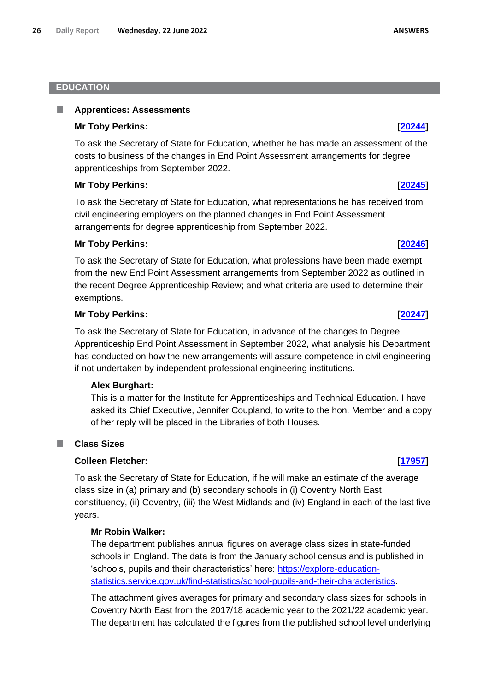## <span id="page-25-0"></span>**EDUCATION**

#### <span id="page-25-1"></span>**Apprentices: Assessments** ш

## **Mr Toby Perkins: [\[20244\]](http://www.parliament.uk/business/publications/written-questions-answers-statements/written-question/Commons/2022-06-17/20244)**

To ask the Secretary of State for Education, whether he has made an assessment of the costs to business of the changes in End Point Assessment arrangements for degree apprenticeships from September 2022.

# **Mr Toby Perkins: [\[20245\]](http://www.parliament.uk/business/publications/written-questions-answers-statements/written-question/Commons/2022-06-17/20245)**

To ask the Secretary of State for Education, what representations he has received from civil engineering employers on the planned changes in End Point Assessment arrangements for degree apprenticeship from September 2022.

# **Mr Toby Perkins: [\[20246\]](http://www.parliament.uk/business/publications/written-questions-answers-statements/written-question/Commons/2022-06-17/20246)**

To ask the Secretary of State for Education, what professions have been made exempt from the new End Point Assessment arrangements from September 2022 as outlined in the recent Degree Apprenticeship Review; and what criteria are used to determine their exemptions.

# **Mr Toby Perkins: [\[20247\]](http://www.parliament.uk/business/publications/written-questions-answers-statements/written-question/Commons/2022-06-17/20247)**

To ask the Secretary of State for Education, in advance of the changes to Degree Apprenticeship End Point Assessment in September 2022, what analysis his Department has conducted on how the new arrangements will assure competence in civil engineering if not undertaken by independent professional engineering institutions.

## **Alex Burghart:**

This is a matter for the Institute for Apprenticeships and Technical Education. I have asked its Chief Executive, Jennifer Coupland, to write to the hon. Member and a copy of her reply will be placed in the Libraries of both Houses.

#### <span id="page-25-2"></span>**Class Sizes** ш

## **Colleen Fletcher: [\[17957\]](http://www.parliament.uk/business/publications/written-questions-answers-statements/written-question/Commons/2022-06-14/17957)**

To ask the Secretary of State for Education, if he will make an estimate of the average class size in (a) primary and (b) secondary schools in (i) Coventry North East constituency, (ii) Coventry, (iii) the West Midlands and (iv) England in each of the last five years.

## **Mr Robin Walker:**

The department publishes annual figures on average class sizes in state-funded schools in England. The data is from the January school census and is published in 'schools, pupils and their characteristics' here: https://explore-educationstatistics.service.gov.uk/find-statistics/school-pupils-and-their-characteristics.

The attachment gives averages for primary and secondary class sizes for schools in Coventry North East from the 2017/18 academic year to the 2021/22 academic year. The department has calculated the figures from the published school level underlying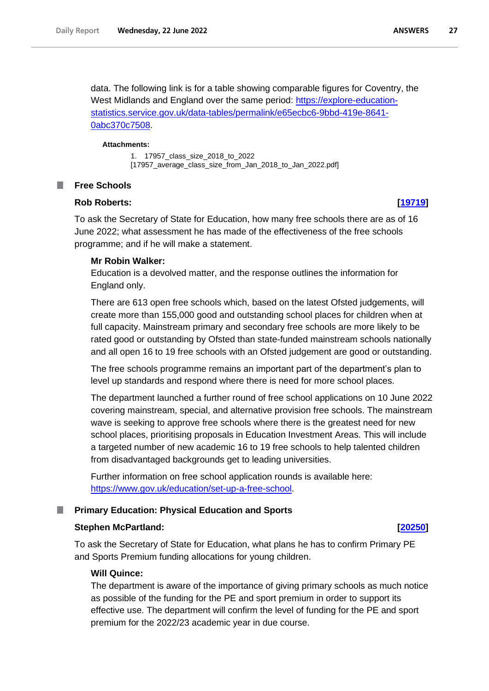**ANSWERS** 27

data. The following link is for a table showing comparable figures for Coventry, the West Midlands and England over the same period: [https://explore-education](https://explore-education-statistics.service.gov.uk/data-tables/permalink/e65ecbc6-9bbd-419e-8641-0abc370c7508)[statistics.service.gov.uk/data-tables/permalink/e65ecbc6-9bbd-419e-8641-](https://explore-education-statistics.service.gov.uk/data-tables/permalink/e65ecbc6-9bbd-419e-8641-0abc370c7508) [0abc370c7508.](https://explore-education-statistics.service.gov.uk/data-tables/permalink/e65ecbc6-9bbd-419e-8641-0abc370c7508)

#### **Attachments:**

1. 17957\_class\_size\_2018\_to\_2022 [17957\_average\_class\_size\_from\_Jan\_2018\_to\_Jan\_2022.pdf]

#### <span id="page-26-0"></span>**I Free Schools**

# **Rob Roberts: [\[19719\]](http://www.parliament.uk/business/publications/written-questions-answers-statements/written-question/Commons/2022-06-16/19719)**

To ask the Secretary of State for Education, how many free schools there are as of 16 June 2022; what assessment he has made of the effectiveness of the free schools programme; and if he will make a statement.

### **Mr Robin Walker:**

Education is a devolved matter, and the response outlines the information for England only.

There are 613 open free schools which, based on the latest Ofsted judgements, will create more than 155,000 good and outstanding school places for children when at full capacity. Mainstream primary and secondary free schools are more likely to be rated good or outstanding by Ofsted than state-funded mainstream schools nationally and all open 16 to 19 free schools with an Ofsted judgement are good or outstanding.

The free schools programme remains an important part of the department's plan to level up standards and respond where there is need for more school places.

The department launched a further round of free school applications on 10 June 2022 covering mainstream, special, and alternative provision free schools. The mainstream wave is seeking to approve free schools where there is the greatest need for new school places, prioritising proposals in Education Investment Areas. This will include a targeted number of new academic 16 to 19 free schools to help talented children from disadvantaged backgrounds get to leading universities.

Further information on free school application rounds is available here: [https://www.gov.uk/education/set-up-a-free-school.](https://www.gov.uk/education/set-up-a-free-school)

### <span id="page-26-1"></span>**Primary Education: Physical Education and Sports**

### **Stephen McPartland: [\[20250\]](http://www.parliament.uk/business/publications/written-questions-answers-statements/written-question/Commons/2022-06-17/20250)**

To ask the Secretary of State for Education, what plans he has to confirm Primary PE and Sports Premium funding allocations for young children.

### **Will Quince:**

The department is aware of the importance of giving primary schools as much notice as possible of the funding for the PE and sport premium in order to support its effective use. The department will confirm the level of funding for the PE and sport premium for the 2022/23 academic year in due course.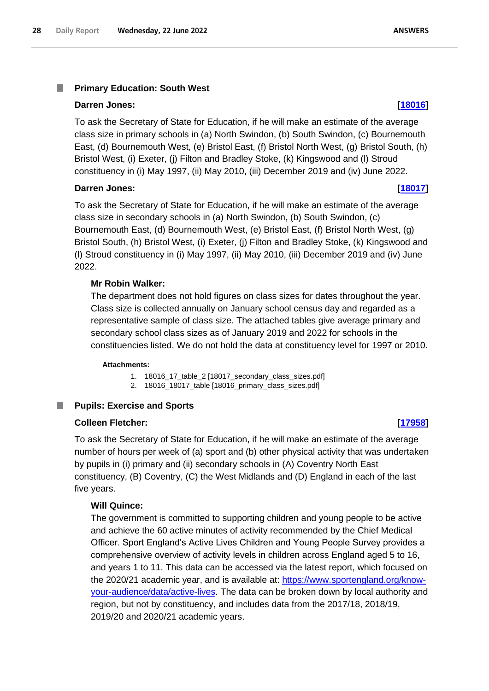#### <span id="page-27-0"></span>T. **Primary Education: South West**

### **Darren Jones: [\[18016\]](http://www.parliament.uk/business/publications/written-questions-answers-statements/written-question/Commons/2022-06-14/18016)**

To ask the Secretary of State for Education, if he will make an estimate of the average class size in primary schools in (a) North Swindon, (b) South Swindon, (c) Bournemouth East, (d) Bournemouth West, (e) Bristol East, (f) Bristol North West, (g) Bristol South, (h) Bristol West, (i) Exeter, (j) Filton and Bradley Stoke, (k) Kingswood and (l) Stroud constituency in (i) May 1997, (ii) May 2010, (iii) December 2019 and (iv) June 2022.

## **Darren Jones: [\[18017\]](http://www.parliament.uk/business/publications/written-questions-answers-statements/written-question/Commons/2022-06-14/18017)**

To ask the Secretary of State for Education, if he will make an estimate of the average class size in secondary schools in (a) North Swindon, (b) South Swindon, (c) Bournemouth East, (d) Bournemouth West, (e) Bristol East, (f) Bristol North West, (g) Bristol South, (h) Bristol West, (i) Exeter, (j) Filton and Bradley Stoke, (k) Kingswood and (l) Stroud constituency in (i) May 1997, (ii) May 2010, (iii) December 2019 and (iv) June 2022.

# **Mr Robin Walker:**

The department does not hold figures on class sizes for dates throughout the year. Class size is collected annually on January school census day and regarded as a representative sample of class size. The attached tables give average primary and secondary school class sizes as of January 2019 and 2022 for schools in the constituencies listed. We do not hold the data at constituency level for 1997 or 2010.

#### **Attachments:**

- 1. 18016\_17\_table\_2 [18017\_secondary\_class\_sizes.pdf]
- 2. 18016\_18017\_table [18016\_primary\_class\_sizes.pdf]

#### <span id="page-27-1"></span>**Pupils: Exercise and Sports** ш

### **Colleen Fletcher: [\[17958\]](http://www.parliament.uk/business/publications/written-questions-answers-statements/written-question/Commons/2022-06-14/17958)**

To ask the Secretary of State for Education, if he will make an estimate of the average number of hours per week of (a) sport and (b) other physical activity that was undertaken by pupils in (i) primary and (ii) secondary schools in (A) Coventry North East constituency, (B) Coventry, (C) the West Midlands and (D) England in each of the last five years.

### **Will Quince:**

The government is committed to supporting children and young people to be active and achieve the 60 active minutes of activity recommended by the Chief Medical Officer. Sport England's Active Lives Children and Young People Survey provides a comprehensive overview of activity levels in children across England aged 5 to 16, and years 1 to 11. This data can be accessed via the latest report, which focused on the 2020/21 academic year, and is available at: https://www.sportengland.org/knowyour-audience/data/active-lives. The data can be broken down by local authority and region, but not by constituency, and includes data from the 2017/18, 2018/19, 2019/20 and 2020/21 academic years.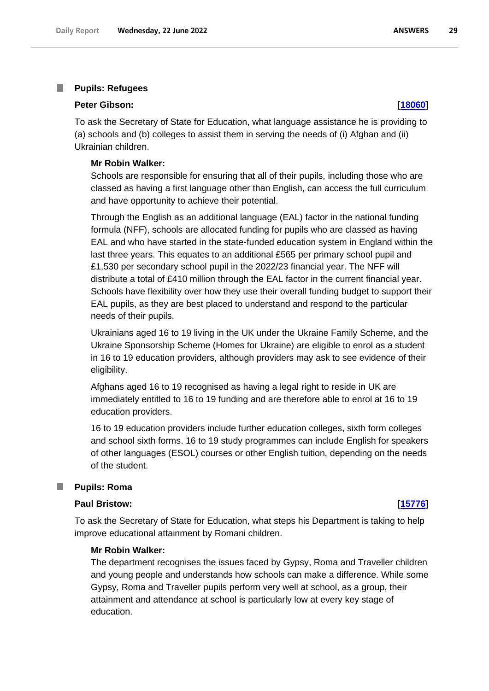#### <span id="page-28-0"></span>T. **Pupils: Refugees**

### **Peter Gibson: [\[18060\]](http://www.parliament.uk/business/publications/written-questions-answers-statements/written-question/Commons/2022-06-14/18060)**

To ask the Secretary of State for Education, what language assistance he is providing to (a) schools and (b) colleges to assist them in serving the needs of (i) Afghan and (ii) Ukrainian children.

### **Mr Robin Walker:**

Schools are responsible for ensuring that all of their pupils, including those who are classed as having a first language other than English, can access the full curriculum and have opportunity to achieve their potential.

Through the English as an additional language (EAL) factor in the national funding formula (NFF), schools are allocated funding for pupils who are classed as having EAL and who have started in the state-funded education system in England within the last three years. This equates to an additional £565 per primary school pupil and £1,530 per secondary school pupil in the 2022/23 financial year. The NFF will distribute a total of £410 million through the EAL factor in the current financial year. Schools have flexibility over how they use their overall funding budget to support their EAL pupils, as they are best placed to understand and respond to the particular needs of their pupils.

Ukrainians aged 16 to 19 living in the UK under the Ukraine Family Scheme, and the Ukraine Sponsorship Scheme (Homes for Ukraine) are eligible to enrol as a student in 16 to 19 education providers, although providers may ask to see evidence of their eligibility.

Afghans aged 16 to 19 recognised as having a legal right to reside in UK are immediately entitled to 16 to 19 funding and are therefore able to enrol at 16 to 19 education providers.

16 to 19 education providers include further education colleges, sixth form colleges and school sixth forms. 16 to 19 study programmes can include English for speakers of other languages (ESOL) courses or other English tuition, depending on the needs of the student.

### <span id="page-28-1"></span>**Pupils: Roma**

### **Paul Bristow: [\[15776\]](http://www.parliament.uk/business/publications/written-questions-answers-statements/written-question/Commons/2022-06-10/15776)**

To ask the Secretary of State for Education, what steps his Department is taking to help improve educational attainment by Romani children.

### **Mr Robin Walker:**

The department recognises the issues faced by Gypsy, Roma and Traveller children and young people and understands how schools can make a difference. While some Gypsy, Roma and Traveller pupils perform very well at school, as a group, their attainment and attendance at school is particularly low at every key stage of education.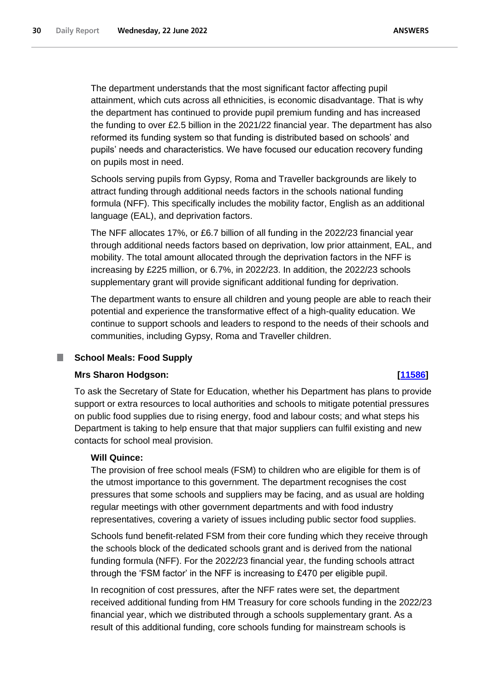The department understands that the most significant factor affecting pupil attainment, which cuts across all ethnicities, is economic disadvantage. That is why the department has continued to provide pupil premium funding and has increased the funding to over £2.5 billion in the 2021/22 financial year. The department has also reformed its funding system so that funding is distributed based on schools' and pupils' needs and characteristics. We have focused our education recovery funding on pupils most in need.

Schools serving pupils from Gypsy, Roma and Traveller backgrounds are likely to attract funding through additional needs factors in the schools national funding formula (NFF). This specifically includes the mobility factor, English as an additional language (EAL), and deprivation factors.

The NFF allocates 17%, or £6.7 billion of all funding in the 2022/23 financial year through additional needs factors based on deprivation, low prior attainment, EAL, and mobility. The total amount allocated through the deprivation factors in the NFF is increasing by £225 million, or 6.7%, in 2022/23. In addition, the 2022/23 schools supplementary grant will provide significant additional funding for deprivation.

The department wants to ensure all children and young people are able to reach their potential and experience the transformative effect of a high-quality education. We continue to support schools and leaders to respond to the needs of their schools and communities, including Gypsy, Roma and Traveller children.

#### <span id="page-29-0"></span>**School Meals: Food Supply** T.

## **Mrs Sharon Hodgson: [\[11586\]](http://www.parliament.uk/business/publications/written-questions-answers-statements/written-question/Commons/2022-06-01/11586)**

To ask the Secretary of State for Education, whether his Department has plans to provide support or extra resources to local authorities and schools to mitigate potential pressures on public food supplies due to rising energy, food and labour costs; and what steps his Department is taking to help ensure that that major suppliers can fulfil existing and new contacts for school meal provision.

## **Will Quince:**

The provision of free school meals (FSM) to children who are eligible for them is of the utmost importance to this government. The department recognises the cost pressures that some schools and suppliers may be facing, and as usual are holding regular meetings with other government departments and with food industry representatives, covering a variety of issues including public sector food supplies.

Schools fund benefit-related FSM from their core funding which they receive through the schools block of the dedicated schools grant and is derived from the national funding formula (NFF). For the 2022/23 financial year, the funding schools attract through the 'FSM factor' in the NFF is increasing to £470 per eligible pupil.

In recognition of cost pressures, after the NFF rates were set, the department received additional funding from HM Treasury for core schools funding in the 2022/23 financial year, which we distributed through a schools supplementary grant. As a result of this additional funding, core schools funding for mainstream schools is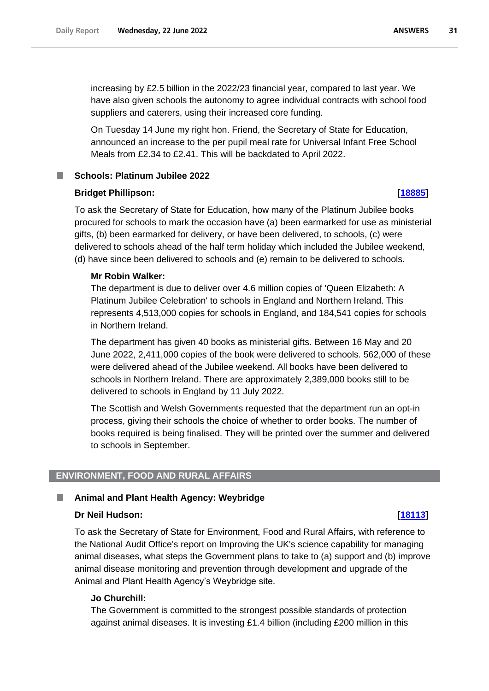increasing by £2.5 billion in the 2022/23 financial year, compared to last year. We have also given schools the autonomy to agree individual contracts with school food suppliers and caterers, using their increased core funding.

On Tuesday 14 June my right hon. Friend, the Secretary of State for Education, announced an increase to the per pupil meal rate for Universal Infant Free School Meals from £2.34 to £2.41. This will be backdated to April 2022.

# <span id="page-30-0"></span>**Schools: Platinum Jubilee 2022**

## **Bridget Phillipson: [\[18885\]](http://www.parliament.uk/business/publications/written-questions-answers-statements/written-question/Commons/2022-06-15/18885)**

To ask the Secretary of State for Education, how many of the Platinum Jubilee books procured for schools to mark the occasion have (a) been earmarked for use as ministerial gifts, (b) been earmarked for delivery, or have been delivered, to schools, (c) were delivered to schools ahead of the half term holiday which included the Jubilee weekend, (d) have since been delivered to schools and (e) remain to be delivered to schools.

## **Mr Robin Walker:**

The department is due to deliver over 4.6 million copies of 'Queen Elizabeth: A Platinum Jubilee Celebration' to schools in England and Northern Ireland. This represents 4,513,000 copies for schools in England, and 184,541 copies for schools in Northern Ireland.

The department has given 40 books as ministerial gifts. Between 16 May and 20 June 2022, 2,411,000 copies of the book were delivered to schools. 562,000 of these were delivered ahead of the Jubilee weekend. All books have been delivered to schools in Northern Ireland. There are approximately 2,389,000 books still to be delivered to schools in England by 11 July 2022.

The Scottish and Welsh Governments requested that the department run an opt-in process, giving their schools the choice of whether to order books. The number of books required is being finalised. They will be printed over the summer and delivered to schools in September.

### <span id="page-30-1"></span>**ENVIRONMENT, FOOD AND RURAL AFFAIRS**

### <span id="page-30-2"></span>**Animal and Plant Health Agency: Weybridge**

### **Dr Neil Hudson: [\[18113\]](http://www.parliament.uk/business/publications/written-questions-answers-statements/written-question/Commons/2022-06-14/18113)**

To ask the Secretary of State for Environment, Food and Rural Affairs, with reference to the National Audit Office's report on Improving the UK's science capability for managing animal diseases, what steps the Government plans to take to (a) support and (b) improve animal disease monitoring and prevention through development and upgrade of the Animal and Plant Health Agency's Weybridge site.

### **Jo Churchill:**

The Government is committed to the strongest possible standards of protection against animal diseases. It is investing £1.4 billion (including £200 million in this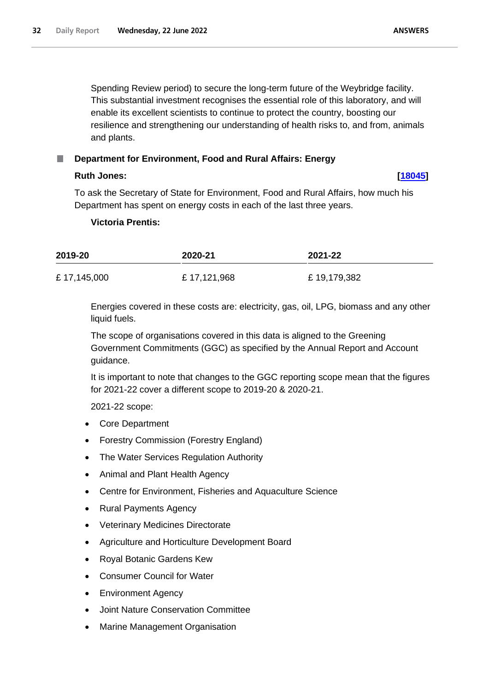Spending Review period) to secure the long-term future of the Weybridge facility. This substantial investment recognises the essential role of this laboratory, and will enable its excellent scientists to continue to protect the country, boosting our resilience and strengthening our understanding of health risks to, and from, animals and plants.

# **Ruth Jones: [\[18045\]](http://www.parliament.uk/business/publications/written-questions-answers-statements/written-question/Commons/2022-06-14/18045)**

To ask the Secretary of State for Environment, Food and Rural Affairs, how much his Department has spent on energy costs in each of the last three years.

<span id="page-31-0"></span>**Department for Environment, Food and Rural Affairs: Energy**

# **Victoria Prentis:**

| 2019-20     | 2020-21     | 2021-22     |  |
|-------------|-------------|-------------|--|
| £17,145,000 | £17,121,968 | £19,179,382 |  |

Energies covered in these costs are: electricity, gas, oil, LPG, biomass and any other liquid fuels.

The scope of organisations covered in this data is aligned to the Greening Government Commitments (GGC) as specified by the Annual Report and Account guidance.

It is important to note that changes to the GGC reporting scope mean that the figures for 2021-22 cover a different scope to 2019-20 & 2020-21.

2021-22 scope:

- Core Department
- Forestry Commission (Forestry England)
- The Water Services Regulation Authority
- Animal and Plant Health Agency
- Centre for Environment, Fisheries and Aquaculture Science
- Rural Payments Agency
- Veterinary Medicines Directorate
- Agriculture and Horticulture Development Board
- Royal Botanic Gardens Kew
- Consumer Council for Water
- Environment Agency
- Joint Nature Conservation Committee
- Marine Management Organisation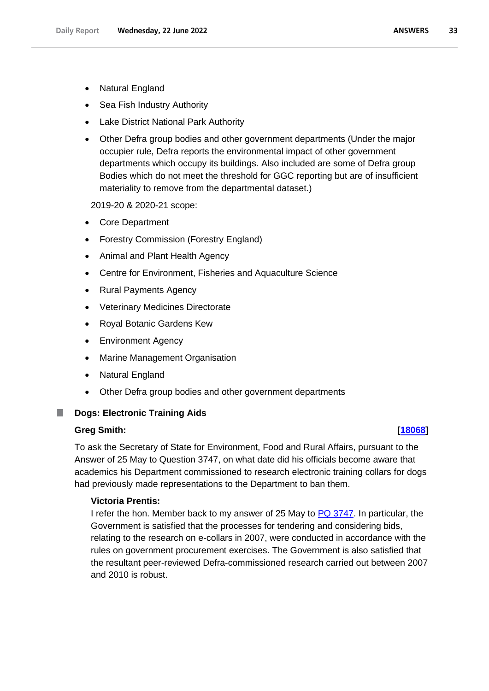- Sea Fish Industry Authority
- Lake District National Park Authority
- Other Defra group bodies and other government departments (Under the major occupier rule, Defra reports the environmental impact of other government departments which occupy its buildings. Also included are some of Defra group Bodies which do not meet the threshold for GGC reporting but are of insufficient materiality to remove from the departmental dataset.)

2019-20 & 2020-21 scope:

- Core Department
- Forestry Commission (Forestry England)
- Animal and Plant Health Agency
- Centre for Environment, Fisheries and Aquaculture Science
- Rural Payments Agency
- Veterinary Medicines Directorate
- Royal Botanic Gardens Kew
- Environment Agency
- Marine Management Organisation
- Natural England
- Other Defra group bodies and other government departments

#### <span id="page-32-0"></span>П **Dogs: Electronic Training Aids**

### **Greg Smith: [\[18068\]](http://www.parliament.uk/business/publications/written-questions-answers-statements/written-question/Commons/2022-06-14/18068)**

To ask the Secretary of State for Environment, Food and Rural Affairs, pursuant to the Answer of 25 May to Question 3747, on what date did his officials become aware that academics his Department commissioned to research electronic training collars for dogs had previously made representations to the Department to ban them.

## **Victoria Prentis:**

I refer the hon. Member back to my answer of 25 May to  $PQ$  3747. In particular, the Government is satisfied that the processes for tendering and considering bids, relating to the research on e-collars in 2007, were conducted in accordance with the rules on government procurement exercises. The Government is also satisfied that the resultant peer-reviewed Defra-commissioned research carried out between 2007 and 2010 is robust.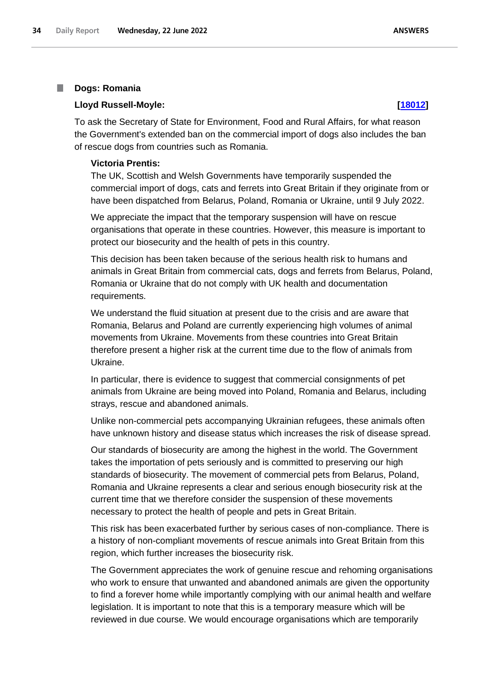#### <span id="page-33-0"></span>H **Dogs: Romania**

### **Lloyd Russell-Moyle: [\[18012\]](http://www.parliament.uk/business/publications/written-questions-answers-statements/written-question/Commons/2022-06-14/18012)**

# To ask the Secretary of State for Environment, Food and Rural Affairs, for what reason the Government's extended ban on the commercial import of dogs also includes the ban of rescue dogs from countries such as Romania.

### **Victoria Prentis:**

The UK, Scottish and Welsh Governments have temporarily suspended the commercial import of dogs, cats and ferrets into Great Britain if they originate from or have been dispatched from Belarus, Poland, Romania or Ukraine, until 9 July 2022.

We appreciate the impact that the temporary suspension will have on rescue organisations that operate in these countries. However, this measure is important to protect our biosecurity and the health of pets in this country.

This decision has been taken because of the serious health risk to humans and animals in Great Britain from commercial cats, dogs and ferrets from Belarus, Poland, Romania or Ukraine that do not comply with UK health and documentation requirements.

We understand the fluid situation at present due to the crisis and are aware that Romania, Belarus and Poland are currently experiencing high volumes of animal movements from Ukraine. Movements from these countries into Great Britain therefore present a higher risk at the current time due to the flow of animals from Ukraine.

In particular, there is evidence to suggest that commercial consignments of pet animals from Ukraine are being moved into Poland, Romania and Belarus, including strays, rescue and abandoned animals.

Unlike non-commercial pets accompanying Ukrainian refugees, these animals often have unknown history and disease status which increases the risk of disease spread.

Our standards of biosecurity are among the highest in the world. The Government takes the importation of pets seriously and is committed to preserving our high standards of biosecurity. The movement of commercial pets from Belarus, Poland, Romania and Ukraine represents a clear and serious enough biosecurity risk at the current time that we therefore consider the suspension of these movements necessary to protect the health of people and pets in Great Britain.

This risk has been exacerbated further by serious cases of non-compliance. There is a history of non-compliant movements of rescue animals into Great Britain from this region, which further increases the biosecurity risk.

The Government appreciates the work of genuine rescue and rehoming organisations who work to ensure that unwanted and abandoned animals are given the opportunity to find a forever home while importantly complying with our animal health and welfare legislation. It is important to note that this is a temporary measure which will be reviewed in due course. We would encourage organisations which are temporarily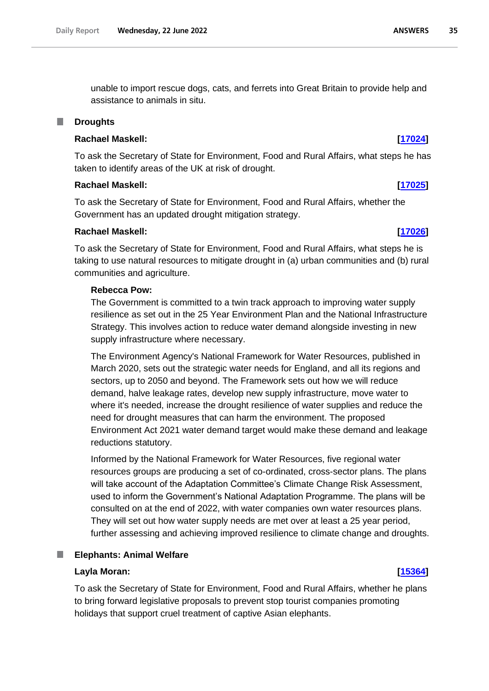unable to import rescue dogs, cats, and ferrets into Great Britain to provide help and assistance to animals in situ.

#### <span id="page-34-0"></span>T. **Droughts**

# **Rachael Maskell: [\[17024\]](http://www.parliament.uk/business/publications/written-questions-answers-statements/written-question/Commons/2022-06-13/17024)**

To ask the Secretary of State for Environment, Food and Rural Affairs, what steps he has taken to identify areas of the UK at risk of drought.

### **Rachael Maskell: [\[17025\]](http://www.parliament.uk/business/publications/written-questions-answers-statements/written-question/Commons/2022-06-13/17025)**

To ask the Secretary of State for Environment, Food and Rural Affairs, whether the Government has an updated drought mitigation strategy.

## **Rachael Maskell: [\[17026\]](http://www.parliament.uk/business/publications/written-questions-answers-statements/written-question/Commons/2022-06-13/17026)**

To ask the Secretary of State for Environment, Food and Rural Affairs, what steps he is taking to use natural resources to mitigate drought in (a) urban communities and (b) rural communities and agriculture.

### **Rebecca Pow:**

The Government is committed to a twin track approach to improving water supply resilience as set out in the 25 Year Environment Plan and the National Infrastructure Strategy. This involves action to reduce water demand alongside investing in new supply infrastructure where necessary.

The Environment Agency's National Framework for Water Resources, published in March 2020, sets out the strategic water needs for England, and all its regions and sectors, up to 2050 and beyond. The Framework sets out how we will reduce demand, halve leakage rates, develop new supply infrastructure, move water to where it's needed, increase the drought resilience of water supplies and reduce the need for drought measures that can harm the environment. The proposed Environment Act 2021 water demand target would make these demand and leakage reductions statutory.

Informed by the National Framework for Water Resources, five regional water resources groups are producing a set of co-ordinated, cross-sector plans. The plans will take account of the Adaptation Committee's Climate Change Risk Assessment, used to inform the Government's National Adaptation Programme. The plans will be consulted on at the end of 2022, with water companies own water resources plans. They will set out how water supply needs are met over at least a 25 year period, further assessing and achieving improved resilience to climate change and droughts.

#### <span id="page-34-1"></span>ш **Elephants: Animal Welfare**

## **Layla Moran: [\[15364\]](http://www.parliament.uk/business/publications/written-questions-answers-statements/written-question/Commons/2022-06-09/15364)**

To ask the Secretary of State for Environment, Food and Rural Affairs, whether he plans to bring forward legislative proposals to prevent stop tourist companies promoting holidays that support cruel treatment of captive Asian elephants.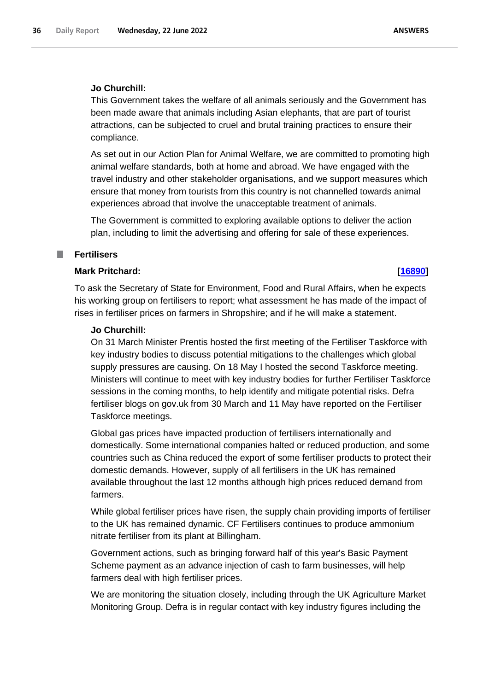# **Jo Churchill:**

This Government takes the welfare of all animals seriously and the Government has been made aware that animals including Asian elephants, that are part of tourist attractions, can be subjected to cruel and brutal training practices to ensure their compliance.

As set out in our Action Plan for Animal Welfare, we are committed to promoting high animal welfare standards, both at home and abroad. We have engaged with the travel industry and other stakeholder organisations, and we support measures which ensure that money from tourists from this country is not channelled towards animal experiences abroad that involve the unacceptable treatment of animals.

The Government is committed to exploring available options to deliver the action plan, including to limit the advertising and offering for sale of these experiences.

#### <span id="page-35-0"></span>T. **Fertilisers**

### **Mark Pritchard: [\[16890\]](http://www.parliament.uk/business/publications/written-questions-answers-statements/written-question/Commons/2022-06-13/16890)**

To ask the Secretary of State for Environment, Food and Rural Affairs, when he expects his working group on fertilisers to report; what assessment he has made of the impact of rises in fertiliser prices on farmers in Shropshire; and if he will make a statement.

### **Jo Churchill:**

On 31 March Minister Prentis hosted the first meeting of the Fertiliser Taskforce with key industry bodies to discuss potential mitigations to the challenges which global supply pressures are causing. On 18 May I hosted the second Taskforce meeting. Ministers will continue to meet with key industry bodies for further Fertiliser Taskforce sessions in the coming months, to help identify and mitigate potential risks. Defra fertiliser blogs on gov.uk from 30 March and 11 May have reported on the Fertiliser Taskforce meetings.

Global gas prices have impacted production of fertilisers internationally and domestically. Some international companies halted or reduced production, and some countries such as China reduced the export of some fertiliser products to protect their domestic demands. However, supply of all fertilisers in the UK has remained available throughout the last 12 months although high prices reduced demand from farmers.

While global fertiliser prices have risen, the supply chain providing imports of fertiliser to the UK has remained dynamic. CF Fertilisers continues to produce ammonium nitrate fertiliser from its plant at Billingham.

Government actions, such as bringing forward half of this year's Basic Payment Scheme payment as an advance injection of cash to farm businesses, will help farmers deal with high fertiliser prices.

We are monitoring the situation closely, including through the UK Agriculture Market Monitoring Group. Defra is in regular contact with key industry figures including the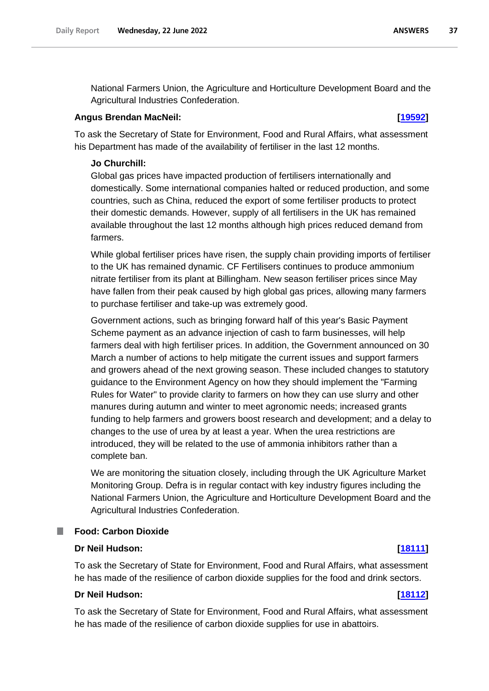National Farmers Union, the Agriculture and Horticulture Development Board and the Agricultural Industries Confederation.

## **Angus Brendan MacNeil: [\[19592\]](http://www.parliament.uk/business/publications/written-questions-answers-statements/written-question/Commons/2022-06-16/19592)**

To ask the Secretary of State for Environment, Food and Rural Affairs, what assessment his Department has made of the availability of fertiliser in the last 12 months.

## **Jo Churchill:**

Global gas prices have impacted production of fertilisers internationally and domestically. Some international companies halted or reduced production, and some countries, such as China, reduced the export of some fertiliser products to protect their domestic demands. However, supply of all fertilisers in the UK has remained available throughout the last 12 months although high prices reduced demand from farmers.

While global fertiliser prices have risen, the supply chain providing imports of fertiliser to the UK has remained dynamic. CF Fertilisers continues to produce ammonium nitrate fertiliser from its plant at Billingham. New season fertiliser prices since May have fallen from their peak caused by high global gas prices, allowing many farmers to purchase fertiliser and take-up was extremely good.

Government actions, such as bringing forward half of this year's Basic Payment Scheme payment as an advance injection of cash to farm businesses, will help farmers deal with high fertiliser prices. In addition, the Government announced on 30 March a number of actions to help mitigate the current issues and support farmers and growers ahead of the next growing season. These included changes to statutory guidance to the Environment Agency on how they should implement the "Farming Rules for Water" to provide clarity to farmers on how they can use slurry and other manures during autumn and winter to meet agronomic needs; increased grants funding to help farmers and growers boost research and development; and a delay to changes to the use of urea by at least a year. When the urea restrictions are introduced, they will be related to the use of ammonia inhibitors rather than a complete ban.

We are monitoring the situation closely, including through the UK Agriculture Market Monitoring Group. Defra is in regular contact with key industry figures including the National Farmers Union, the Agriculture and Horticulture Development Board and the Agricultural Industries Confederation.

# **Food: Carbon Dioxide**

### **Dr Neil Hudson: [\[18111\]](http://www.parliament.uk/business/publications/written-questions-answers-statements/written-question/Commons/2022-06-14/18111)**

To ask the Secretary of State for Environment, Food and Rural Affairs, what assessment he has made of the resilience of carbon dioxide supplies for the food and drink sectors.

# **Dr Neil Hudson: [\[18112\]](http://www.parliament.uk/business/publications/written-questions-answers-statements/written-question/Commons/2022-06-14/18112)**

To ask the Secretary of State for Environment, Food and Rural Affairs, what assessment he has made of the resilience of carbon dioxide supplies for use in abattoirs.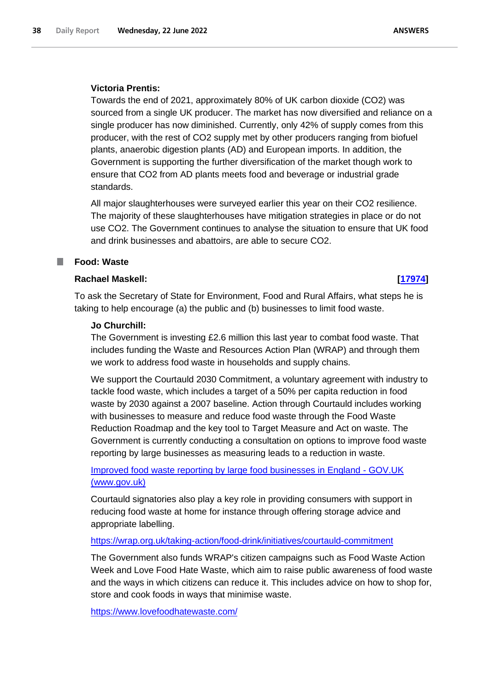## **Victoria Prentis:**

Towards the end of 2021, approximately 80% of UK carbon dioxide (CO2) was sourced from a single UK producer. The market has now diversified and reliance on a single producer has now diminished. Currently, only 42% of supply comes from this producer, with the rest of CO2 supply met by other producers ranging from biofuel plants, anaerobic digestion plants (AD) and European imports. In addition, the Government is supporting the further diversification of the market though work to ensure that CO2 from AD plants meets food and beverage or industrial grade standards.

All major slaughterhouses were surveyed earlier this year on their CO2 resilience. The majority of these slaughterhouses have mitigation strategies in place or do not use CO2. The Government continues to analyse the situation to ensure that UK food and drink businesses and abattoirs, are able to secure CO2.

# **Food: Waste**

# **Rachael Maskell: [\[17974\]](http://www.parliament.uk/business/publications/written-questions-answers-statements/written-question/Commons/2022-06-14/17974)**

To ask the Secretary of State for Environment, Food and Rural Affairs, what steps he is taking to help encourage (a) the public and (b) businesses to limit food waste.

### **Jo Churchill:**

The Government is investing £2.6 million this last year to combat food waste. That includes funding the Waste and Resources Action Plan (WRAP) and through them we work to address food waste in households and supply chains.

We support the Courtauld 2030 Commitment, a voluntary agreement with industry to tackle food waste, which includes a target of a 50% per capita reduction in food waste by 2030 against a 2007 baseline. Action through Courtauld includes working with businesses to measure and reduce food waste through the Food Waste Reduction Roadmap and the key tool to Target Measure and Act on waste. The Government is currently conducting a consultation on options to improve food waste reporting by large businesses as measuring leads to a reduction in waste.

[Improved food waste reporting by large food businesses in England -](https://www.gov.uk/government/consultations/improved-food-waste-reporting-by-large-food-businesses-in-england) GOV.UK [\(www.gov.uk\)](https://www.gov.uk/government/consultations/improved-food-waste-reporting-by-large-food-businesses-in-england)

Courtauld signatories also play a key role in providing consumers with support in reducing food waste at home for instance through offering storage advice and appropriate labelling.

### <https://wrap.org.uk/taking-action/food-drink/initiatives/courtauld-commitment>

The Government also funds WRAP's citizen campaigns such as Food Waste Action Week and Love Food Hate Waste, which aim to raise public awareness of food waste and the ways in which citizens can reduce it. This includes advice on how to shop for, store and cook foods in ways that minimise waste.

<https://www.lovefoodhatewaste.com/>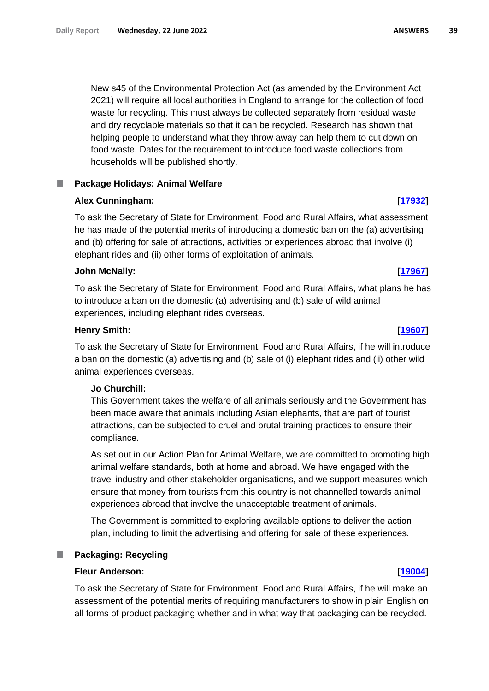New s45 of the Environmental Protection Act (as amended by the Environment Act 2021) will require all local authorities in England to arrange for the collection of food waste for recycling. This must always be collected separately from residual waste and dry recyclable materials so that it can be recycled. Research has shown that helping people to understand what they throw away can help them to cut down on food waste. Dates for the requirement to introduce food waste collections from households will be published shortly.

# **Package Holidays: Animal Welfare**

# **Alex Cunningham: [\[17932\]](http://www.parliament.uk/business/publications/written-questions-answers-statements/written-question/Commons/2022-06-14/17932)**

To ask the Secretary of State for Environment, Food and Rural Affairs, what assessment he has made of the potential merits of introducing a domestic ban on the (a) advertising and (b) offering for sale of attractions, activities or experiences abroad that involve (i) elephant rides and (ii) other forms of exploitation of animals.

# **John McNally: [\[17967\]](http://www.parliament.uk/business/publications/written-questions-answers-statements/written-question/Commons/2022-06-14/17967)**

To ask the Secretary of State for Environment, Food and Rural Affairs, what plans he has to introduce a ban on the domestic (a) advertising and (b) sale of wild animal experiences, including elephant rides overseas.

## **Henry Smith: [\[19607\]](http://www.parliament.uk/business/publications/written-questions-answers-statements/written-question/Commons/2022-06-16/19607)**

To ask the Secretary of State for Environment, Food and Rural Affairs, if he will introduce a ban on the domestic (a) advertising and (b) sale of (i) elephant rides and (ii) other wild animal experiences overseas.

### **Jo Churchill:**

This Government takes the welfare of all animals seriously and the Government has been made aware that animals including Asian elephants, that are part of tourist attractions, can be subjected to cruel and brutal training practices to ensure their compliance.

As set out in our Action Plan for Animal Welfare, we are committed to promoting high animal welfare standards, both at home and abroad. We have engaged with the travel industry and other stakeholder organisations, and we support measures which ensure that money from tourists from this country is not channelled towards animal experiences abroad that involve the unacceptable treatment of animals.

The Government is committed to exploring available options to deliver the action plan, including to limit the advertising and offering for sale of these experiences.

# **Packaging: Recycling**

# **Fleur Anderson: [\[19004\]](http://www.parliament.uk/business/publications/written-questions-answers-statements/written-question/Commons/2022-06-15/19004)**

To ask the Secretary of State for Environment, Food and Rural Affairs, if he will make an assessment of the potential merits of requiring manufacturers to show in plain English on all forms of product packaging whether and in what way that packaging can be recycled.

### **ANSWERS**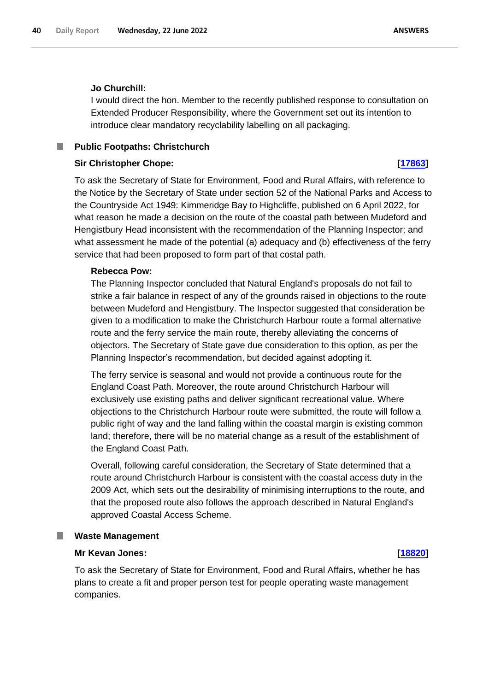# **Jo Churchill:**

I would direct the hon. Member to the recently published response to consultation on Extended Producer Responsibility, where the Government set out its intention to introduce clear mandatory recyclability labelling on all packaging.

### m. **Public Footpaths: Christchurch**

## **Sir Christopher Chope: [\[17863\]](http://www.parliament.uk/business/publications/written-questions-answers-statements/written-question/Commons/2022-06-14/17863)**

To ask the Secretary of State for Environment, Food and Rural Affairs, with reference to the Notice by the Secretary of State under section 52 of the National Parks and Access to the Countryside Act 1949: Kimmeridge Bay to Highcliffe, published on 6 April 2022, for what reason he made a decision on the route of the coastal path between Mudeford and Hengistbury Head inconsistent with the recommendation of the Planning Inspector; and what assessment he made of the potential (a) adequacy and (b) effectiveness of the ferry service that had been proposed to form part of that costal path.

### **Rebecca Pow:**

The Planning Inspector concluded that Natural England's proposals do not fail to strike a fair balance in respect of any of the grounds raised in objections to the route between Mudeford and Hengistbury. The Inspector suggested that consideration be given to a modification to make the Christchurch Harbour route a formal alternative route and the ferry service the main route, thereby alleviating the concerns of objectors. The Secretary of State gave due consideration to this option, as per the Planning Inspector's recommendation, but decided against adopting it.

The ferry service is seasonal and would not provide a continuous route for the England Coast Path. Moreover, the route around Christchurch Harbour will exclusively use existing paths and deliver significant recreational value. Where objections to the Christchurch Harbour route were submitted, the route will follow a public right of way and the land falling within the coastal margin is existing common land; therefore, there will be no material change as a result of the establishment of the England Coast Path.

Overall, following careful consideration, the Secretary of State determined that a route around Christchurch Harbour is consistent with the coastal access duty in the 2009 Act, which sets out the desirability of minimising interruptions to the route, and that the proposed route also follows the approach described in Natural England's approved Coastal Access Scheme.

### ш **Waste Management**

# **Mr Kevan Jones: [\[18820\]](http://www.parliament.uk/business/publications/written-questions-answers-statements/written-question/Commons/2022-06-15/18820)**

To ask the Secretary of State for Environment, Food and Rural Affairs, whether he has plans to create a fit and proper person test for people operating waste management companies.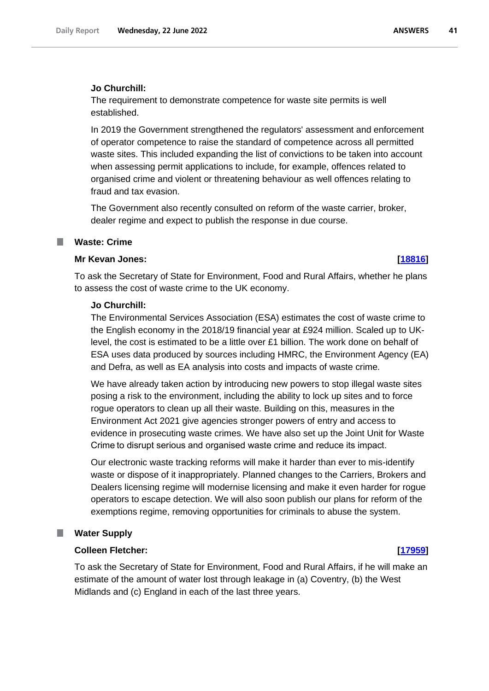# **Jo Churchill:**

The requirement to demonstrate competence for waste site permits is well established.

In 2019 the Government strengthened the regulators' assessment and enforcement of operator competence to raise the standard of competence across all permitted waste sites. This included expanding the list of convictions to be taken into account when assessing permit applications to include, for example, offences related to organised crime and violent or threatening behaviour as well offences relating to fraud and tax evasion.

The Government also recently consulted on reform of the waste carrier, broker, dealer regime and expect to publish the response in due course.

# **Waste: Crime**

## **Mr Kevan Jones: [\[18816\]](http://www.parliament.uk/business/publications/written-questions-answers-statements/written-question/Commons/2022-06-15/18816)**

To ask the Secretary of State for Environment, Food and Rural Affairs, whether he plans to assess the cost of waste crime to the UK economy.

## **Jo Churchill:**

The Environmental Services Association (ESA) estimates the cost of waste crime to the English economy in the 2018/19 financial year at £924 million. Scaled up to UKlevel, the cost is estimated to be a little over £1 billion. The work done on behalf of ESA uses data produced by sources including HMRC, the Environment Agency (EA) and Defra, as well as EA analysis into costs and impacts of waste crime.

We have already taken action by introducing new powers to stop illegal waste sites posing a risk to the environment, including the ability to lock up sites and to force rogue operators to clean up all their waste. Building on this, measures in the Environment Act 2021 give agencies stronger powers of entry and access to evidence in prosecuting waste crimes. We have also set up the Joint Unit for Waste Crime to disrupt serious and organised waste crime and reduce its impact.

Our electronic waste tracking reforms will make it harder than ever to mis-identify waste or dispose of it inappropriately. Planned changes to the Carriers, Brokers and Dealers licensing regime will modernise licensing and make it even harder for rogue operators to escape detection. We will also soon publish our plans for reform of the exemptions regime, removing opportunities for criminals to abuse the system.

# **Water Supply**

# **Colleen Fletcher: [\[17959\]](http://www.parliament.uk/business/publications/written-questions-answers-statements/written-question/Commons/2022-06-14/17959)**

To ask the Secretary of State for Environment, Food and Rural Affairs, if he will make an estimate of the amount of water lost through leakage in (a) Coventry, (b) the West Midlands and (c) England in each of the last three years.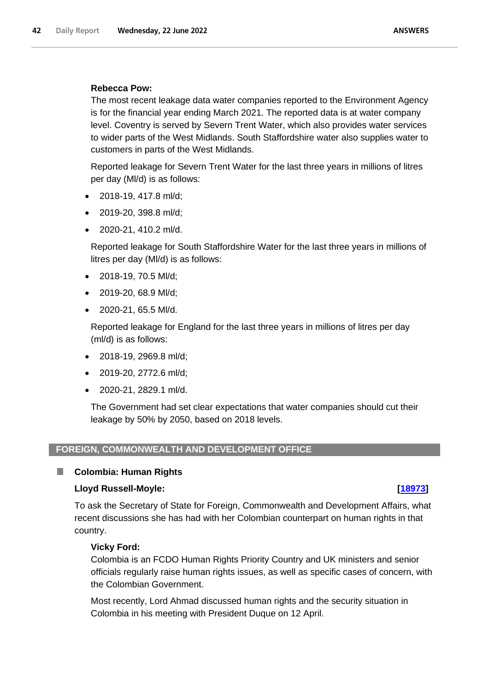# **Rebecca Pow:**

The most recent leakage data water companies reported to the Environment Agency is for the financial year ending March 2021. The reported data is at water company level. Coventry is served by Severn Trent Water, which also provides water services to wider parts of the West Midlands. South Staffordshire water also supplies water to customers in parts of the West Midlands.

Reported leakage for Severn Trent Water for the last three years in millions of litres per day (Ml/d) is as follows:

- 2018-19, 417.8 ml/d;
- 2019-20, 398.8 ml/d;
- 2020-21, 410.2 ml/d.

Reported leakage for South Staffordshire Water for the last three years in millions of litres per day (Ml/d) is as follows:

- 2018-19, 70.5 Ml/d;
- 2019-20, 68.9 Ml/d;
- 2020-21, 65.5 Ml/d.

Reported leakage for England for the last three years in millions of litres per day (ml/d) is as follows:

- 2018-19, 2969.8 ml/d;
- 2019-20, 2772.6 ml/d;
- 2020-21, 2829.1 ml/d.

The Government had set clear expectations that water companies should cut their leakage by 50% by 2050, based on 2018 levels.

# **FOREIGN, COMMONWEALTH AND DEVELOPMENT OFFICE**

# **Colombia: Human Rights**

# **Lloyd Russell-Moyle: [\[18973\]](http://www.parliament.uk/business/publications/written-questions-answers-statements/written-question/Commons/2022-06-15/18973)**

П

To ask the Secretary of State for Foreign, Commonwealth and Development Affairs, what recent discussions she has had with her Colombian counterpart on human rights in that country.

# **Vicky Ford:**

Colombia is an FCDO Human Rights Priority Country and UK ministers and senior officials regularly raise human rights issues, as well as specific cases of concern, with the Colombian Government.

Most recently, Lord Ahmad discussed human rights and the security situation in Colombia in his meeting with President Duque on 12 April.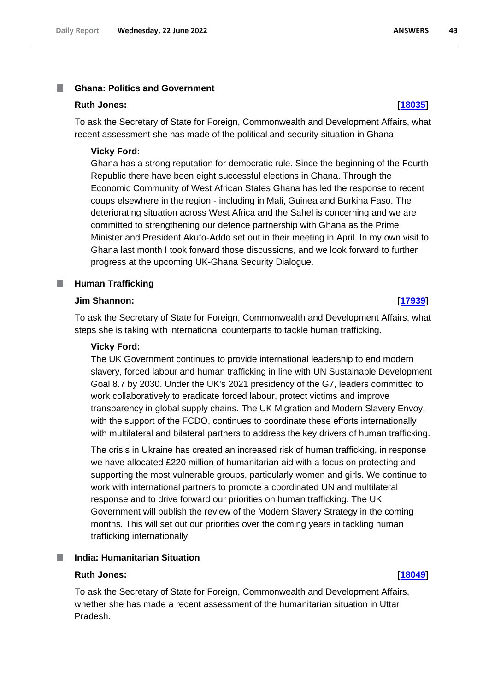### **Ghana: Politics and Government I**

# **Ruth Jones: [\[18035\]](http://www.parliament.uk/business/publications/written-questions-answers-statements/written-question/Commons/2022-06-14/18035)**

To ask the Secretary of State for Foreign, Commonwealth and Development Affairs, what recent assessment she has made of the political and security situation in Ghana.

### **Vicky Ford:**

Ghana has a strong reputation for democratic rule. Since the beginning of the Fourth Republic there have been eight successful elections in Ghana. Through the Economic Community of West African States Ghana has led the response to recent coups elsewhere in the region - including in Mali, Guinea and Burkina Faso. The deteriorating situation across West Africa and the Sahel is concerning and we are committed to strengthening our defence partnership with Ghana as the Prime Minister and President Akufo-Addo set out in their meeting in April. In my own visit to Ghana last month I took forward those discussions, and we look forward to further progress at the upcoming UK-Ghana Security Dialogue.

# **Human Trafficking**

# **Jim Shannon: [\[17939\]](http://www.parliament.uk/business/publications/written-questions-answers-statements/written-question/Commons/2022-06-14/17939)**

П

To ask the Secretary of State for Foreign, Commonwealth and Development Affairs, what steps she is taking with international counterparts to tackle human trafficking.

### **Vicky Ford:**

The UK Government continues to provide international leadership to end modern slavery, forced labour and human trafficking in line with UN Sustainable Development Goal 8.7 by 2030. Under the UK's 2021 presidency of the G7, leaders committed to work collaboratively to eradicate forced labour, protect victims and improve transparency in global supply chains. The UK Migration and Modern Slavery Envoy, with the support of the FCDO, continues to coordinate these efforts internationally with multilateral and bilateral partners to address the key drivers of human trafficking.

The crisis in Ukraine has created an increased risk of human trafficking, in response we have allocated £220 million of humanitarian aid with a focus on protecting and supporting the most vulnerable groups, particularly women and girls. We continue to work with international partners to promote a coordinated UN and multilateral response and to drive forward our priorities on human trafficking. The UK Government will publish the review of the Modern Slavery Strategy in the coming months. This will set out our priorities over the coming years in tackling human trafficking internationally.

# **India: Humanitarian Situation**

### **Ruth Jones: [\[18049\]](http://www.parliament.uk/business/publications/written-questions-answers-statements/written-question/Commons/2022-06-14/18049)**

To ask the Secretary of State for Foreign, Commonwealth and Development Affairs, whether she has made a recent assessment of the humanitarian situation in Uttar Pradesh.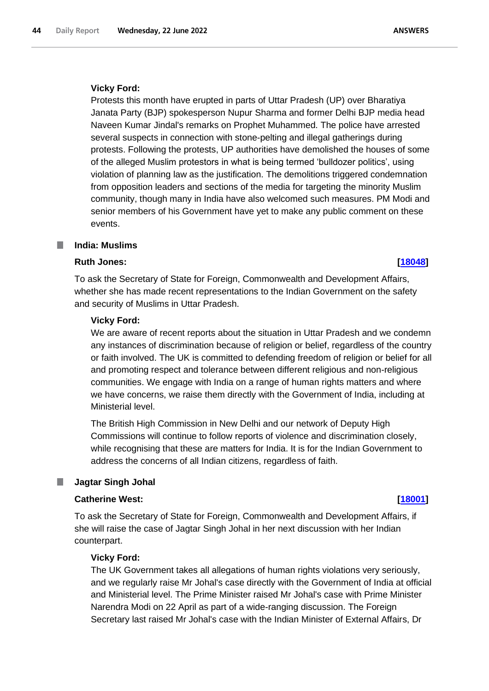## **Vicky Ford:**

Protests this month have erupted in parts of Uttar Pradesh (UP) over Bharatiya Janata Party (BJP) spokesperson Nupur Sharma and former Delhi BJP media head Naveen Kumar Jindal's remarks on Prophet Muhammed. The police have arrested several suspects in connection with stone-pelting and illegal gatherings during protests. Following the protests, UP authorities have demolished the houses of some of the alleged Muslim protestors in what is being termed 'bulldozer politics', using violation of planning law as the justification. The demolitions triggered condemnation from opposition leaders and sections of the media for targeting the minority Muslim community, though many in India have also welcomed such measures. PM Modi and senior members of his Government have yet to make any public comment on these events.

### L. **India: Muslims**

# **Ruth Jones: [\[18048\]](http://www.parliament.uk/business/publications/written-questions-answers-statements/written-question/Commons/2022-06-14/18048)**

To ask the Secretary of State for Foreign, Commonwealth and Development Affairs, whether she has made recent representations to the Indian Government on the safety and security of Muslims in Uttar Pradesh.

## **Vicky Ford:**

We are aware of recent reports about the situation in Uttar Pradesh and we condemn any instances of discrimination because of religion or belief, regardless of the country or faith involved. The UK is committed to defending freedom of religion or belief for all and promoting respect and tolerance between different religious and non-religious communities. We engage with India on a range of human rights matters and where we have concerns, we raise them directly with the Government of India, including at Ministerial level.

The British High Commission in New Delhi and our network of Deputy High Commissions will continue to follow reports of violence and discrimination closely, while recognising that these are matters for India. It is for the Indian Government to address the concerns of all Indian citizens, regardless of faith.

### **Jagtar Singh Johal** ш

## **Catherine West: [\[18001\]](http://www.parliament.uk/business/publications/written-questions-answers-statements/written-question/Commons/2022-06-14/18001)**

To ask the Secretary of State for Foreign, Commonwealth and Development Affairs, if she will raise the case of Jagtar Singh Johal in her next discussion with her Indian counterpart.

### **Vicky Ford:**

The UK Government takes all allegations of human rights violations very seriously, and we regularly raise Mr Johal's case directly with the Government of India at official and Ministerial level. The Prime Minister raised Mr Johal's case with Prime Minister Narendra Modi on 22 April as part of a wide-ranging discussion. The Foreign Secretary last raised Mr Johal's case with the Indian Minister of External Affairs, Dr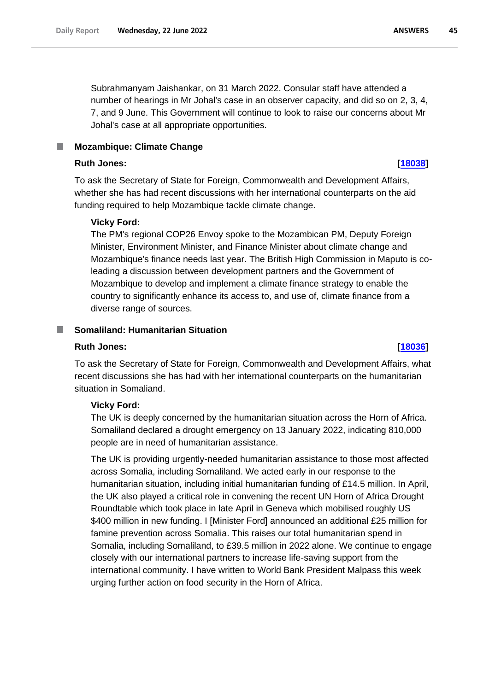Subrahmanyam Jaishankar, on 31 March 2022. Consular staff have attended a number of hearings in Mr Johal's case in an observer capacity, and did so on 2, 3, 4, 7, and 9 June. This Government will continue to look to raise our concerns about Mr Johal's case at all appropriate opportunities.

## **Ruth Jones: [\[18038\]](http://www.parliament.uk/business/publications/written-questions-answers-statements/written-question/Commons/2022-06-14/18038)**

To ask the Secretary of State for Foreign, Commonwealth and Development Affairs, whether she has had recent discussions with her international counterparts on the aid funding required to help Mozambique tackle climate change.

# **Vicky Ford:**

The PM's regional COP26 Envoy spoke to the Mozambican PM, Deputy Foreign Minister, Environment Minister, and Finance Minister about climate change and Mozambique's finance needs last year. The British High Commission in Maputo is coleading a discussion between development partners and the Government of Mozambique to develop and implement a climate finance strategy to enable the country to significantly enhance its access to, and use of, climate finance from a diverse range of sources.

### **Somaliland: Humanitarian Situation** ш

### **Ruth Jones: [\[18036\]](http://www.parliament.uk/business/publications/written-questions-answers-statements/written-question/Commons/2022-06-14/18036)**

To ask the Secretary of State for Foreign, Commonwealth and Development Affairs, what recent discussions she has had with her international counterparts on the humanitarian situation in Somaliand.

## **Vicky Ford:**

The UK is deeply concerned by the humanitarian situation across the Horn of Africa. Somaliland declared a drought emergency on 13 January 2022, indicating 810,000 people are in need of humanitarian assistance.

The UK is providing urgently-needed humanitarian assistance to those most affected across Somalia, including Somaliland. We acted early in our response to the humanitarian situation, including initial humanitarian funding of £14.5 million. In April, the UK also played a critical role in convening the recent UN Horn of Africa Drought Roundtable which took place in late April in Geneva which mobilised roughly US \$400 million in new funding. I [Minister Ford] announced an additional £25 million for famine prevention across Somalia. This raises our total humanitarian spend in Somalia, including Somaliland, to £39.5 million in 2022 alone. We continue to engage closely with our international partners to increase life-saving support from the international community. I have written to World Bank President Malpass this week urging further action on food security in the Horn of Africa.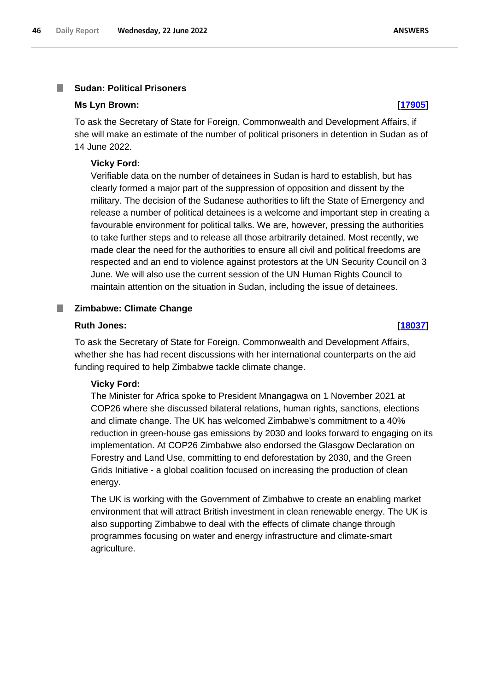### **Sudan: Political Prisoners** I.

### **Ms Lyn Brown: [\[17905\]](http://www.parliament.uk/business/publications/written-questions-answers-statements/written-question/Commons/2022-06-14/17905)**

To ask the Secretary of State for Foreign, Commonwealth and Development Affairs, if she will make an estimate of the number of political prisoners in detention in Sudan as of 14 June 2022.

### **Vicky Ford:**

Verifiable data on the number of detainees in Sudan is hard to establish, but has clearly formed a major part of the suppression of opposition and dissent by the military. The decision of the Sudanese authorities to lift the State of Emergency and release a number of political detainees is a welcome and important step in creating a favourable environment for political talks. We are, however, pressing the authorities to take further steps and to release all those arbitrarily detained. Most recently, we made clear the need for the authorities to ensure all civil and political freedoms are respected and an end to violence against protestors at the UN Security Council on 3 June. We will also use the current session of the UN Human Rights Council to maintain attention on the situation in Sudan, including the issue of detainees.

### **Zimbabwe: Climate Change**

### **Ruth Jones: [\[18037\]](http://www.parliament.uk/business/publications/written-questions-answers-statements/written-question/Commons/2022-06-14/18037)**

To ask the Secretary of State for Foreign, Commonwealth and Development Affairs, whether she has had recent discussions with her international counterparts on the aid funding required to help Zimbabwe tackle climate change.

### **Vicky Ford:**

The Minister for Africa spoke to President Mnangagwa on 1 November 2021 at COP26 where she discussed bilateral relations, human rights, sanctions, elections and climate change. The UK has welcomed Zimbabwe's commitment to a 40% reduction in green-house gas emissions by 2030 and looks forward to engaging on its implementation. At COP26 Zimbabwe also endorsed the Glasgow Declaration on Forestry and Land Use, committing to end deforestation by 2030, and the Green Grids Initiative - a global coalition focused on increasing the production of clean energy.

The UK is working with the Government of Zimbabwe to create an enabling market environment that will attract British investment in clean renewable energy. The UK is also supporting Zimbabwe to deal with the effects of climate change through programmes focusing on water and energy infrastructure and climate-smart agriculture.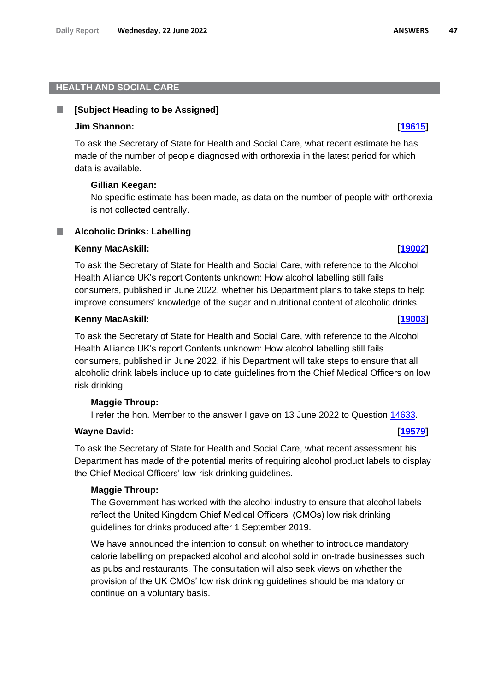### . **[Subject Heading to be Assigned]**

# **Jim Shannon: [\[19615\]](http://www.parliament.uk/business/publications/written-questions-answers-statements/written-question/Commons/2022-06-16/19615)**

To ask the Secretary of State for Health and Social Care, what recent estimate he has made of the number of people diagnosed with orthorexia in the latest period for which data is available.

# **Gillian Keegan:**

No specific estimate has been made, as data on the number of people with orthorexia is not collected centrally.

# **Alcoholic Drinks: Labelling**

# **Kenny MacAskill: [\[19002\]](http://www.parliament.uk/business/publications/written-questions-answers-statements/written-question/Commons/2022-06-15/19002)**

To ask the Secretary of State for Health and Social Care, with reference to the Alcohol Health Alliance UK's report Contents unknown: How alcohol labelling still fails consumers, published in June 2022, whether his Department plans to take steps to help improve consumers' knowledge of the sugar and nutritional content of alcoholic drinks.

# **Kenny MacAskill: [\[19003\]](http://www.parliament.uk/business/publications/written-questions-answers-statements/written-question/Commons/2022-06-15/19003)**

To ask the Secretary of State for Health and Social Care, with reference to the Alcohol Health Alliance UK's report Contents unknown: How alcohol labelling still fails consumers, published in June 2022, if his Department will take steps to ensure that all alcoholic drink labels include up to date guidelines from the Chief Medical Officers on low risk drinking.

# **Maggie Throup:**

I refer the hon. Member to the answer I gave on 13 June 2022 to Question 14633.

# **Wayne David: [\[19579\]](http://www.parliament.uk/business/publications/written-questions-answers-statements/written-question/Commons/2022-06-16/19579)**

To ask the Secretary of State for Health and Social Care, what recent assessment his Department has made of the potential merits of requiring alcohol product labels to display the Chief Medical Officers' low-risk drinking guidelines.

# **Maggie Throup:**

The Government has worked with the alcohol industry to ensure that alcohol labels reflect the United Kingdom Chief Medical Officers' (CMOs) low risk drinking guidelines for drinks produced after 1 September 2019.

We have announced the intention to consult on whether to introduce mandatory calorie labelling on prepacked alcohol and alcohol sold in on-trade businesses such as pubs and restaurants. The consultation will also seek views on whether the provision of the UK CMOs' low risk drinking guidelines should be mandatory or continue on a voluntary basis.

47

**ANSWERS**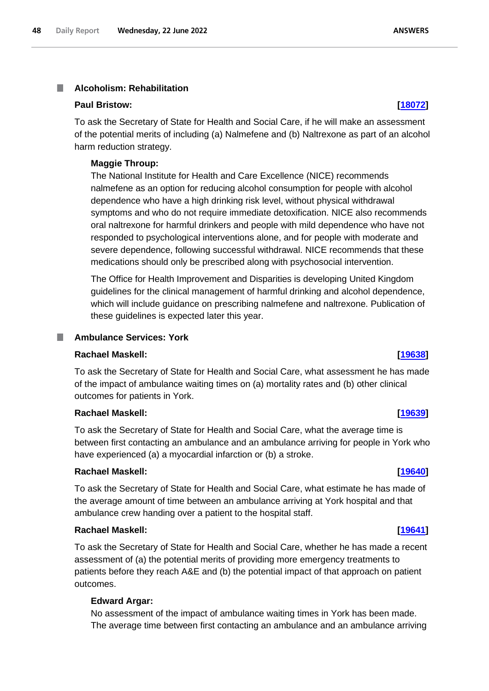### **Alcoholism: Rehabilitation** I.

## **Paul Bristow: [\[18072\]](http://www.parliament.uk/business/publications/written-questions-answers-statements/written-question/Commons/2022-06-14/18072)**

To ask the Secretary of State for Health and Social Care, if he will make an assessment of the potential merits of including (a) Nalmefene and (b) Naltrexone as part of an alcohol harm reduction strategy.

### **Maggie Throup:**

The National Institute for Health and Care Excellence (NICE) recommends nalmefene as an option for reducing alcohol consumption for people with alcohol dependence who have a high drinking risk level, without physical withdrawal symptoms and who do not require immediate detoxification. NICE also recommends oral naltrexone for harmful drinkers and people with mild dependence who have not responded to psychological interventions alone, and for people with moderate and severe dependence, following successful withdrawal. NICE recommends that these medications should only be prescribed along with psychosocial intervention.

The Office for Health Improvement and Disparities is developing United Kingdom guidelines for the clinical management of harmful drinking and alcohol dependence, which will include guidance on prescribing nalmefene and naltrexone. Publication of these guidelines is expected later this year.

### **In Ambulance Services: York**

## **Rachael Maskell: [\[19638\]](http://www.parliament.uk/business/publications/written-questions-answers-statements/written-question/Commons/2022-06-16/19638)**

To ask the Secretary of State for Health and Social Care, what assessment he has made of the impact of ambulance waiting times on (a) mortality rates and (b) other clinical outcomes for patients in York.

# **Rachael Maskell: [\[19639\]](http://www.parliament.uk/business/publications/written-questions-answers-statements/written-question/Commons/2022-06-16/19639)**

To ask the Secretary of State for Health and Social Care, what the average time is between first contacting an ambulance and an ambulance arriving for people in York who have experienced (a) a myocardial infarction or (b) a stroke.

### **Rachael Maskell: [\[19640\]](http://www.parliament.uk/business/publications/written-questions-answers-statements/written-question/Commons/2022-06-16/19640)**

To ask the Secretary of State for Health and Social Care, what estimate he has made of the average amount of time between an ambulance arriving at York hospital and that ambulance crew handing over a patient to the hospital staff.

## **Rachael Maskell: [\[19641\]](http://www.parliament.uk/business/publications/written-questions-answers-statements/written-question/Commons/2022-06-16/19641)**

To ask the Secretary of State for Health and Social Care, whether he has made a recent assessment of (a) the potential merits of providing more emergency treatments to patients before they reach A&E and (b) the potential impact of that approach on patient outcomes.

### **Edward Argar:**

No assessment of the impact of ambulance waiting times in York has been made. The average time between first contacting an ambulance and an ambulance arriving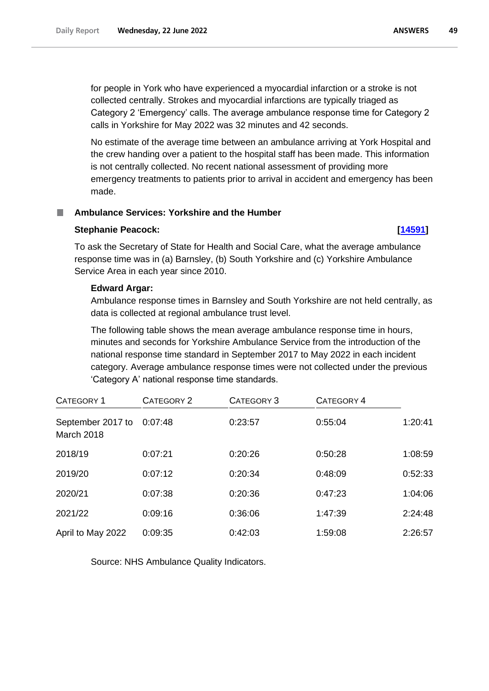for people in York who have experienced a myocardial infarction or a stroke is not collected centrally. Strokes and myocardial infarctions are typically triaged as Category 2 'Emergency' calls. The average ambulance response time for Category 2 calls in Yorkshire for May 2022 was 32 minutes and 42 seconds.

No estimate of the average time between an ambulance arriving at York Hospital and the crew handing over a patient to the hospital staff has been made. This information is not centrally collected. No recent national assessment of providing more emergency treatments to patients prior to arrival in accident and emergency has been made.

# **Ambulance Services: Yorkshire and the Humber**

# **Stephanie Peacock: [\[14591\]](http://www.parliament.uk/business/publications/written-questions-answers-statements/written-question/Commons/2022-06-08/14591)**

To ask the Secretary of State for Health and Social Care, what the average ambulance response time was in (a) Barnsley, (b) South Yorkshire and (c) Yorkshire Ambulance Service Area in each year since 2010.

# **Edward Argar:**

Ambulance response times in Barnsley and South Yorkshire are not held centrally, as data is collected at regional ambulance trust level.

The following table shows the mean average ambulance response time in hours, minutes and seconds for Yorkshire Ambulance Service from the introduction of the national response time standard in September 2017 to May 2022 in each incident category. Average ambulance response times were not collected under the previous 'Category A' national response time standards.

| CATEGORY 1                      | CATEGORY 2 | CATEGORY 3 | CATEGORY 4 |         |
|---------------------------------|------------|------------|------------|---------|
| September 2017 to<br>March 2018 | 0:07:48    | 0:23:57    | 0:55:04    | 1:20:41 |
| 2018/19                         | 0:07:21    | 0:20:26    | 0:50:28    | 1:08:59 |
| 2019/20                         | 0:07:12    | 0:20:34    | 0:48:09    | 0:52:33 |
| 2020/21                         | 0:07:38    | 0:20:36    | 0:47:23    | 1:04:06 |
| 2021/22                         | 0:09:16    | 0:36:06    | 1:47:39    | 2:24:48 |
| April to May 2022               | 0:09:35    | 0:42:03    | 1:59:08    | 2:26:57 |

Source: NHS Ambulance Quality Indicators.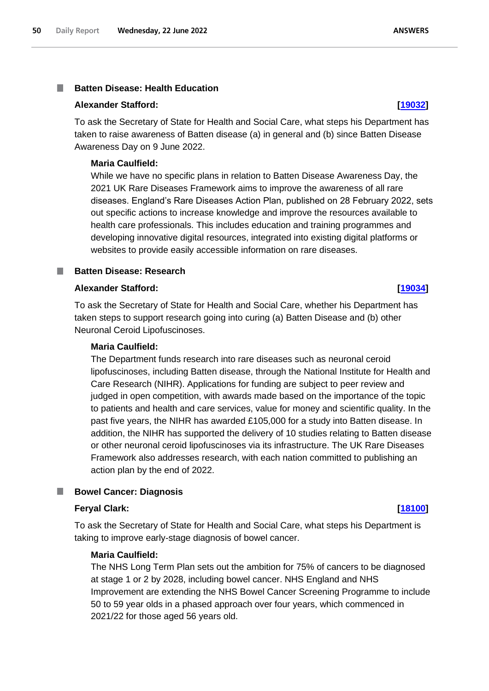### **Batten Disease: Health Education** T.

## **Alexander Stafford: [\[19032\]](http://www.parliament.uk/business/publications/written-questions-answers-statements/written-question/Commons/2022-06-15/19032)**

To ask the Secretary of State for Health and Social Care, what steps his Department has taken to raise awareness of Batten disease (a) in general and (b) since Batten Disease Awareness Day on 9 June 2022.

### **Maria Caulfield:**

While we have no specific plans in relation to Batten Disease Awareness Day, the 2021 UK Rare Diseases Framework aims to improve the awareness of all rare diseases. England's Rare Diseases Action Plan, published on 28 February 2022, sets out specific actions to increase knowledge and improve the resources available to health care professionals. This includes education and training programmes and developing innovative digital resources, integrated into existing digital platforms or websites to provide easily accessible information on rare diseases.

## **Batten Disease: Research**

### **Alexander Stafford: [\[19034\]](http://www.parliament.uk/business/publications/written-questions-answers-statements/written-question/Commons/2022-06-15/19034)**

To ask the Secretary of State for Health and Social Care, whether his Department has taken steps to support research going into curing (a) Batten Disease and (b) other Neuronal Ceroid Lipofuscinoses.

# **Maria Caulfield:**

The Department funds research into rare diseases such as neuronal ceroid lipofuscinoses, including Batten disease, through the National Institute for Health and Care Research (NIHR). Applications for funding are subject to peer review and judged in open competition, with awards made based on the importance of the topic to patients and health and care services, value for money and scientific quality. In the past five years, the NIHR has awarded £105,000 for a study into Batten disease. In addition, the NIHR has supported the delivery of 10 studies relating to Batten disease or other neuronal ceroid lipofuscinoses via its infrastructure. The UK Rare Diseases Framework also addresses research, with each nation committed to publishing an action plan by the end of 2022.

### **Bowel Cancer: Diagnosis** .

### **Feryal Clark: [\[18100\]](http://www.parliament.uk/business/publications/written-questions-answers-statements/written-question/Commons/2022-06-14/18100)**

To ask the Secretary of State for Health and Social Care, what steps his Department is taking to improve early-stage diagnosis of bowel cancer.

## **Maria Caulfield:**

The NHS Long Term Plan sets out the ambition for 75% of cancers to be diagnosed at stage 1 or 2 by 2028, including bowel cancer. NHS England and NHS Improvement are extending the NHS Bowel Cancer Screening Programme to include 50 to 59 year olds in a phased approach over four years, which commenced in 2021/22 for those aged 56 years old.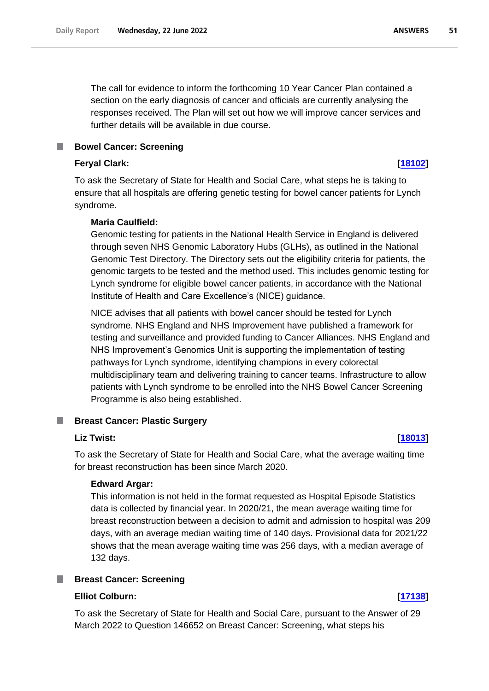The call for evidence to inform the forthcoming 10 Year Cancer Plan contained a section on the early diagnosis of cancer and officials are currently analysing the responses received. The Plan will set out how we will improve cancer services and further details will be available in due course.

# **Feryal Clark: [\[18102\]](http://www.parliament.uk/business/publications/written-questions-answers-statements/written-question/Commons/2022-06-14/18102)**

To ask the Secretary of State for Health and Social Care, what steps he is taking to ensure that all hospitals are offering genetic testing for bowel cancer patients for Lynch syndrome.

# **Maria Caulfield:**

Genomic testing for patients in the National Health Service in England is delivered through seven NHS Genomic Laboratory Hubs (GLHs), as outlined in the National Genomic Test Directory. The Directory sets out the eligibility criteria for patients, the genomic targets to be tested and the method used. This includes genomic testing for Lynch syndrome for eligible bowel cancer patients, in accordance with the National Institute of Health and Care Excellence's (NICE) guidance.

NICE advises that all patients with bowel cancer should be tested for Lynch syndrome. NHS England and NHS Improvement have published a framework for testing and surveillance and provided funding to Cancer Alliances. NHS England and NHS Improvement's Genomics Unit is supporting the implementation of testing pathways for Lynch syndrome, identifying champions in every colorectal multidisciplinary team and delivering training to cancer teams. Infrastructure to allow patients with Lynch syndrome to be enrolled into the NHS Bowel Cancer Screening Programme is also being established.

### **Breast Cancer: Plastic Surgery** a a s

# **Liz Twist: [\[18013\]](http://www.parliament.uk/business/publications/written-questions-answers-statements/written-question/Commons/2022-06-14/18013)**

To ask the Secretary of State for Health and Social Care, what the average waiting time for breast reconstruction has been since March 2020.

# **Edward Argar:**

This information is not held in the format requested as Hospital Episode Statistics data is collected by financial year. In 2020/21, the mean average waiting time for breast reconstruction between a decision to admit and admission to hospital was 209 days, with an average median waiting time of 140 days. Provisional data for 2021/22 shows that the mean average waiting time was 256 days, with a median average of 132 days.

# **Breast Cancer: Screening**

# **Elliot Colburn: [\[17138\]](http://www.parliament.uk/business/publications/written-questions-answers-statements/written-question/Commons/2022-06-13/17138)**

To ask the Secretary of State for Health and Social Care, pursuant to the Answer of 29 March 2022 to Question 146652 on Breast Cancer: Screening, what steps his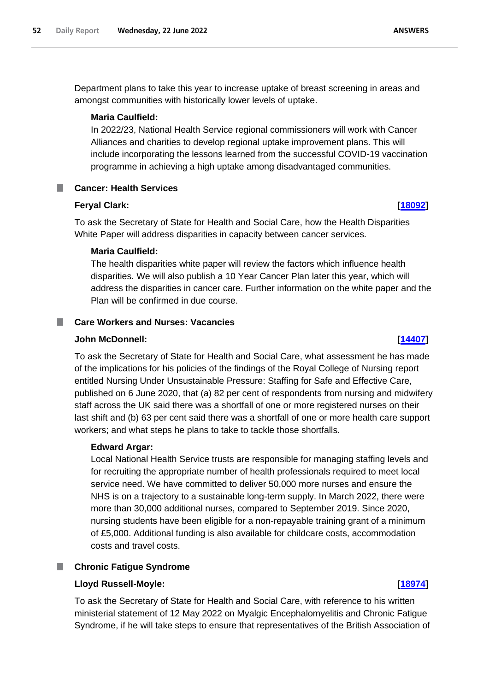Department plans to take this year to increase uptake of breast screening in areas and amongst communities with historically lower levels of uptake.

# **Maria Caulfield:**

In 2022/23, National Health Service regional commissioners will work with Cancer Alliances and charities to develop regional uptake improvement plans. This will include incorporating the lessons learned from the successful COVID-19 vaccination programme in achieving a high uptake among disadvantaged communities.

# **Cancer: Health Services**

# **Feryal Clark: [\[18092\]](http://www.parliament.uk/business/publications/written-questions-answers-statements/written-question/Commons/2022-06-14/18092)**

To ask the Secretary of State for Health and Social Care, how the Health Disparities White Paper will address disparities in capacity between cancer services.

# **Maria Caulfield:**

The health disparities white paper will review the factors which influence health disparities. We will also publish a 10 Year Cancer Plan later this year, which will address the disparities in cancer care. Further information on the white paper and the Plan will be confirmed in due course.

# **Care Workers and Nurses: Vacancies**

## **John McDonnell: [\[14407\]](http://www.parliament.uk/business/publications/written-questions-answers-statements/written-question/Commons/2022-06-08/14407)**

To ask the Secretary of State for Health and Social Care, what assessment he has made of the implications for his policies of the findings of the Royal College of Nursing report entitled Nursing Under Unsustainable Pressure: Staffing for Safe and Effective Care, published on 6 June 2020, that (a) 82 per cent of respondents from nursing and midwifery staff across the UK said there was a shortfall of one or more registered nurses on their last shift and (b) 63 per cent said there was a shortfall of one or more health care support workers; and what steps he plans to take to tackle those shortfalls.

# **Edward Argar:**

Local National Health Service trusts are responsible for managing staffing levels and for recruiting the appropriate number of health professionals required to meet local service need. We have committed to deliver 50,000 more nurses and ensure the NHS is on a trajectory to a sustainable long-term supply. In March 2022, there were more than 30,000 additional nurses, compared to September 2019. Since 2020, nursing students have been eligible for a non-repayable training grant of a minimum of £5,000. Additional funding is also available for childcare costs, accommodation costs and travel costs.

# **Chronic Fatigue Syndrome**

# **Lloyd Russell-Moyle: [\[18974\]](http://www.parliament.uk/business/publications/written-questions-answers-statements/written-question/Commons/2022-06-15/18974)**

To ask the Secretary of State for Health and Social Care, with reference to his written ministerial statement of 12 May 2022 on Myalgic Encephalomyelitis and Chronic Fatigue Syndrome, if he will take steps to ensure that representatives of the British Association of

# **ANSWERS**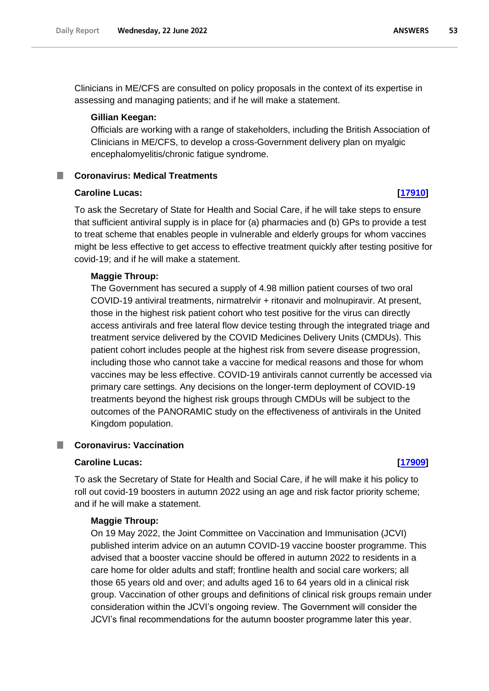Clinicians in ME/CFS are consulted on policy proposals in the context of its expertise in assessing and managing patients; and if he will make a statement.

### **Gillian Keegan:**

Officials are working with a range of stakeholders, including the British Association of Clinicians in ME/CFS, to develop a cross-Government delivery plan on myalgic encephalomyelitis/chronic fatigue syndrome.

# **Coronavirus: Medical Treatments**

# **Caroline Lucas: [\[17910\]](http://www.parliament.uk/business/publications/written-questions-answers-statements/written-question/Commons/2022-06-14/17910)**

To ask the Secretary of State for Health and Social Care, if he will take steps to ensure that sufficient antiviral supply is in place for (a) pharmacies and (b) GPs to provide a test to treat scheme that enables people in vulnerable and elderly groups for whom vaccines might be less effective to get access to effective treatment quickly after testing positive for covid-19; and if he will make a statement.

## **Maggie Throup:**

The Government has secured a supply of 4.98 million patient courses of two oral COVID-19 antiviral treatments, nirmatrelvir + ritonavir and molnupiravir. At present, those in the highest risk patient cohort who test positive for the virus can directly access antivirals and free lateral flow device testing through the integrated triage and treatment service delivered by the COVID Medicines Delivery Units (CMDUs). This patient cohort includes people at the highest risk from severe disease progression, including those who cannot take a vaccine for medical reasons and those for whom vaccines may be less effective. COVID-19 antivirals cannot currently be accessed via primary care settings. Any decisions on the longer-term deployment of COVID-19 treatments beyond the highest risk groups through CMDUs will be subject to the outcomes of the PANORAMIC study on the effectiveness of antivirals in the United Kingdom population.

### **Coronavirus: Vaccination** T.

# **Caroline Lucas: [\[17909\]](http://www.parliament.uk/business/publications/written-questions-answers-statements/written-question/Commons/2022-06-14/17909)**

To ask the Secretary of State for Health and Social Care, if he will make it his policy to roll out covid-19 boosters in autumn 2022 using an age and risk factor priority scheme; and if he will make a statement.

## **Maggie Throup:**

On 19 May 2022, the Joint Committee on Vaccination and Immunisation (JCVI) published interim advice on an autumn COVID-19 vaccine booster programme. This advised that a booster vaccine should be offered in autumn 2022 to residents in a care home for older adults and staff; frontline health and social care workers; all those 65 years old and over; and adults aged 16 to 64 years old in a clinical risk group. Vaccination of other groups and definitions of clinical risk groups remain under consideration within the JCVI's ongoing review. The Government will consider the JCVI's final recommendations for the autumn booster programme later this year.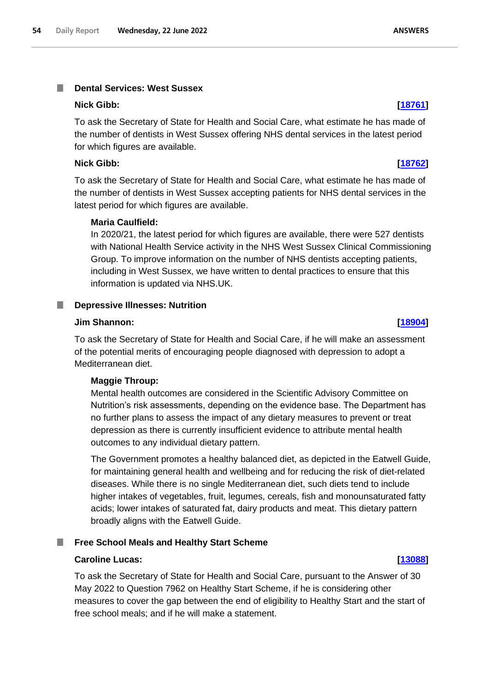### **Nick Gibb: [\[18761\]](http://www.parliament.uk/business/publications/written-questions-answers-statements/written-question/Commons/2022-06-15/18761)**

To ask the Secretary of State for Health and Social Care, what estimate he has made of the number of dentists in West Sussex offering NHS dental services in the latest period for which figures are available.

# **Nick Gibb: [\[18762\]](http://www.parliament.uk/business/publications/written-questions-answers-statements/written-question/Commons/2022-06-15/18762)**

To ask the Secretary of State for Health and Social Care, what estimate he has made of the number of dentists in West Sussex accepting patients for NHS dental services in the latest period for which figures are available.

# **Maria Caulfield:**

In 2020/21, the latest period for which figures are available, there were 527 dentists with National Health Service activity in the NHS West Sussex Clinical Commissioning Group. To improve information on the number of NHS dentists accepting patients, including in West Sussex, we have written to dental practices to ensure that this information is updated via NHS.UK.

### **Depressive Illnesses: Nutrition** a a s

### **Jim Shannon: [\[18904\]](http://www.parliament.uk/business/publications/written-questions-answers-statements/written-question/Commons/2022-06-15/18904)**

To ask the Secretary of State for Health and Social Care, if he will make an assessment of the potential merits of encouraging people diagnosed with depression to adopt a Mediterranean diet.

# **Maggie Throup:**

Mental health outcomes are considered in the Scientific Advisory Committee on Nutrition's risk assessments, depending on the evidence base. The Department has no further plans to assess the impact of any dietary measures to prevent or treat depression as there is currently insufficient evidence to attribute mental health outcomes to any individual dietary pattern.

The Government promotes a healthy balanced diet, as depicted in the Eatwell Guide, for maintaining general health and wellbeing and for reducing the risk of diet-related diseases. While there is no single Mediterranean diet, such diets tend to include higher intakes of vegetables, fruit, legumes, cereals, fish and monounsaturated fatty acids; lower intakes of saturated fat, dairy products and meat. This dietary pattern broadly aligns with the Eatwell Guide.

### T. **Free School Meals and Healthy Start Scheme**

### **Caroline Lucas: [\[13088\]](http://www.parliament.uk/business/publications/written-questions-answers-statements/written-question/Commons/2022-06-06/13088)**

To ask the Secretary of State for Health and Social Care, pursuant to the Answer of 30 May 2022 to Question 7962 on Healthy Start Scheme, if he is considering other measures to cover the gap between the end of eligibility to Healthy Start and the start of free school meals; and if he will make a statement.

**ANSWERS**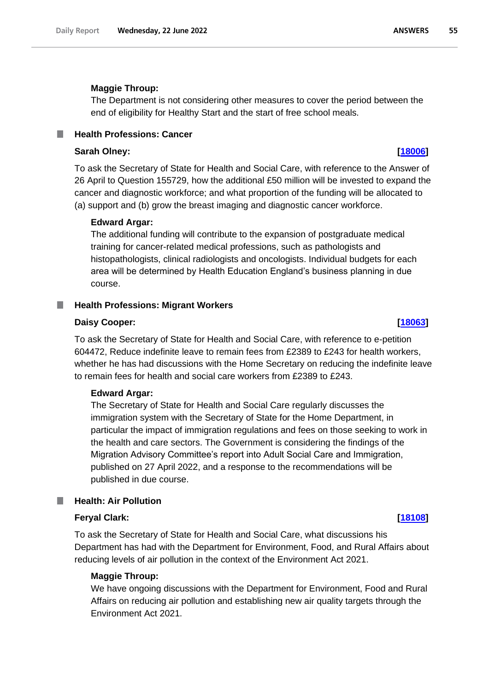# **Maggie Throup:**

The Department is not considering other measures to cover the period between the end of eligibility for Healthy Start and the start of free school meals.

# **Health Professions: Cancer**

# **Sarah Olney: [\[18006\]](http://www.parliament.uk/business/publications/written-questions-answers-statements/written-question/Commons/2022-06-14/18006)**

To ask the Secretary of State for Health and Social Care, with reference to the Answer of 26 April to Question 155729, how the additional £50 million will be invested to expand the cancer and diagnostic workforce; and what proportion of the funding will be allocated to (a) support and (b) grow the breast imaging and diagnostic cancer workforce.

### **Edward Argar:**

The additional funding will contribute to the expansion of postgraduate medical training for cancer-related medical professions, such as pathologists and histopathologists, clinical radiologists and oncologists. Individual budgets for each area will be determined by Health Education England's business planning in due course.

## **Health Professions: Migrant Workers**

### **Daisy Cooper: [\[18063\]](http://www.parliament.uk/business/publications/written-questions-answers-statements/written-question/Commons/2022-06-14/18063)**

To ask the Secretary of State for Health and Social Care, with reference to e-petition 604472, Reduce indefinite leave to remain fees from £2389 to £243 for health workers, whether he has had discussions with the Home Secretary on reducing the indefinite leave to remain fees for health and social care workers from £2389 to £243.

# **Edward Argar:**

The Secretary of State for Health and Social Care regularly discusses the immigration system with the Secretary of State for the Home Department, in particular the impact of immigration regulations and fees on those seeking to work in the health and care sectors. The Government is considering the findings of the Migration Advisory Committee's report into Adult Social Care and Immigration, published on 27 April 2022, and a response to the recommendations will be published in due course.

# **Health: Air Pollution**

# **Feryal Clark: [\[18108\]](http://www.parliament.uk/business/publications/written-questions-answers-statements/written-question/Commons/2022-06-14/18108)**

To ask the Secretary of State for Health and Social Care, what discussions his Department has had with the Department for Environment, Food, and Rural Affairs about reducing levels of air pollution in the context of the Environment Act 2021.

# **Maggie Throup:**

We have ongoing discussions with the Department for Environment, Food and Rural Affairs on reducing air pollution and establishing new air quality targets through the Environment Act 2021.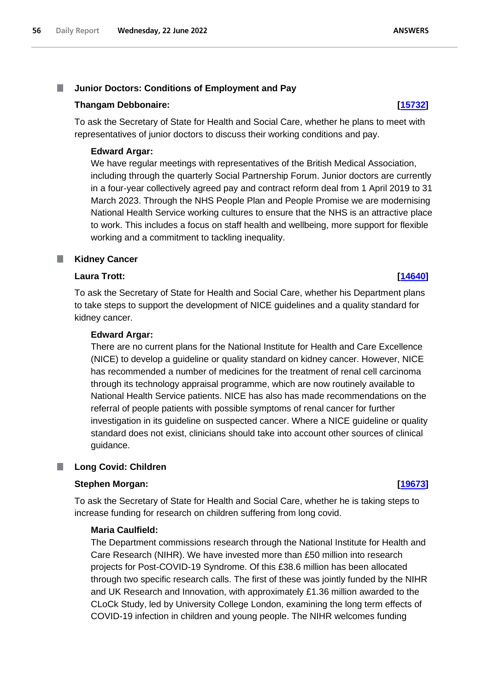# **Thangam Debbonaire: [\[15732\]](http://www.parliament.uk/business/publications/written-questions-answers-statements/written-question/Commons/2022-06-10/15732)**

To ask the Secretary of State for Health and Social Care, whether he plans to meet with representatives of junior doctors to discuss their working conditions and pay.

# **Edward Argar:**

We have regular meetings with representatives of the British Medical Association, including through the quarterly Social Partnership Forum. Junior doctors are currently in a four-year collectively agreed pay and contract reform deal from 1 April 2019 to 31 March 2023. Through the NHS People Plan and People Promise we are modernising National Health Service working cultures to ensure that the NHS is an attractive place to work. This includes a focus on staff health and wellbeing, more support for flexible working and a commitment to tackling inequality.

### **Kidney Cancer** ш

# **Laura Trott: [\[14640\]](http://www.parliament.uk/business/publications/written-questions-answers-statements/written-question/Commons/2022-06-08/14640)**

To ask the Secretary of State for Health and Social Care, whether his Department plans to take steps to support the development of NICE guidelines and a quality standard for kidney cancer.

# **Edward Argar:**

There are no current plans for the National Institute for Health and Care Excellence (NICE) to develop a guideline or quality standard on kidney cancer. However, NICE has recommended a number of medicines for the treatment of renal cell carcinoma through its technology appraisal programme, which are now routinely available to National Health Service patients. NICE has also has made recommendations on the referral of people patients with possible symptoms of renal cancer for further investigation in its guideline on suspected cancer. Where a NICE guideline or quality standard does not exist, clinicians should take into account other sources of clinical guidance.

# **Long Covid: Children**

# **Stephen Morgan: [\[19673\]](http://www.parliament.uk/business/publications/written-questions-answers-statements/written-question/Commons/2022-06-16/19673)**

To ask the Secretary of State for Health and Social Care, whether he is taking steps to increase funding for research on children suffering from long covid.

# **Maria Caulfield:**

The Department commissions research through the National Institute for Health and Care Research (NIHR). We have invested more than £50 million into research projects for Post-COVID-19 Syndrome. Of this £38.6 million has been allocated through two specific research calls. The first of these was jointly funded by the NIHR and UK Research and Innovation, with approximately £1.36 million awarded to the CLoCk Study, led by University College London, examining the long term effects of COVID-19 infection in children and young people. The NIHR welcomes funding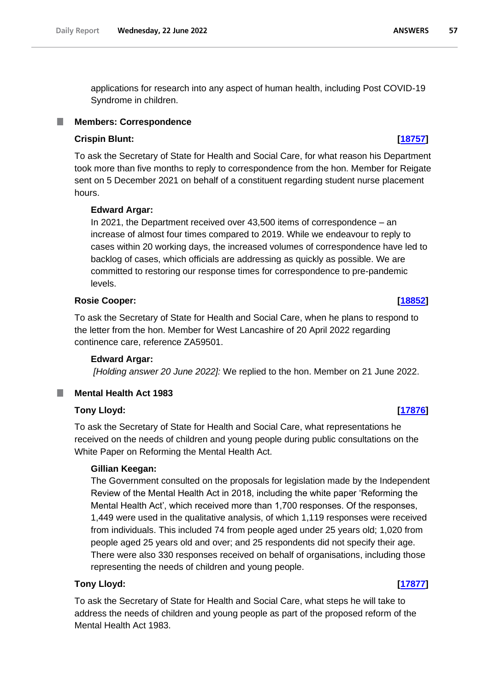applications for research into any aspect of human health, including Post COVID-19 Syndrome in children.

# **Members: Correspondence**

# **Crispin Blunt: [\[18757\]](http://www.parliament.uk/business/publications/written-questions-answers-statements/written-question/Commons/2022-06-15/18757)**

To ask the Secretary of State for Health and Social Care, for what reason his Department took more than five months to reply to correspondence from the hon. Member for Reigate sent on 5 December 2021 on behalf of a constituent regarding student nurse placement hours.

# **Edward Argar:**

In 2021, the Department received over 43,500 items of correspondence – an increase of almost four times compared to 2019. While we endeavour to reply to cases within 20 working days, the increased volumes of correspondence have led to backlog of cases, which officials are addressing as quickly as possible. We are committed to restoring our response times for correspondence to pre-pandemic levels.

# **Rosie Cooper: [\[18852\]](http://www.parliament.uk/business/publications/written-questions-answers-statements/written-question/Commons/2022-06-15/18852)**

To ask the Secretary of State for Health and Social Care, when he plans to respond to the letter from the hon. Member for West Lancashire of 20 April 2022 regarding continence care, reference ZA59501.

# **Edward Argar:**

*[Holding answer 20 June 2022]:* We replied to the hon. Member on 21 June 2022.

# **Mental Health Act 1983**

# **Tony Lloyd: [\[17876\]](http://www.parliament.uk/business/publications/written-questions-answers-statements/written-question/Commons/2022-06-14/17876)**

To ask the Secretary of State for Health and Social Care, what representations he received on the needs of children and young people during public consultations on the White Paper on Reforming the Mental Health Act.

# **Gillian Keegan:**

The Government consulted on the proposals for legislation made by the Independent Review of the Mental Health Act in 2018, including the white paper 'Reforming the Mental Health Act', which received more than 1,700 responses. Of the responses, 1,449 were used in the qualitative analysis, of which 1,119 responses were received from individuals. This included 74 from people aged under 25 years old; 1,020 from people aged 25 years old and over; and 25 respondents did not specify their age. There were also 330 responses received on behalf of organisations, including those representing the needs of children and young people.

# **Tony Lloyd: [\[17877\]](http://www.parliament.uk/business/publications/written-questions-answers-statements/written-question/Commons/2022-06-14/17877)**

To ask the Secretary of State for Health and Social Care, what steps he will take to address the needs of children and young people as part of the proposed reform of the Mental Health Act 1983.

### **ANSWERS** 57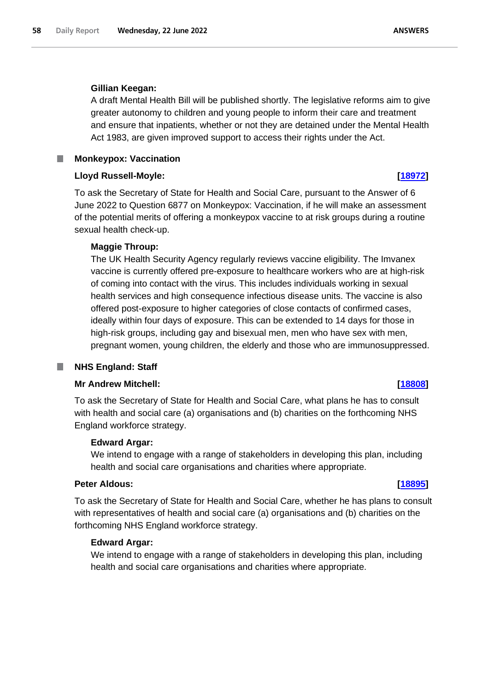# **Gillian Keegan:**

A draft Mental Health Bill will be published shortly. The legislative reforms aim to give greater autonomy to children and young people to inform their care and treatment and ensure that inpatients, whether or not they are detained under the Mental Health Act 1983, are given improved support to access their rights under the Act.

**Monkeypox: Vaccination**

# **Lloyd Russell-Moyle: [\[18972\]](http://www.parliament.uk/business/publications/written-questions-answers-statements/written-question/Commons/2022-06-15/18972)**

To ask the Secretary of State for Health and Social Care, pursuant to the Answer of 6 June 2022 to Question 6877 on Monkeypox: Vaccination, if he will make an assessment of the potential merits of offering a monkeypox vaccine to at risk groups during a routine sexual health check-up.

# **Maggie Throup:**

The UK Health Security Agency regularly reviews vaccine eligibility. The Imvanex vaccine is currently offered pre-exposure to healthcare workers who are at high-risk of coming into contact with the virus. This includes individuals working in sexual health services and high consequence infectious disease units. The vaccine is also offered post-exposure to higher categories of close contacts of confirmed cases, ideally within four days of exposure. This can be extended to 14 days for those in high-risk groups, including gay and bisexual men, men who have sex with men, pregnant women, young children, the elderly and those who are immunosuppressed.

### **NHS England: Staff** П

### **Mr Andrew Mitchell: [\[18808\]](http://www.parliament.uk/business/publications/written-questions-answers-statements/written-question/Commons/2022-06-15/18808)**

To ask the Secretary of State for Health and Social Care, what plans he has to consult with health and social care (a) organisations and (b) charities on the forthcoming NHS England workforce strategy.

# **Edward Argar:**

We intend to engage with a range of stakeholders in developing this plan, including health and social care organisations and charities where appropriate.

# **Peter Aldous: [\[18895\]](http://www.parliament.uk/business/publications/written-questions-answers-statements/written-question/Commons/2022-06-15/18895)**

To ask the Secretary of State for Health and Social Care, whether he has plans to consult with representatives of health and social care (a) organisations and (b) charities on the forthcoming NHS England workforce strategy.

# **Edward Argar:**

We intend to engage with a range of stakeholders in developing this plan, including health and social care organisations and charities where appropriate.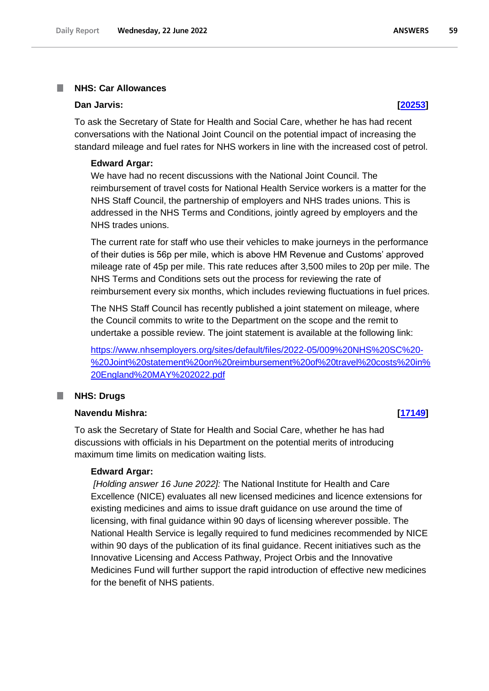### **NHS: Car Allowances** T.

# **Dan Jarvis: [\[20253\]](http://www.parliament.uk/business/publications/written-questions-answers-statements/written-question/Commons/2022-06-17/20253)**

To ask the Secretary of State for Health and Social Care, whether he has had recent conversations with the National Joint Council on the potential impact of increasing the standard mileage and fuel rates for NHS workers in line with the increased cost of petrol.

### **Edward Argar:**

We have had no recent discussions with the National Joint Council. The reimbursement of travel costs for National Health Service workers is a matter for the NHS Staff Council, the partnership of employers and NHS trades unions. This is addressed in the NHS Terms and Conditions, jointly agreed by employers and the NHS trades unions.

The current rate for staff who use their vehicles to make journeys in the performance of their duties is 56p per mile, which is above HM Revenue and Customs' approved mileage rate of 45p per mile. This rate reduces after 3,500 miles to 20p per mile. The NHS Terms and Conditions sets out the process for reviewing the rate of reimbursement every six months, which includes reviewing fluctuations in fuel prices.

The NHS Staff Council has recently published a joint statement on mileage, where the Council commits to write to the Department on the scope and the remit to undertake a possible review. The joint statement is available at the following link:

[https://www.nhsemployers.org/sites/default/files/2022-05/009%20NHS%20SC%20-](https://www.nhsemployers.org/sites/default/files/2022-05/009%20NHS%20SC%20-%20Joint%20statement%20on%20reimbursement%20of%20travel%20costs%20in%20England%20MAY%202022.pdf) [%20Joint%20statement%20on%20reimbursement%20of%20travel%20costs%20in%](https://www.nhsemployers.org/sites/default/files/2022-05/009%20NHS%20SC%20-%20Joint%20statement%20on%20reimbursement%20of%20travel%20costs%20in%20England%20MAY%202022.pdf) [20England%20MAY%202022.pdf](https://www.nhsemployers.org/sites/default/files/2022-05/009%20NHS%20SC%20-%20Joint%20statement%20on%20reimbursement%20of%20travel%20costs%20in%20England%20MAY%202022.pdf)

## **NHS: Drugs**

### **Navendu Mishra: [\[17149\]](http://www.parliament.uk/business/publications/written-questions-answers-statements/written-question/Commons/2022-06-13/17149)**

To ask the Secretary of State for Health and Social Care, whether he has had discussions with officials in his Department on the potential merits of introducing maximum time limits on medication waiting lists.

## **Edward Argar:**

*[Holding answer 16 June 2022]:* The National Institute for Health and Care Excellence (NICE) evaluates all new licensed medicines and licence extensions for existing medicines and aims to issue draft guidance on use around the time of licensing, with final guidance within 90 days of licensing wherever possible. The National Health Service is legally required to fund medicines recommended by NICE within 90 days of the publication of its final guidance. Recent initiatives such as the Innovative Licensing and Access Pathway, Project Orbis and the Innovative Medicines Fund will further support the rapid introduction of effective new medicines for the benefit of NHS patients.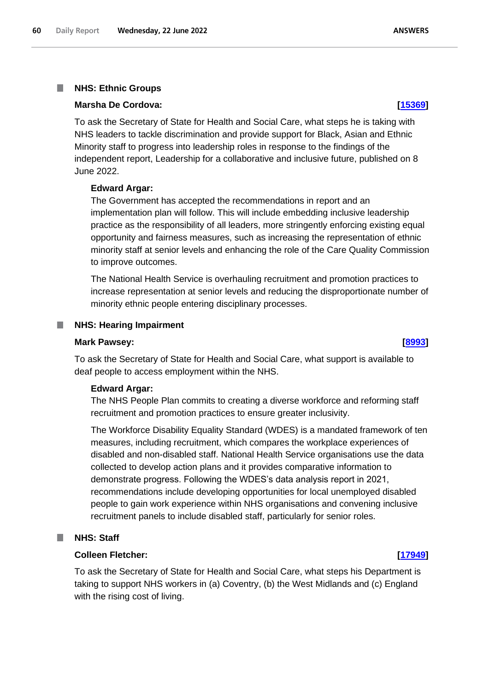### T. **NHS: Ethnic Groups**

# **Marsha De Cordova: [\[15369\]](http://www.parliament.uk/business/publications/written-questions-answers-statements/written-question/Commons/2022-06-09/15369)**

To ask the Secretary of State for Health and Social Care, what steps he is taking with NHS leaders to tackle discrimination and provide support for Black, Asian and Ethnic Minority staff to progress into leadership roles in response to the findings of the independent report, Leadership for a collaborative and inclusive future, published on 8 June 2022.

### **Edward Argar:**

The Government has accepted the recommendations in report and an implementation plan will follow. This will include embedding inclusive leadership practice as the responsibility of all leaders, more stringently enforcing existing equal opportunity and fairness measures, such as increasing the representation of ethnic minority staff at senior levels and enhancing the role of the Care Quality Commission to improve outcomes.

The National Health Service is overhauling recruitment and promotion practices to increase representation at senior levels and reducing the disproportionate number of minority ethnic people entering disciplinary processes.

### **NHS: Hearing Impairment** .

### **Mark Pawsey: [\[8993\]](http://www.parliament.uk/business/publications/written-questions-answers-statements/written-question/Commons/2022-05-25/8993)**

To ask the Secretary of State for Health and Social Care, what support is available to deaf people to access employment within the NHS.

### **Edward Argar:**

The NHS People Plan commits to creating a diverse workforce and reforming staff recruitment and promotion practices to ensure greater inclusivity.

The Workforce Disability Equality Standard (WDES) is a mandated framework of ten measures, including recruitment, which compares the workplace experiences of disabled and non-disabled staff. National Health Service organisations use the data collected to develop action plans and it provides comparative information to demonstrate progress. Following the WDES's data analysis report in 2021, recommendations include developing opportunities for local unemployed disabled people to gain work experience within NHS organisations and convening inclusive recruitment panels to include disabled staff, particularly for senior roles.

# **NHS: Staff**

### **Colleen Fletcher: [\[17949\]](http://www.parliament.uk/business/publications/written-questions-answers-statements/written-question/Commons/2022-06-14/17949)**

To ask the Secretary of State for Health and Social Care, what steps his Department is taking to support NHS workers in (a) Coventry, (b) the West Midlands and (c) England with the rising cost of living.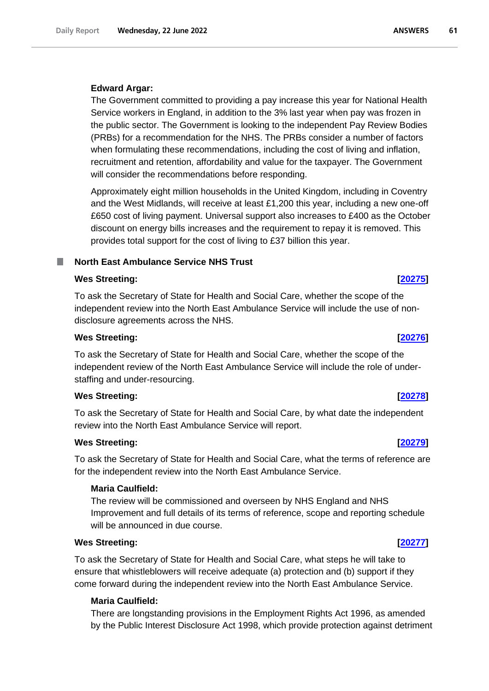# **Edward Argar:**

The Government committed to providing a pay increase this year for National Health Service workers in England, in addition to the 3% last year when pay was frozen in the public sector. The Government is looking to the independent Pay Review Bodies (PRBs) for a recommendation for the NHS. The PRBs consider a number of factors when formulating these recommendations, including the cost of living and inflation, recruitment and retention, affordability and value for the taxpayer. The Government will consider the recommendations before responding.

Approximately eight million households in the United Kingdom, including in Coventry and the West Midlands, will receive at least £1,200 this year, including a new one-off £650 cost of living payment. Universal support also increases to £400 as the October discount on energy bills increases and the requirement to repay it is removed. This provides total support for the cost of living to £37 billion this year.

# **North East Ambulance Service NHS Trust**

## **Wes Streeting: [\[20275\]](http://www.parliament.uk/business/publications/written-questions-answers-statements/written-question/Commons/2022-06-17/20275)**

To ask the Secretary of State for Health and Social Care, whether the scope of the independent review into the North East Ambulance Service will include the use of nondisclosure agreements across the NHS.

# **Wes Streeting: [\[20276\]](http://www.parliament.uk/business/publications/written-questions-answers-statements/written-question/Commons/2022-06-17/20276)**

To ask the Secretary of State for Health and Social Care, whether the scope of the independent review of the North East Ambulance Service will include the role of understaffing and under-resourcing.

# **Wes Streeting: [\[20278\]](http://www.parliament.uk/business/publications/written-questions-answers-statements/written-question/Commons/2022-06-17/20278)**

To ask the Secretary of State for Health and Social Care, by what date the independent review into the North East Ambulance Service will report.

# **Wes Streeting: [\[20279\]](http://www.parliament.uk/business/publications/written-questions-answers-statements/written-question/Commons/2022-06-17/20279)**

To ask the Secretary of State for Health and Social Care, what the terms of reference are for the independent review into the North East Ambulance Service.

# **Maria Caulfield:**

The review will be commissioned and overseen by NHS England and NHS Improvement and full details of its terms of reference, scope and reporting schedule will be announced in due course.

# **Wes Streeting: [\[20277\]](http://www.parliament.uk/business/publications/written-questions-answers-statements/written-question/Commons/2022-06-17/20277)**

To ask the Secretary of State for Health and Social Care, what steps he will take to ensure that whistleblowers will receive adequate (a) protection and (b) support if they come forward during the independent review into the North East Ambulance Service.

# **Maria Caulfield:**

There are longstanding provisions in the Employment Rights Act 1996, as amended by the Public Interest Disclosure Act 1998, which provide protection against detriment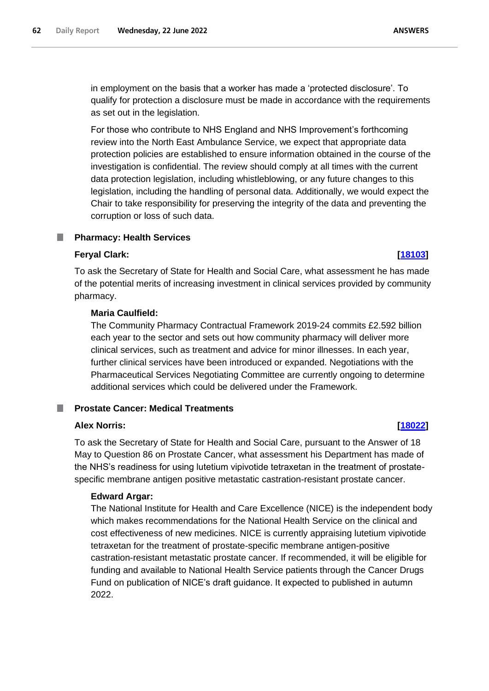in employment on the basis that a worker has made a 'protected disclosure'. To qualify for protection a disclosure must be made in accordance with the requirements as set out in the legislation.

For those who contribute to NHS England and NHS Improvement's forthcoming review into the North East Ambulance Service, we expect that appropriate data protection policies are established to ensure information obtained in the course of the investigation is confidential. The review should comply at all times with the current data protection legislation, including whistleblowing, or any future changes to this legislation, including the handling of personal data. Additionally, we would expect the Chair to take responsibility for preserving the integrity of the data and preventing the corruption or loss of such data.

# **Pharmacy: Health Services**

# **Feryal Clark: [\[18103\]](http://www.parliament.uk/business/publications/written-questions-answers-statements/written-question/Commons/2022-06-14/18103)**

# To ask the Secretary of State for Health and Social Care, what assessment he has made of the potential merits of increasing investment in clinical services provided by community pharmacy.

# **Maria Caulfield:**

The Community Pharmacy Contractual Framework 2019-24 commits £2.592 billion each year to the sector and sets out how community pharmacy will deliver more clinical services, such as treatment and advice for minor illnesses. In each year, further clinical services have been introduced or expanded. Negotiations with the Pharmaceutical Services Negotiating Committee are currently ongoing to determine additional services which could be delivered under the Framework.

### **Prostate Cancer: Medical Treatments** ш

# **Alex Norris: [\[18022\]](http://www.parliament.uk/business/publications/written-questions-answers-statements/written-question/Commons/2022-06-14/18022)**

To ask the Secretary of State for Health and Social Care, pursuant to the Answer of 18 May to Question 86 on Prostate Cancer, what assessment his Department has made of the NHS's readiness for using lutetium vipivotide tetraxetan in the treatment of prostatespecific membrane antigen positive metastatic castration-resistant prostate cancer.

# **Edward Argar:**

The National Institute for Health and Care Excellence (NICE) is the independent body which makes recommendations for the National Health Service on the clinical and cost effectiveness of new medicines. NICE is currently appraising lutetium vipivotide tetraxetan for the treatment of prostate-specific membrane antigen-positive castration-resistant metastatic prostate cancer. If recommended, it will be eligible for funding and available to National Health Service patients through the Cancer Drugs Fund on publication of NICE's draft guidance. It expected to published in autumn 2022.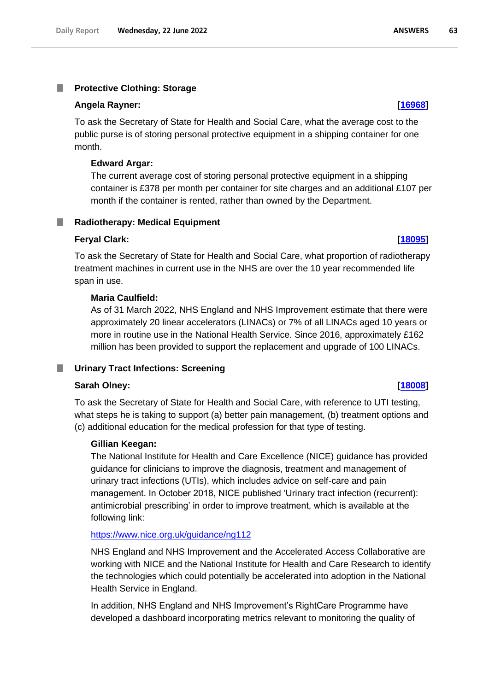### **Protective Clothing: Storage**

### **Angela Rayner: [\[16968\]](http://www.parliament.uk/business/publications/written-questions-answers-statements/written-question/Commons/2022-06-13/16968)**

To ask the Secretary of State for Health and Social Care, what the average cost to the public purse is of storing personal protective equipment in a shipping container for one month.

### **Edward Argar:**

The current average cost of storing personal protective equipment in a shipping container is £378 per month per container for site charges and an additional £107 per month if the container is rented, rather than owned by the Department.

### **Radiotherapy: Medical Equipment** m.

### **Feryal Clark: [\[18095\]](http://www.parliament.uk/business/publications/written-questions-answers-statements/written-question/Commons/2022-06-14/18095)**

To ask the Secretary of State for Health and Social Care, what proportion of radiotherapy treatment machines in current use in the NHS are over the 10 year recommended life span in use.

### **Maria Caulfield:**

As of 31 March 2022, NHS England and NHS Improvement estimate that there were approximately 20 linear accelerators (LINACs) or 7% of all LINACs aged 10 years or more in routine use in the National Health Service. Since 2016, approximately £162 million has been provided to support the replacement and upgrade of 100 LINACs.

### **Urinary Tract Infections: Screening**

## **Sarah Olney: [\[18008\]](http://www.parliament.uk/business/publications/written-questions-answers-statements/written-question/Commons/2022-06-14/18008)**

To ask the Secretary of State for Health and Social Care, with reference to UTI testing, what steps he is taking to support (a) better pain management, (b) treatment options and (c) additional education for the medical profession for that type of testing.

### **Gillian Keegan:**

The National Institute for Health and Care Excellence (NICE) guidance has provided guidance for clinicians to improve the diagnosis, treatment and management of urinary tract infections (UTIs), which includes advice on self-care and pain management. In October 2018, NICE published 'Urinary tract infection (recurrent): antimicrobial prescribing' in order to improve treatment, which is available at the following link:

# <https://www.nice.org.uk/guidance/ng112>

NHS England and NHS Improvement and the Accelerated Access Collaborative are working with NICE and the National Institute for Health and Care Research to identify the technologies which could potentially be accelerated into adoption in the National Health Service in England.

In addition, NHS England and NHS Improvement's RightCare Programme have developed a dashboard incorporating metrics relevant to monitoring the quality of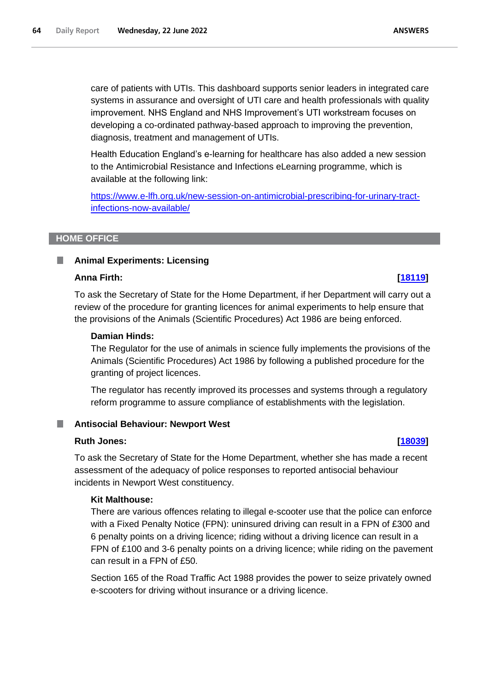care of patients with UTIs. This dashboard supports senior leaders in integrated care systems in assurance and oversight of UTI care and health professionals with quality improvement. NHS England and NHS Improvement's UTI workstream focuses on developing a co-ordinated pathway-based approach to improving the prevention, diagnosis, treatment and management of UTIs.

Health Education England's e-learning for healthcare has also added a new session to the Antimicrobial Resistance and Infections eLearning programme, which is available at the following link:

[https://www.e-lfh.org.uk/new-session-on-antimicrobial-prescribing-for-urinary-tract](https://www.e-lfh.org.uk/new-session-on-antimicrobial-prescribing-for-urinary-tract-infections-now-available/)[infections-now-available/](https://www.e-lfh.org.uk/new-session-on-antimicrobial-prescribing-for-urinary-tract-infections-now-available/)

## **HOME OFFICE**

### **Animal Experiments: Licensing** ш

### **Anna Firth: [\[18119\]](http://www.parliament.uk/business/publications/written-questions-answers-statements/written-question/Commons/2022-06-14/18119)**

To ask the Secretary of State for the Home Department, if her Department will carry out a review of the procedure for granting licences for animal experiments to help ensure that the provisions of the Animals (Scientific Procedures) Act 1986 are being enforced.

# **Damian Hinds:**

The Regulator for the use of animals in science fully implements the provisions of the Animals (Scientific Procedures) Act 1986 by following a published procedure for the granting of project licences.

The regulator has recently improved its processes and systems through a regulatory reform programme to assure compliance of establishments with the legislation.

### **Antisocial Behaviour: Newport West** .

### **Ruth Jones: [\[18039\]](http://www.parliament.uk/business/publications/written-questions-answers-statements/written-question/Commons/2022-06-14/18039)**

To ask the Secretary of State for the Home Department, whether she has made a recent assessment of the adequacy of police responses to reported antisocial behaviour incidents in Newport West constituency.

### **Kit Malthouse:**

There are various offences relating to illegal e-scooter use that the police can enforce with a Fixed Penalty Notice (FPN): uninsured driving can result in a FPN of £300 and 6 penalty points on a driving licence; riding without a driving licence can result in a FPN of £100 and 3-6 penalty points on a driving licence; while riding on the pavement can result in a FPN of £50.

Section 165 of the Road Traffic Act 1988 provides the power to seize privately owned e-scooters for driving without insurance or a driving licence.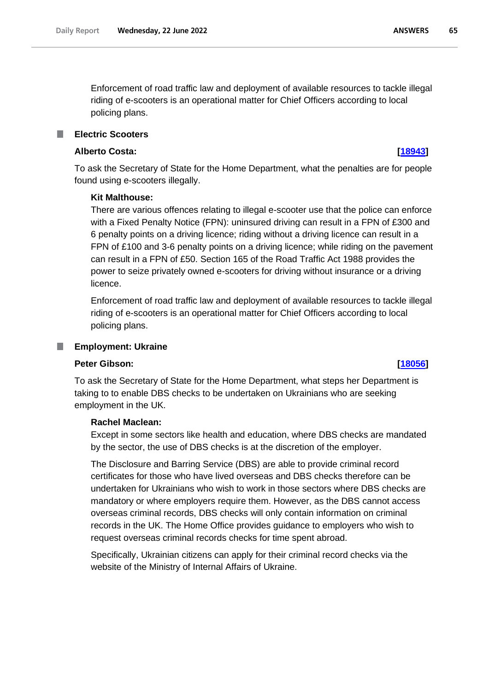Enforcement of road traffic law and deployment of available resources to tackle illegal riding of e-scooters is an operational matter for Chief Officers according to local policing plans.

# **Electric Scooters**

## **Alberto Costa: [\[18943\]](http://www.parliament.uk/business/publications/written-questions-answers-statements/written-question/Commons/2022-06-15/18943)**

To ask the Secretary of State for the Home Department, what the penalties are for people found using e-scooters illegally.

### **Kit Malthouse:**

There are various offences relating to illegal e-scooter use that the police can enforce with a Fixed Penalty Notice (FPN): uninsured driving can result in a FPN of £300 and 6 penalty points on a driving licence; riding without a driving licence can result in a FPN of £100 and 3-6 penalty points on a driving licence; while riding on the pavement can result in a FPN of £50. Section 165 of the Road Traffic Act 1988 provides the power to seize privately owned e-scooters for driving without insurance or a driving licence.

Enforcement of road traffic law and deployment of available resources to tackle illegal riding of e-scooters is an operational matter for Chief Officers according to local policing plans.

### T. **Employment: Ukraine**

### **Peter Gibson: [\[18056\]](http://www.parliament.uk/business/publications/written-questions-answers-statements/written-question/Commons/2022-06-14/18056)**

To ask the Secretary of State for the Home Department, what steps her Department is taking to to enable DBS checks to be undertaken on Ukrainians who are seeking employment in the UK.

## **Rachel Maclean:**

Except in some sectors like health and education, where DBS checks are mandated by the sector, the use of DBS checks is at the discretion of the employer.

The Disclosure and Barring Service (DBS) are able to provide criminal record certificates for those who have lived overseas and DBS checks therefore can be undertaken for Ukrainians who wish to work in those sectors where DBS checks are mandatory or where employers require them. However, as the DBS cannot access overseas criminal records, DBS checks will only contain information on criminal records in the UK. The Home Office provides guidance to employers who wish to request overseas criminal records checks for time spent abroad.

Specifically, Ukrainian citizens can apply for their criminal record checks via the website of the Ministry of Internal Affairs of Ukraine.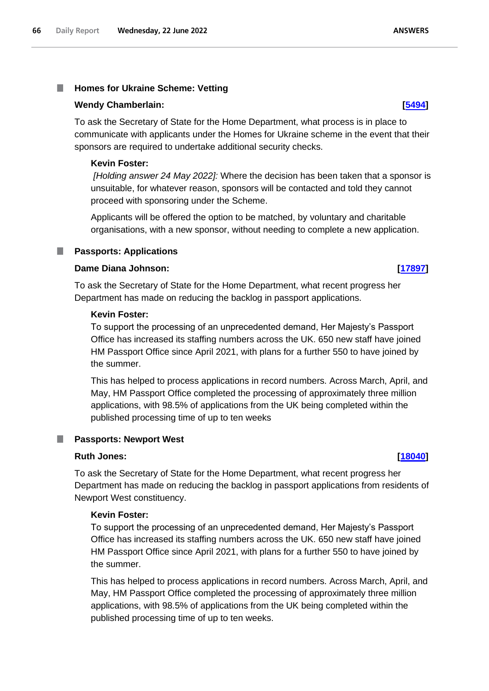### T. **Homes for Ukraine Scheme: Vetting**

### **Wendy Chamberlain: [\[5494\]](http://www.parliament.uk/business/publications/written-questions-answers-statements/written-question/Commons/2022-05-19/5494)**

To ask the Secretary of State for the Home Department, what process is in place to communicate with applicants under the Homes for Ukraine scheme in the event that their sponsors are required to undertake additional security checks.

### **Kevin Foster:**

*[Holding answer 24 May 2022]:* Where the decision has been taken that a sponsor is unsuitable, for whatever reason, sponsors will be contacted and told they cannot proceed with sponsoring under the Scheme.

Applicants will be offered the option to be matched, by voluntary and charitable organisations, with a new sponsor, without needing to complete a new application.

# **Passports: Applications**

## **Dame Diana Johnson: [\[17897\]](http://www.parliament.uk/business/publications/written-questions-answers-statements/written-question/Commons/2022-06-14/17897)**

To ask the Secretary of State for the Home Department, what recent progress her Department has made on reducing the backlog in passport applications.

### **Kevin Foster:**

To support the processing of an unprecedented demand, Her Majesty's Passport Office has increased its staffing numbers across the UK. 650 new staff have joined HM Passport Office since April 2021, with plans for a further 550 to have joined by the summer.

This has helped to process applications in record numbers. Across March, April, and May, HM Passport Office completed the processing of approximately three million applications, with 98.5% of applications from the UK being completed within the published processing time of up to ten weeks

### **Passports: Newport West** .

### **Ruth Jones: [\[18040\]](http://www.parliament.uk/business/publications/written-questions-answers-statements/written-question/Commons/2022-06-14/18040)**

To ask the Secretary of State for the Home Department, what recent progress her Department has made on reducing the backlog in passport applications from residents of Newport West constituency.

# **Kevin Foster:**

To support the processing of an unprecedented demand, Her Majesty's Passport Office has increased its staffing numbers across the UK. 650 new staff have joined HM Passport Office since April 2021, with plans for a further 550 to have joined by the summer.

This has helped to process applications in record numbers. Across March, April, and May, HM Passport Office completed the processing of approximately three million applications, with 98.5% of applications from the UK being completed within the published processing time of up to ten weeks.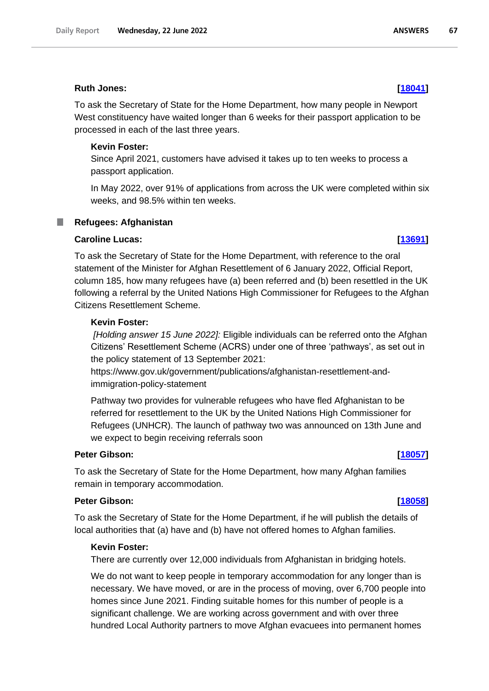# **Ruth Jones: [\[18041\]](http://www.parliament.uk/business/publications/written-questions-answers-statements/written-question/Commons/2022-06-14/18041)**

To ask the Secretary of State for the Home Department, how many people in Newport West constituency have waited longer than 6 weeks for their passport application to be processed in each of the last three years.

# **Kevin Foster:**

Since April 2021, customers have advised it takes up to ten weeks to process a passport application.

In May 2022, over 91% of applications from across the UK were completed within six weeks, and 98.5% within ten weeks.

### **Refugees: Afghanistan** T.

# **Caroline Lucas: [\[13691\]](http://www.parliament.uk/business/publications/written-questions-answers-statements/written-question/Commons/2022-06-07/13691)**

To ask the Secretary of State for the Home Department, with reference to the oral statement of the Minister for Afghan Resettlement of 6 January 2022, Official Report, column 185, how many refugees have (a) been referred and (b) been resettled in the UK following a referral by the United Nations High Commissioner for Refugees to the Afghan Citizens Resettlement Scheme.

# **Kevin Foster:**

*[Holding answer 15 June 2022]:* Eligible individuals can be referred onto the Afghan Citizens' Resettlement Scheme (ACRS) under one of three 'pathways', as set out in the policy statement of 13 September 2021:

https://www.gov.uk/government/publications/afghanistan-resettlement-andimmigration-policy-statement

Pathway two provides for vulnerable refugees who have fled Afghanistan to be referred for resettlement to the UK by the United Nations High Commissioner for Refugees (UNHCR). The launch of pathway two was announced on 13th June and we expect to begin receiving referrals soon

# **Peter Gibson: [\[18057\]](http://www.parliament.uk/business/publications/written-questions-answers-statements/written-question/Commons/2022-06-14/18057)**

To ask the Secretary of State for the Home Department, how many Afghan families remain in temporary accommodation.

# **Peter Gibson: [\[18058\]](http://www.parliament.uk/business/publications/written-questions-answers-statements/written-question/Commons/2022-06-14/18058)**

To ask the Secretary of State for the Home Department, if he will publish the details of local authorities that (a) have and (b) have not offered homes to Afghan families.

### **Kevin Foster:**

There are currently over 12,000 individuals from Afghanistan in bridging hotels.

We do not want to keep people in temporary accommodation for any longer than is necessary. We have moved, or are in the process of moving, over 6,700 people into homes since June 2021. Finding suitable homes for this number of people is a significant challenge. We are working across government and with over three hundred Local Authority partners to move Afghan evacuees into permanent homes

67

**ANSWERS**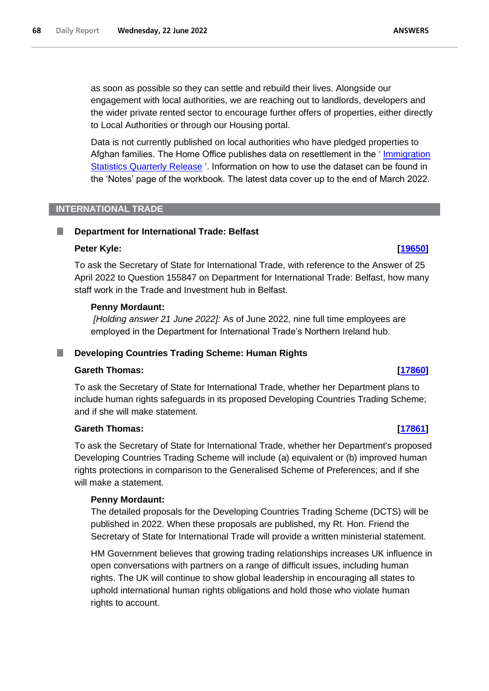as soon as possible so they can settle and rebuild their lives. Alongside our engagement with local authorities, we are reaching out to landlords, developers and the wider private rented sector to encourage further offers of properties, either directly to Local Authorities or through our Housing portal.

Data is not currently published on local authorities who have pledged properties to Afghan families. The Home Office publishes data on resettlement in the ' [Immigration](https://gbr01.safelinks.protection.outlook.com/?url=https%3A%2F%2Fwww.gov.uk%2Fgovernment%2Fcollections%2Fimmigration-statistics-quarterly-release&data=05%7C01%7CRASI-BriefingCorrespondence%40homeoffice.gov.uk%7C7016fd41d82e4828b3b108da4eb372d4%7Cf24d93ecb2914192a08af182245945c2%7C0%7C0%7C637908829866494684%7CUnknown%7CTWFpbGZsb3d8eyJWIjoiMC4wLjAwMDAiLCJQIjoiV2luMzIiLCJBTiI6Ik1haWwiLCJXVCI6Mn0%3D%7C3000%7C%7C%7C&sdata=Lln0hnu19Ng4GIbXAr1SNtF%2FGx0w3z%2FJgum%2FdV5dFV8%3D&reserved=0)  [Statistics Quarterly Release](https://gbr01.safelinks.protection.outlook.com/?url=https%3A%2F%2Fwww.gov.uk%2Fgovernment%2Fcollections%2Fimmigration-statistics-quarterly-release&data=05%7C01%7CRASI-BriefingCorrespondence%40homeoffice.gov.uk%7C7016fd41d82e4828b3b108da4eb372d4%7Cf24d93ecb2914192a08af182245945c2%7C0%7C0%7C637908829866494684%7CUnknown%7CTWFpbGZsb3d8eyJWIjoiMC4wLjAwMDAiLCJQIjoiV2luMzIiLCJBTiI6Ik1haWwiLCJXVCI6Mn0%3D%7C3000%7C%7C%7C&sdata=Lln0hnu19Ng4GIbXAr1SNtF%2FGx0w3z%2FJgum%2FdV5dFV8%3D&reserved=0) '. Information on how to use the dataset can be found in the 'Notes' page of the workbook. The latest data cover up to the end of March 2022.

## **INTERNATIONAL TRADE**

### **Department for International Trade: Belfast** T.

## **Peter Kyle: [\[19650\]](http://www.parliament.uk/business/publications/written-questions-answers-statements/written-question/Commons/2022-06-16/19650)**

To ask the Secretary of State for International Trade, with reference to the Answer of 25 April 2022 to Question 155847 on Department for International Trade: Belfast, how many staff work in the Trade and Investment hub in Belfast.

## **Penny Mordaunt:**

*[Holding answer 21 June 2022]:* As of June 2022, nine full time employees are employed in the Department for International Trade's Northern Ireland hub.

### **Developing Countries Trading Scheme: Human Rights** ш

### **Gareth Thomas: [\[17860\]](http://www.parliament.uk/business/publications/written-questions-answers-statements/written-question/Commons/2022-06-14/17860)**

To ask the Secretary of State for International Trade, whether her Department plans to include human rights safeguards in its proposed Developing Countries Trading Scheme; and if she will make statement.

# **Gareth Thomas: [\[17861\]](http://www.parliament.uk/business/publications/written-questions-answers-statements/written-question/Commons/2022-06-14/17861)**

To ask the Secretary of State for International Trade, whether her Department's proposed Developing Countries Trading Scheme will include (a) equivalent or (b) improved human rights protections in comparison to the Generalised Scheme of Preferences; and if she will make a statement.

# **Penny Mordaunt:**

The detailed proposals for the Developing Countries Trading Scheme (DCTS) will be published in 2022. When these proposals are published, my Rt. Hon. Friend the Secretary of State for International Trade will provide a written ministerial statement.

HM Government believes that growing trading relationships increases UK influence in open conversations with partners on a range of difficult issues, including human rights. The UK will continue to show global leadership in encouraging all states to uphold international human rights obligations and hold those who violate human rights to account.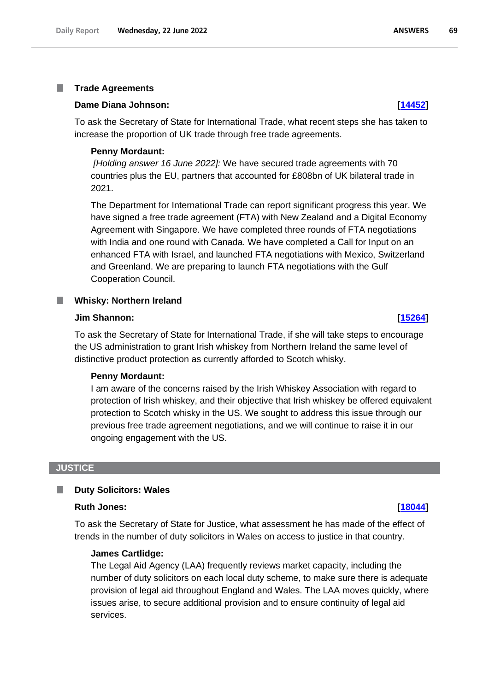### T. **Trade Agreements**

### **Dame Diana Johnson: [\[14452\]](http://www.parliament.uk/business/publications/written-questions-answers-statements/written-question/Commons/2022-06-08/14452)**

To ask the Secretary of State for International Trade, what recent steps she has taken to increase the proportion of UK trade through free trade agreements.

### **Penny Mordaunt:**

*[Holding answer 16 June 2022]:* We have secured trade agreements with 70 countries plus the EU, partners that accounted for £808bn of UK bilateral trade in 2021.

The Department for International Trade can report significant progress this year. We have signed a free trade agreement (FTA) with New Zealand and a Digital Economy Agreement with Singapore. We have completed three rounds of FTA negotiations with India and one round with Canada. We have completed a Call for Input on an enhanced FTA with Israel, and launched FTA negotiations with Mexico, Switzerland and Greenland. We are preparing to launch FTA negotiations with the Gulf Cooperation Council.

### **Whisky: Northern Ireland** ш

### **Jim Shannon: [\[15264\]](http://www.parliament.uk/business/publications/written-questions-answers-statements/written-question/Commons/2022-06-09/15264)**

To ask the Secretary of State for International Trade, if she will take steps to encourage the US administration to grant Irish whiskey from Northern Ireland the same level of distinctive product protection as currently afforded to Scotch whisky.

### **Penny Mordaunt:**

I am aware of the concerns raised by the Irish Whiskey Association with regard to protection of Irish whiskey, and their objective that Irish whiskey be offered equivalent protection to Scotch whisky in the US. We sought to address this issue through our previous free trade agreement negotiations, and we will continue to raise it in our ongoing engagement with the US.

### **JUSTICE**

### **Duty Solicitors: Wales** ш

## **Ruth Jones: [\[18044\]](http://www.parliament.uk/business/publications/written-questions-answers-statements/written-question/Commons/2022-06-14/18044)**

To ask the Secretary of State for Justice, what assessment he has made of the effect of trends in the number of duty solicitors in Wales on access to justice in that country.

# **James Cartlidge:**

The Legal Aid Agency (LAA) frequently reviews market capacity, including the number of duty solicitors on each local duty scheme, to make sure there is adequate provision of legal aid throughout England and Wales. The LAA moves quickly, where issues arise, to secure additional provision and to ensure continuity of legal aid services.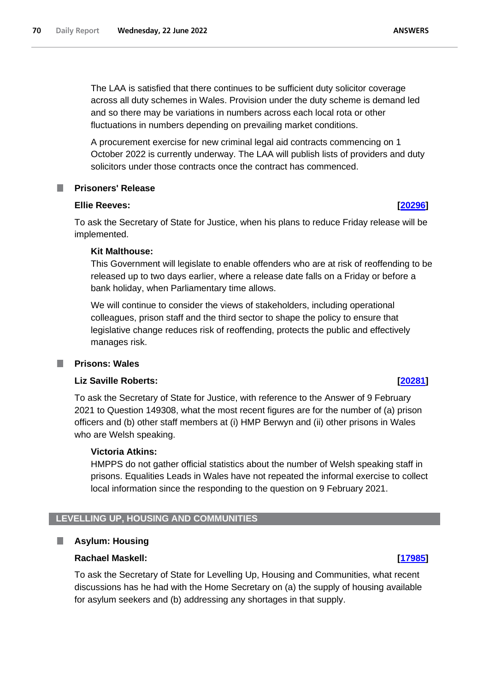The LAA is satisfied that there continues to be sufficient duty solicitor coverage across all duty schemes in Wales. Provision under the duty scheme is demand led and so there may be variations in numbers across each local rota or other fluctuations in numbers depending on prevailing market conditions.

A procurement exercise for new criminal legal aid contracts commencing on 1 October 2022 is currently underway. The LAA will publish lists of providers and duty solicitors under those contracts once the contract has commenced.

# **Prisoners' Release**

# **Ellie Reeves: [\[20296\]](http://www.parliament.uk/business/publications/written-questions-answers-statements/written-question/Commons/2022-06-17/20296)**

To ask the Secretary of State for Justice, when his plans to reduce Friday release will be implemented.

# **Kit Malthouse:**

This Government will legislate to enable offenders who are at risk of reoffending to be released up to two days earlier, where a release date falls on a Friday or before a bank holiday, when Parliamentary time allows.

We will continue to consider the views of stakeholders, including operational colleagues, prison staff and the third sector to shape the policy to ensure that legislative change reduces risk of reoffending, protects the public and effectively manages risk.

# **Prisons: Wales**

# **Liz Saville Roberts: [\[20281\]](http://www.parliament.uk/business/publications/written-questions-answers-statements/written-question/Commons/2022-06-17/20281)**

To ask the Secretary of State for Justice, with reference to the Answer of 9 February 2021 to Question 149308, what the most recent figures are for the number of (a) prison officers and (b) other staff members at (i) HMP Berwyn and (ii) other prisons in Wales who are Welsh speaking.

# **Victoria Atkins:**

HMPPS do not gather official statistics about the number of Welsh speaking staff in prisons. Equalities Leads in Wales have not repeated the informal exercise to collect local information since the responding to the question on 9 February 2021.

# **LEVELLING UP, HOUSING AND COMMUNITIES**

# **Asylum: Housing**

# **Rachael Maskell: [\[17985\]](http://www.parliament.uk/business/publications/written-questions-answers-statements/written-question/Commons/2022-06-14/17985)**

To ask the Secretary of State for Levelling Up, Housing and Communities, what recent discussions has he had with the Home Secretary on (a) the supply of housing available for asylum seekers and (b) addressing any shortages in that supply.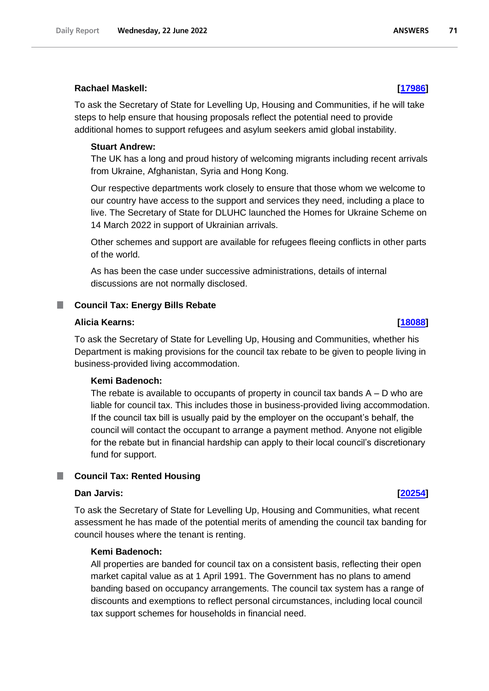## **Rachael Maskell: [\[17986\]](http://www.parliament.uk/business/publications/written-questions-answers-statements/written-question/Commons/2022-06-14/17986)**

To ask the Secretary of State for Levelling Up, Housing and Communities, if he will take steps to help ensure that housing proposals reflect the potential need to provide additional homes to support refugees and asylum seekers amid global instability.

### **Stuart Andrew:**

The UK has a long and proud history of welcoming migrants including recent arrivals from Ukraine, Afghanistan, Syria and Hong Kong.

Our respective departments work closely to ensure that those whom we welcome to our country have access to the support and services they need, including a place to live. The Secretary of State for DLUHC launched the Homes for Ukraine Scheme on 14 March 2022 in support of Ukrainian arrivals.

Other schemes and support are available for refugees fleeing conflicts in other parts of the world.

As has been the case under successive administrations, details of internal discussions are not normally disclosed.

# **Council Tax: Energy Bills Rebate**

## **Alicia Kearns: [\[18088\]](http://www.parliament.uk/business/publications/written-questions-answers-statements/written-question/Commons/2022-06-14/18088)**

To ask the Secretary of State for Levelling Up, Housing and Communities, whether his Department is making provisions for the council tax rebate to be given to people living in business-provided living accommodation.

# **Kemi Badenoch:**

The rebate is available to occupants of property in council tax bands  $A - D$  who are liable for council tax. This includes those in business-provided living accommodation. If the council tax bill is usually paid by the employer on the occupant's behalf, the council will contact the occupant to arrange a payment method. Anyone not eligible for the rebate but in financial hardship can apply to their local council's discretionary fund for support.

## **Council Tax: Rented Housing**

## **Dan Jarvis: [\[20254\]](http://www.parliament.uk/business/publications/written-questions-answers-statements/written-question/Commons/2022-06-17/20254)**

To ask the Secretary of State for Levelling Up, Housing and Communities, what recent assessment he has made of the potential merits of amending the council tax banding for council houses where the tenant is renting.

## **Kemi Badenoch:**

All properties are banded for council tax on a consistent basis, reflecting their open market capital value as at 1 April 1991. The Government has no plans to amend banding based on occupancy arrangements. The council tax system has a range of discounts and exemptions to reflect personal circumstances, including local council tax support schemes for households in financial need.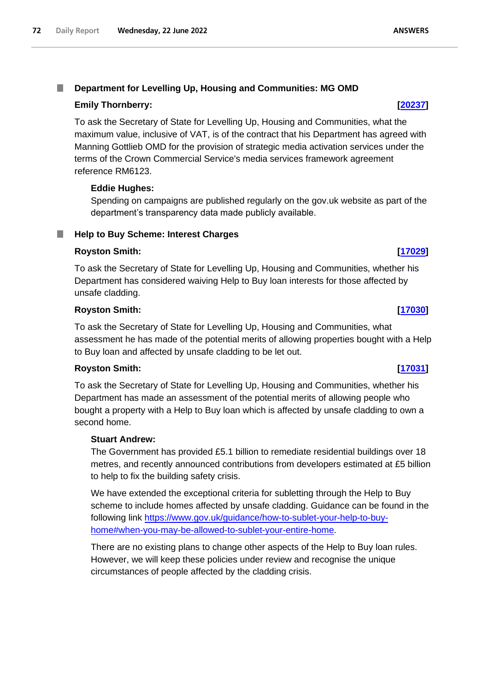### I. **Department for Levelling Up, Housing and Communities: MG OMD**

# **Emily Thornberry: [\[20237\]](http://www.parliament.uk/business/publications/written-questions-answers-statements/written-question/Commons/2022-06-17/20237)**

To ask the Secretary of State for Levelling Up, Housing and Communities, what the maximum value, inclusive of VAT, is of the contract that his Department has agreed with Manning Gottlieb OMD for the provision of strategic media activation services under the terms of the Crown Commercial Service's media services framework agreement reference RM6123.

# **Eddie Hughes:**

Spending on campaigns are published regularly on the gov.uk website as part of the department's transparency data made publicly available.

# **Help to Buy Scheme: Interest Charges**

# **Royston Smith: [\[17029\]](http://www.parliament.uk/business/publications/written-questions-answers-statements/written-question/Commons/2022-06-13/17029)**

To ask the Secretary of State for Levelling Up, Housing and Communities, whether his Department has considered waiving Help to Buy loan interests for those affected by unsafe cladding.

# **Royston Smith: [\[17030\]](http://www.parliament.uk/business/publications/written-questions-answers-statements/written-question/Commons/2022-06-13/17030)**

To ask the Secretary of State for Levelling Up, Housing and Communities, what assessment he has made of the potential merits of allowing properties bought with a Help to Buy loan and affected by unsafe cladding to be let out.

# **Royston Smith: [\[17031\]](http://www.parliament.uk/business/publications/written-questions-answers-statements/written-question/Commons/2022-06-13/17031)**

To ask the Secretary of State for Levelling Up, Housing and Communities, whether his Department has made an assessment of the potential merits of allowing people who bought a property with a Help to Buy loan which is affected by unsafe cladding to own a second home.

# **Stuart Andrew:**

The Government has provided £5.1 billion to remediate residential buildings over 18 metres, and recently announced contributions from developers estimated at £5 billion to help to fix the building safety crisis.

We have extended the exceptional criteria for subletting through the Help to Buy scheme to include homes affected by unsafe cladding. Guidance can be found in the following link [https://www.gov.uk/guidance/how-to-sublet-your-help-to-buy](https://gbr01.safelinks.protection.outlook.com/?url=https%3A%2F%2Fwww.gov.uk%2Fguidance%2Fhow-to-sublet-your-help-to-buy-home%23when-you-may-be-allowed-to-sublet-your-entire-home&data=05%7C01%7CParliamentary%40levellingup.gov.uk%7C53679c7967fe4972677a08da546a8262%7Cbf3468109c7d43dea87224a2ef3995a8%7C0%7C0%7C637915113667740198%7CUnknown%7CTWFpbGZsb3d8eyJWIjoiMC4wLjAwMDAiLCJQIjoiV2luMzIiLCJBTiI6Ik1haWwiLCJXVCI6Mn0%3D%7C3000%7C%7C%7C&sdata=NLNg%2BKT0fQOzmewzlaU32jS3a4ZNAvdSYAw4owXFoNw%3D&reserved=0)[home#when-you-may-be-allowed-to-sublet-your-entire-home.](https://gbr01.safelinks.protection.outlook.com/?url=https%3A%2F%2Fwww.gov.uk%2Fguidance%2Fhow-to-sublet-your-help-to-buy-home%23when-you-may-be-allowed-to-sublet-your-entire-home&data=05%7C01%7CParliamentary%40levellingup.gov.uk%7C53679c7967fe4972677a08da546a8262%7Cbf3468109c7d43dea87224a2ef3995a8%7C0%7C0%7C637915113667740198%7CUnknown%7CTWFpbGZsb3d8eyJWIjoiMC4wLjAwMDAiLCJQIjoiV2luMzIiLCJBTiI6Ik1haWwiLCJXVCI6Mn0%3D%7C3000%7C%7C%7C&sdata=NLNg%2BKT0fQOzmewzlaU32jS3a4ZNAvdSYAw4owXFoNw%3D&reserved=0)

There are no existing plans to change other aspects of the Help to Buy loan rules. However, we will keep these policies under review and recognise the unique circumstances of people affected by the cladding crisis.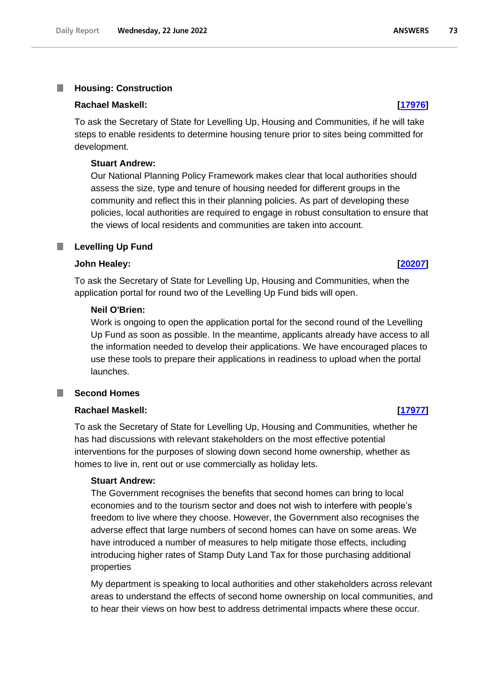#### T. **Housing: Construction**

#### **Rachael Maskell: [\[17976\]](http://www.parliament.uk/business/publications/written-questions-answers-statements/written-question/Commons/2022-06-14/17976)**

To ask the Secretary of State for Levelling Up, Housing and Communities, if he will take steps to enable residents to determine housing tenure prior to sites being committed for development.

#### **Stuart Andrew:**

Our National Planning Policy Framework makes clear that local authorities should assess the size, type and tenure of housing needed for different groups in the community and reflect this in their planning policies. As part of developing these policies, local authorities are required to engage in robust consultation to ensure that the views of local residents and communities are taken into account.

#### **Levelling Up Fund**

## **John Healey: [\[20207\]](http://www.parliament.uk/business/publications/written-questions-answers-statements/written-question/Commons/2022-06-17/20207)**

To ask the Secretary of State for Levelling Up, Housing and Communities, when the application portal for round two of the Levelling Up Fund bids will open.

#### **Neil O'Brien:**

Work is ongoing to open the application portal for the second round of the Levelling Up Fund as soon as possible. In the meantime, applicants already have access to all the information needed to develop their applications. We have encouraged places to use these tools to prepare their applications in readiness to upload when the portal launches.

#### **Second Homes I**

#### **Rachael Maskell: [\[17977\]](http://www.parliament.uk/business/publications/written-questions-answers-statements/written-question/Commons/2022-06-14/17977)**

To ask the Secretary of State for Levelling Up, Housing and Communities, whether he has had discussions with relevant stakeholders on the most effective potential interventions for the purposes of slowing down second home ownership, whether as homes to live in, rent out or use commercially as holiday lets.

#### **Stuart Andrew:**

The Government recognises the benefits that second homes can bring to local economies and to the tourism sector and does not wish to interfere with people's freedom to live where they choose. However, the Government also recognises the adverse effect that large numbers of second homes can have on some areas. We have introduced a number of measures to help mitigate those effects, including introducing higher rates of Stamp Duty Land Tax for those purchasing additional properties

My department is speaking to local authorities and other stakeholders across relevant areas to understand the effects of second home ownership on local communities, and to hear their views on how best to address detrimental impacts where these occur.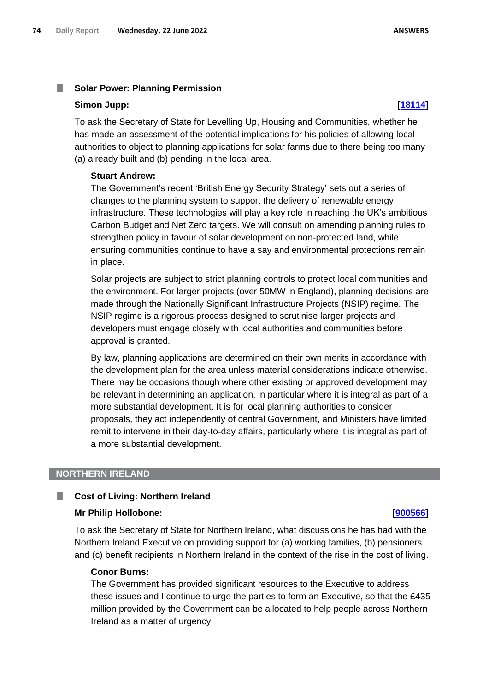#### T. **Solar Power: Planning Permission**

#### **Simon Jupp: [\[18114\]](http://www.parliament.uk/business/publications/written-questions-answers-statements/written-question/Commons/2022-06-14/18114)**

To ask the Secretary of State for Levelling Up, Housing and Communities, whether he has made an assessment of the potential implications for his policies of allowing local authorities to object to planning applications for solar farms due to there being too many (a) already built and (b) pending in the local area.

### **Stuart Andrew:**

The Government's recent 'British Energy Security Strategy' sets out a series of changes to the planning system to support the delivery of renewable energy infrastructure. These technologies will play a key role in reaching the UK's ambitious Carbon Budget and Net Zero targets. We will consult on amending planning rules to strengthen policy in favour of solar development on non-protected land, while ensuring communities continue to have a say and environmental protections remain in place.

Solar projects are subject to strict planning controls to protect local communities and the environment. For larger projects (over 50MW in England), planning decisions are made through the Nationally Significant Infrastructure Projects (NSIP) regime. The NSIP regime is a rigorous process designed to scrutinise larger projects and developers must engage closely with local authorities and communities before approval is granted.

By law, planning applications are determined on their own merits in accordance with the development plan for the area unless material considerations indicate otherwise. There may be occasions though where other existing or approved development may be relevant in determining an application, in particular where it is integral as part of a more substantial development. It is for local planning authorities to consider proposals, they act independently of central Government, and Ministers have limited remit to intervene in their day-to-day affairs, particularly where it is integral as part of a more substantial development.

#### **NORTHERN IRELAND**

#### ш **Cost of Living: Northern Ireland**

#### **Mr Philip Hollobone: [\[900566\]](http://www.parliament.uk/business/publications/written-questions-answers-statements/written-question/Commons/2022-06-22/900566)**

To ask the Secretary of State for Northern Ireland, what discussions he has had with the Northern Ireland Executive on providing support for (a) working families, (b) pensioners and (c) benefit recipients in Northern Ireland in the context of the rise in the cost of living.

### **Conor Burns:**

The Government has provided significant resources to the Executive to address these issues and I continue to urge the parties to form an Executive, so that the £435 million provided by the Government can be allocated to help people across Northern Ireland as a matter of urgency.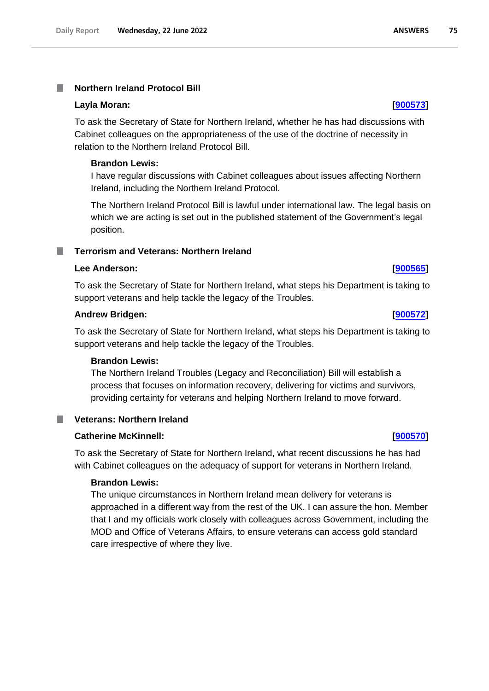## **Northern Ireland Protocol Bill**

#### **Layla Moran: [\[900573\]](http://www.parliament.uk/business/publications/written-questions-answers-statements/written-question/Commons/2022-06-22/900573)**

To ask the Secretary of State for Northern Ireland, whether he has had discussions with Cabinet colleagues on the appropriateness of the use of the doctrine of necessity in relation to the Northern Ireland Protocol Bill.

#### **Brandon Lewis:**

I have regular discussions with Cabinet colleagues about issues affecting Northern Ireland, including the Northern Ireland Protocol.

The Northern Ireland Protocol Bill is lawful under international law. The legal basis on which we are acting is set out in the published statement of the Government's legal position.

### **Terrorism and Veterans: Northern Ireland**

### **Lee Anderson: [\[900565\]](http://www.parliament.uk/business/publications/written-questions-answers-statements/written-question/Commons/2022-06-22/900565)**

To ask the Secretary of State for Northern Ireland, what steps his Department is taking to support veterans and help tackle the legacy of the Troubles.

#### **Andrew Bridgen: [\[900572\]](http://www.parliament.uk/business/publications/written-questions-answers-statements/written-question/Commons/2022-06-22/900572)**

To ask the Secretary of State for Northern Ireland, what steps his Department is taking to support veterans and help tackle the legacy of the Troubles.

### **Brandon Lewis:**

The Northern Ireland Troubles (Legacy and Reconciliation) Bill will establish a process that focuses on information recovery, delivering for victims and survivors, providing certainty for veterans and helping Northern Ireland to move forward.

| <b>Veterans: Northern Ireland</b> |  |
|-----------------------------------|--|
|-----------------------------------|--|

### **Catherine McKinnell: [\[900570\]](http://www.parliament.uk/business/publications/written-questions-answers-statements/written-question/Commons/2022-06-22/900570)**

To ask the Secretary of State for Northern Ireland, what recent discussions he has had with Cabinet colleagues on the adequacy of support for veterans in Northern Ireland.

### **Brandon Lewis:**

The unique circumstances in Northern Ireland mean delivery for veterans is approached in a different way from the rest of the UK. I can assure the hon. Member that I and my officials work closely with colleagues across Government, including the MOD and Office of Veterans Affairs, to ensure veterans can access gold standard care irrespective of where they live.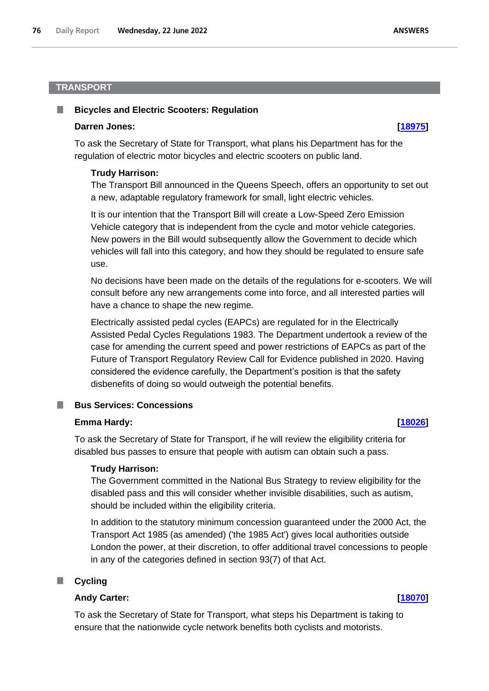### **TRANSPORT**

#### **Bicycles and Electric Scooters: Regulation**

#### **Darren Jones: [\[18975\]](http://www.parliament.uk/business/publications/written-questions-answers-statements/written-question/Commons/2022-06-15/18975)**

To ask the Secretary of State for Transport, what plans his Department has for the regulation of electric motor bicycles and electric scooters on public land.

#### **Trudy Harrison:**

The Transport Bill announced in the Queens Speech, offers an opportunity to set out a new, adaptable regulatory framework for small, light electric vehicles.

It is our intention that the Transport Bill will create a Low-Speed Zero Emission Vehicle category that is independent from the cycle and motor vehicle categories. New powers in the Bill would subsequently allow the Government to decide which vehicles will fall into this category, and how they should be regulated to ensure safe use.

No decisions have been made on the details of the regulations for e-scooters. We will consult before any new arrangements come into force, and all interested parties will have a chance to shape the new regime.

Electrically assisted pedal cycles (EAPCs) are regulated for in the Electrically Assisted Pedal Cycles Regulations 1983. The Department undertook a review of the case for amending the current speed and power restrictions of EAPCs as part of the Future of Transport Regulatory Review Call for Evidence published in 2020. Having considered the evidence carefully, the Department's position is that the safety disbenefits of doing so would outweigh the potential benefits.

#### **Bus Services: Concessions**

#### **Emma Hardy: [\[18026\]](http://www.parliament.uk/business/publications/written-questions-answers-statements/written-question/Commons/2022-06-14/18026)**

To ask the Secretary of State for Transport, if he will review the eligibility criteria for disabled bus passes to ensure that people with autism can obtain such a pass.

#### **Trudy Harrison:**

The Government committed in the National Bus Strategy to review eligibility for the disabled pass and this will consider whether invisible disabilities, such as autism, should be included within the eligibility criteria.

In addition to the statutory minimum concession guaranteed under the 2000 Act, the Transport Act 1985 (as amended) ('the 1985 Act') gives local authorities outside London the power, at their discretion, to offer additional travel concessions to people in any of the categories defined in section 93(7) of that Act.

#### **Cycling** .

### **Andy Carter: [\[18070\]](http://www.parliament.uk/business/publications/written-questions-answers-statements/written-question/Commons/2022-06-14/18070)**

To ask the Secretary of State for Transport, what steps his Department is taking to ensure that the nationwide cycle network benefits both cyclists and motorists.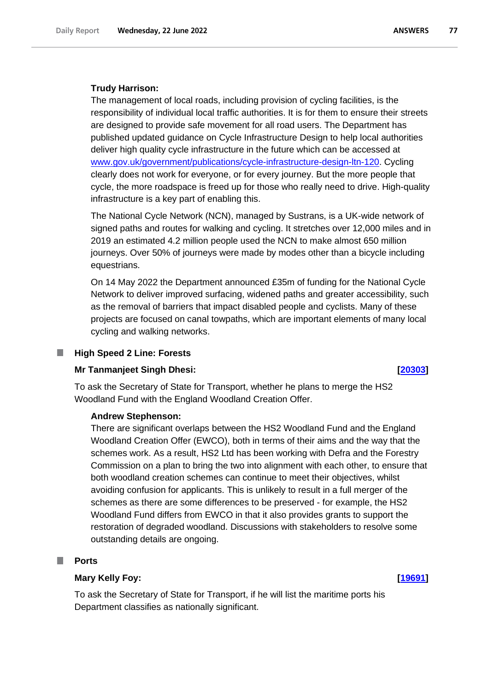### **Trudy Harrison:**

The management of local roads, including provision of cycling facilities, is the responsibility of individual local traffic authorities. It is for them to ensure their streets are designed to provide safe movement for all road users. The Department has published updated guidance on Cycle Infrastructure Design to help local authorities deliver high quality cycle infrastructure in the future which can be accessed at www.gov.uk/government/publications/cycle-infrastructure-design-ltn-120. Cycling clearly does not work for everyone, or for every journey. But the more people that cycle, the more roadspace is freed up for those who really need to drive. High-quality infrastructure is a key part of enabling this.

The National Cycle Network (NCN), managed by Sustrans, is a UK-wide network of signed paths and routes for walking and cycling. It stretches over 12,000 miles and in 2019 an estimated 4.2 million people used the NCN to make almost 650 million journeys. Over 50% of journeys were made by modes other than a bicycle including equestrians.

On 14 May 2022 the Department announced £35m of funding for the National Cycle Network to deliver improved surfacing, widened paths and greater accessibility, such as the removal of barriers that impact disabled people and cyclists. Many of these projects are focused on canal towpaths, which are important elements of many local cycling and walking networks.

#### П **High Speed 2 Line: Forests**

#### **Mr Tanmanjeet Singh Dhesi: [\[20303\]](http://www.parliament.uk/business/publications/written-questions-answers-statements/written-question/Commons/2022-06-17/20303)**

To ask the Secretary of State for Transport, whether he plans to merge the HS2 Woodland Fund with the England Woodland Creation Offer.

### **Andrew Stephenson:**

There are significant overlaps between the HS2 Woodland Fund and the England Woodland Creation Offer (EWCO), both in terms of their aims and the way that the schemes work. As a result, HS2 Ltd has been working with Defra and the Forestry Commission on a plan to bring the two into alignment with each other, to ensure that both woodland creation schemes can continue to meet their objectives, whilst avoiding confusion for applicants. This is unlikely to result in a full merger of the schemes as there are some differences to be preserved - for example, the HS2 Woodland Fund differs from EWCO in that it also provides grants to support the restoration of degraded woodland. Discussions with stakeholders to resolve some outstanding details are ongoing.

#### T. **Ports**

### **Mary Kelly Foy: [\[19691\]](http://www.parliament.uk/business/publications/written-questions-answers-statements/written-question/Commons/2022-06-16/19691)**

To ask the Secretary of State for Transport, if he will list the maritime ports his Department classifies as nationally significant.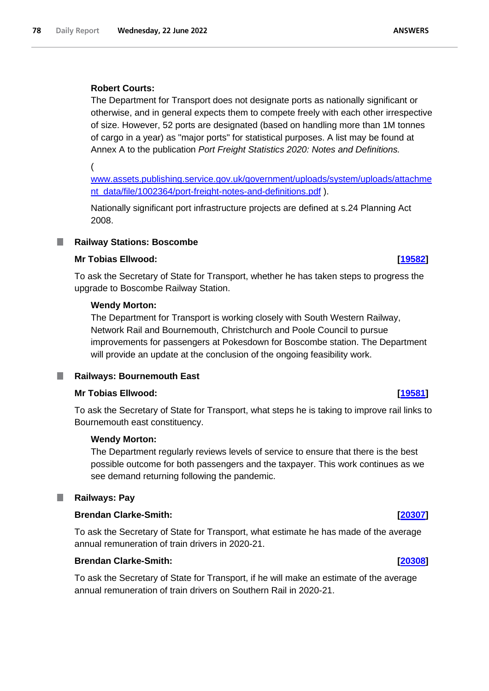## **Robert Courts:**

The Department for Transport does not designate ports as nationally significant or otherwise, and in general expects them to compete freely with each other irrespective of size. However, 52 ports are designated (based on handling more than 1M tonnes of cargo in a year) as "major ports" for statistical purposes. A list may be found at Annex A to the publication *Port Freight Statistics 2020: Notes and Definitions.*

(

[www.assets.publishing.service.gov.uk/government/uploads/system/uploads/attachme](http://www.assets.publishing.service.gov.uk/government/uploads/system/uploads/attachment_data/file/1002364/port-freight-notes-and-definitions.pdf) [nt\\_data/file/1002364/port-freight-notes-and-definitions.pdf](http://www.assets.publishing.service.gov.uk/government/uploads/system/uploads/attachment_data/file/1002364/port-freight-notes-and-definitions.pdf) ).

Nationally significant port infrastructure projects are defined at s.24 Planning Act 2008.

## **Railway Stations: Boscombe**

## **Mr Tobias Ellwood: [\[19582\]](http://www.parliament.uk/business/publications/written-questions-answers-statements/written-question/Commons/2022-06-16/19582)**

To ask the Secretary of State for Transport, whether he has taken steps to progress the upgrade to Boscombe Railway Station.

### **Wendy Morton:**

The Department for Transport is working closely with South Western Railway, Network Rail and Bournemouth, Christchurch and Poole Council to pursue improvements for passengers at Pokesdown for Boscombe station. The Department will provide an update at the conclusion of the ongoing feasibility work.

#### **Railways: Bournemouth East** ш

### **Mr Tobias Ellwood: [\[19581\]](http://www.parliament.uk/business/publications/written-questions-answers-statements/written-question/Commons/2022-06-16/19581)**

To ask the Secretary of State for Transport, what steps he is taking to improve rail links to Bournemouth east constituency.

### **Wendy Morton:**

The Department regularly reviews levels of service to ensure that there is the best possible outcome for both passengers and the taxpayer. This work continues as we see demand returning following the pandemic.

#### **Railways: Pay** ш

## **Brendan Clarke-Smith: [\[20307\]](http://www.parliament.uk/business/publications/written-questions-answers-statements/written-question/Commons/2022-06-17/20307)**

To ask the Secretary of State for Transport, what estimate he has made of the average annual remuneration of train drivers in 2020-21.

## **Brendan Clarke-Smith: [\[20308\]](http://www.parliament.uk/business/publications/written-questions-answers-statements/written-question/Commons/2022-06-17/20308)**

To ask the Secretary of State for Transport, if he will make an estimate of the average annual remuneration of train drivers on Southern Rail in 2020-21.

#### **ANSWERS**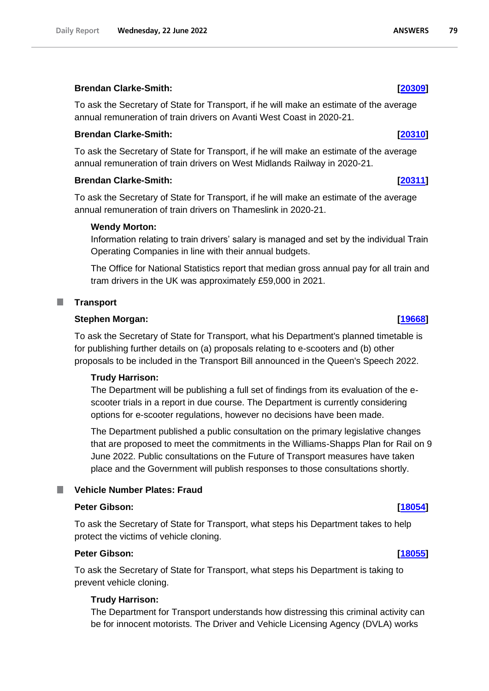### **Brendan Clarke-Smith: [\[20309\]](http://www.parliament.uk/business/publications/written-questions-answers-statements/written-question/Commons/2022-06-17/20309)**

To ask the Secretary of State for Transport, if he will make an estimate of the average annual remuneration of train drivers on Avanti West Coast in 2020-21.

### **Brendan Clarke-Smith: [\[20310\]](http://www.parliament.uk/business/publications/written-questions-answers-statements/written-question/Commons/2022-06-17/20310)**

To ask the Secretary of State for Transport, if he will make an estimate of the average annual remuneration of train drivers on West Midlands Railway in 2020-21.

### **Brendan Clarke-Smith: [\[20311\]](http://www.parliament.uk/business/publications/written-questions-answers-statements/written-question/Commons/2022-06-17/20311)**

To ask the Secretary of State for Transport, if he will make an estimate of the average annual remuneration of train drivers on Thameslink in 2020-21.

### **Wendy Morton:**

Information relating to train drivers' salary is managed and set by the individual Train Operating Companies in line with their annual budgets.

The Office for National Statistics report that median gross annual pay for all train and tram drivers in the UK was approximately £59,000 in 2021.

**Transport** П

### **Stephen Morgan: [\[19668\]](http://www.parliament.uk/business/publications/written-questions-answers-statements/written-question/Commons/2022-06-16/19668)**

To ask the Secretary of State for Transport, what his Department's planned timetable is for publishing further details on (a) proposals relating to e-scooters and (b) other proposals to be included in the Transport Bill announced in the Queen's Speech 2022.

### **Trudy Harrison:**

The Department will be publishing a full set of findings from its evaluation of the escooter trials in a report in due course. The Department is currently considering options for e-scooter regulations, however no decisions have been made.

The Department published a public consultation on the primary legislative changes that are proposed to meet the commitments in the Williams-Shapps Plan for Rail on 9 June 2022. Public consultations on the Future of Transport measures have taken place and the Government will publish responses to those consultations shortly.

## **Vehicle Number Plates: Fraud**

### **Peter Gibson: [\[18054\]](http://www.parliament.uk/business/publications/written-questions-answers-statements/written-question/Commons/2022-06-14/18054)**

To ask the Secretary of State for Transport, what steps his Department takes to help protect the victims of vehicle cloning.

### **Peter Gibson: [\[18055\]](http://www.parliament.uk/business/publications/written-questions-answers-statements/written-question/Commons/2022-06-14/18055)**

To ask the Secretary of State for Transport, what steps his Department is taking to prevent vehicle cloning.

### **Trudy Harrison:**

The Department for Transport understands how distressing this criminal activity can be for innocent motorists. The Driver and Vehicle Licensing Agency (DVLA) works

79

**ANSWERS**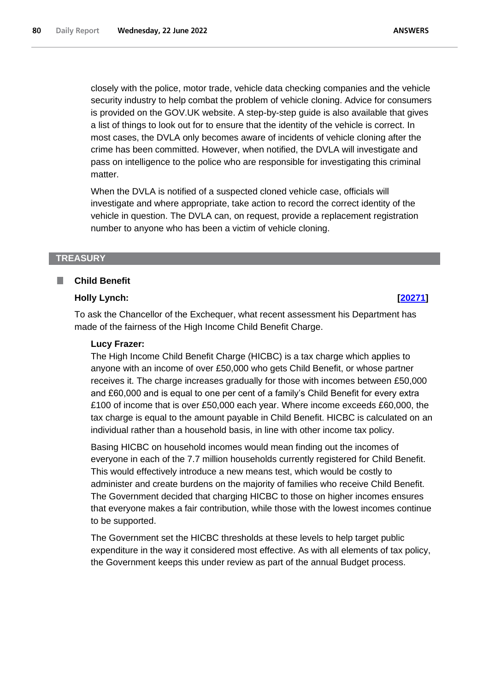closely with the police, motor trade, vehicle data checking companies and the vehicle security industry to help combat the problem of vehicle cloning. Advice for consumers is provided on the GOV.UK website. A step-by-step guide is also available that gives a list of things to look out for to ensure that the identity of the vehicle is correct. In most cases, the DVLA only becomes aware of incidents of vehicle cloning after the crime has been committed. However, when notified, the DVLA will investigate and pass on intelligence to the police who are responsible for investigating this criminal matter.

When the DVLA is notified of a suspected cloned vehicle case, officials will investigate and where appropriate, take action to record the correct identity of the vehicle in question. The DVLA can, on request, provide a replacement registration number to anyone who has been a victim of vehicle cloning.

#### **TREASURY**

#### **Child Benefit**

#### **Holly Lynch: [\[20271\]](http://www.parliament.uk/business/publications/written-questions-answers-statements/written-question/Commons/2022-06-17/20271)**

To ask the Chancellor of the Exchequer, what recent assessment his Department has made of the fairness of the High Income Child Benefit Charge.

#### **Lucy Frazer:**

The High Income Child Benefit Charge (HICBC) is a tax charge which applies to anyone with an income of over £50,000 who gets Child Benefit, or whose partner receives it. The charge increases gradually for those with incomes between £50,000 and £60,000 and is equal to one per cent of a family's Child Benefit for every extra £100 of income that is over £50,000 each year. Where income exceeds £60,000, the tax charge is equal to the amount payable in Child Benefit. HICBC is calculated on an individual rather than a household basis, in line with other income tax policy.

Basing HICBC on household incomes would mean finding out the incomes of everyone in each of the 7.7 million households currently registered for Child Benefit. This would effectively introduce a new means test, which would be costly to administer and create burdens on the majority of families who receive Child Benefit. The Government decided that charging HICBC to those on higher incomes ensures that everyone makes a fair contribution, while those with the lowest incomes continue to be supported.

The Government set the HICBC thresholds at these levels to help target public expenditure in the way it considered most effective. As with all elements of tax policy, the Government keeps this under review as part of the annual Budget process.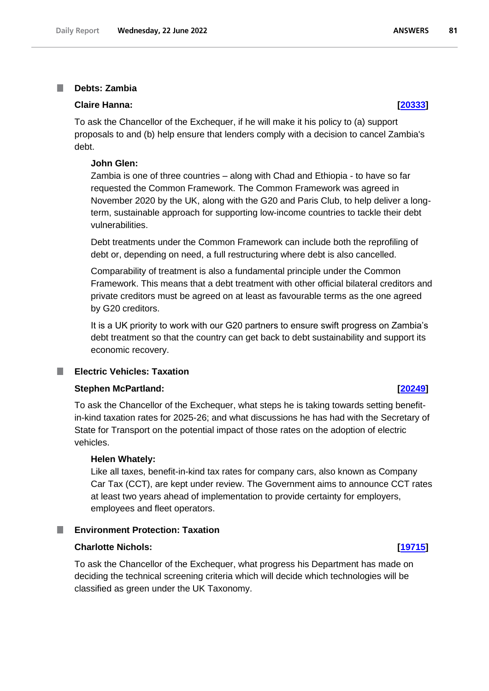#### **Debts: Zambia** I.

### **Claire Hanna: [\[20333\]](http://www.parliament.uk/business/publications/written-questions-answers-statements/written-question/Commons/2022-06-17/20333)**

To ask the Chancellor of the Exchequer, if he will make it his policy to (a) support proposals to and (b) help ensure that lenders comply with a decision to cancel Zambia's debt.

#### **John Glen:**

Zambia is one of three countries – along with Chad and Ethiopia - to have so far requested the Common Framework. The Common Framework was agreed in November 2020 by the UK, along with the G20 and Paris Club, to help deliver a longterm, sustainable approach for supporting low-income countries to tackle their debt vulnerabilities.

Debt treatments under the Common Framework can include both the reprofiling of debt or, depending on need, a full restructuring where debt is also cancelled.

Comparability of treatment is also a fundamental principle under the Common Framework. This means that a debt treatment with other official bilateral creditors and private creditors must be agreed on at least as favourable terms as the one agreed by G20 creditors.

It is a UK priority to work with our G20 partners to ensure swift progress on Zambia's debt treatment so that the country can get back to debt sustainability and support its economic recovery.

#### **Electric Vehicles: Taxation**

#### **Stephen McPartland: [\[20249\]](http://www.parliament.uk/business/publications/written-questions-answers-statements/written-question/Commons/2022-06-17/20249)**

To ask the Chancellor of the Exchequer, what steps he is taking towards setting benefitin-kind taxation rates for 2025-26; and what discussions he has had with the Secretary of State for Transport on the potential impact of those rates on the adoption of electric vehicles.

#### **Helen Whately:**

Like all taxes, benefit-in-kind tax rates for company cars, also known as Company Car Tax (CCT), are kept under review. The Government aims to announce CCT rates at least two years ahead of implementation to provide certainty for employers, employees and fleet operators.

## **Environment Protection: Taxation**

### **Charlotte Nichols: [\[19715\]](http://www.parliament.uk/business/publications/written-questions-answers-statements/written-question/Commons/2022-06-16/19715)**

To ask the Chancellor of the Exchequer, what progress his Department has made on deciding the technical screening criteria which will decide which technologies will be classified as green under the UK Taxonomy.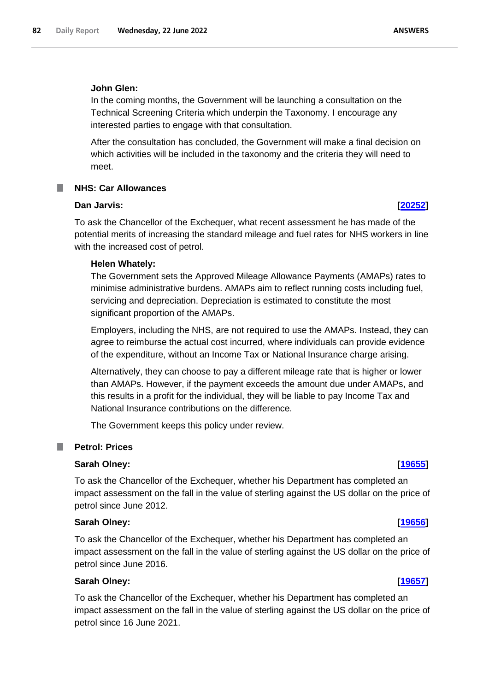### **John Glen:**

In the coming months, the Government will be launching a consultation on the Technical Screening Criteria which underpin the Taxonomy. I encourage any interested parties to engage with that consultation.

After the consultation has concluded, the Government will make a final decision on which activities will be included in the taxonomy and the criteria they will need to meet.

### **NHS: Car Allowances**

### **Dan Jarvis: [\[20252\]](http://www.parliament.uk/business/publications/written-questions-answers-statements/written-question/Commons/2022-06-17/20252)**

To ask the Chancellor of the Exchequer, what recent assessment he has made of the potential merits of increasing the standard mileage and fuel rates for NHS workers in line with the increased cost of petrol.

### **Helen Whately:**

The Government sets the Approved Mileage Allowance Payments (AMAPs) rates to minimise administrative burdens. AMAPs aim to reflect running costs including fuel, servicing and depreciation. Depreciation is estimated to constitute the most significant proportion of the AMAPs.

Employers, including the NHS, are not required to use the AMAPs. Instead, they can agree to reimburse the actual cost incurred, where individuals can provide evidence of the expenditure, without an Income Tax or National Insurance charge arising.

Alternatively, they can choose to pay a different mileage rate that is higher or lower than AMAPs. However, if the payment exceeds the amount due under AMAPs, and this results in a profit for the individual, they will be liable to pay Income Tax and National Insurance contributions on the difference.

The Government keeps this policy under review.

### **Petrol: Prices**

### **Sarah Olney: [\[19655\]](http://www.parliament.uk/business/publications/written-questions-answers-statements/written-question/Commons/2022-06-16/19655)**

To ask the Chancellor of the Exchequer, whether his Department has completed an impact assessment on the fall in the value of sterling against the US dollar on the price of petrol since June 2012.

#### **Sarah Olney: [\[19656\]](http://www.parliament.uk/business/publications/written-questions-answers-statements/written-question/Commons/2022-06-16/19656)**

To ask the Chancellor of the Exchequer, whether his Department has completed an impact assessment on the fall in the value of sterling against the US dollar on the price of petrol since June 2016.

### **Sarah Olney: [\[19657\]](http://www.parliament.uk/business/publications/written-questions-answers-statements/written-question/Commons/2022-06-16/19657)**

To ask the Chancellor of the Exchequer, whether his Department has completed an impact assessment on the fall in the value of sterling against the US dollar on the price of petrol since 16 June 2021.

# **ANSWERS**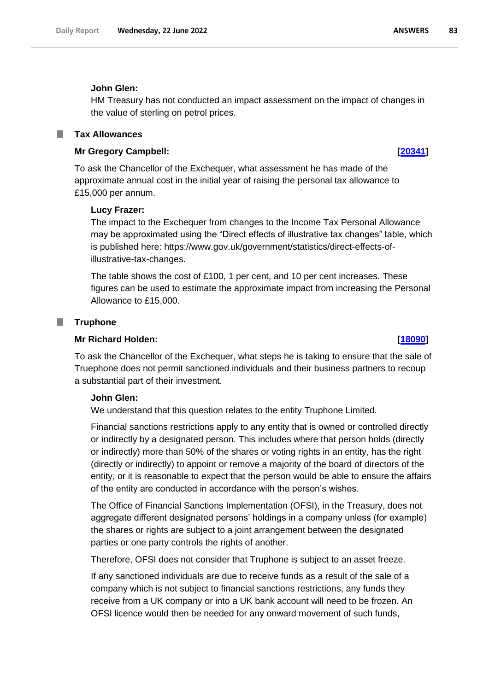#### **John Glen:**

HM Treasury has not conducted an impact assessment on the impact of changes in the value of sterling on petrol prices.

### **Tax Allowances**

### **Mr Gregory Campbell: [\[20341\]](http://www.parliament.uk/business/publications/written-questions-answers-statements/written-question/Commons/2022-06-17/20341)**

To ask the Chancellor of the Exchequer, what assessment he has made of the approximate annual cost in the initial year of raising the personal tax allowance to £15,000 per annum.

#### **Lucy Frazer:**

The impact to the Exchequer from changes to the Income Tax Personal Allowance may be approximated using the "Direct effects of illustrative tax changes" table, which is published here: https://www.gov.uk/government/statistics/direct-effects-ofillustrative-tax-changes.

The table shows the cost of £100, 1 per cent, and 10 per cent increases. These figures can be used to estimate the approximate impact from increasing the Personal Allowance to £15,000.

#### **Truphone**

#### **Mr Richard Holden: [\[18090\]](http://www.parliament.uk/business/publications/written-questions-answers-statements/written-question/Commons/2022-06-14/18090)**

To ask the Chancellor of the Exchequer, what steps he is taking to ensure that the sale of Truephone does not permit sanctioned individuals and their business partners to recoup a substantial part of their investment.

#### **John Glen:**

We understand that this question relates to the entity Truphone Limited.

Financial sanctions restrictions apply to any entity that is owned or controlled directly or indirectly by a designated person. This includes where that person holds (directly or indirectly) more than 50% of the shares or voting rights in an entity, has the right (directly or indirectly) to appoint or remove a majority of the board of directors of the entity, or it is reasonable to expect that the person would be able to ensure the affairs of the entity are conducted in accordance with the person's wishes.

The Office of Financial Sanctions Implementation (OFSI), in the Treasury, does not aggregate different designated persons' holdings in a company unless (for example) the shares or rights are subject to a joint arrangement between the designated parties or one party controls the rights of another.

Therefore, OFSI does not consider that Truphone is subject to an asset freeze.

If any sanctioned individuals are due to receive funds as a result of the sale of a company which is not subject to financial sanctions restrictions, any funds they receive from a UK company or into a UK bank account will need to be frozen. An OFSI licence would then be needed for any onward movement of such funds,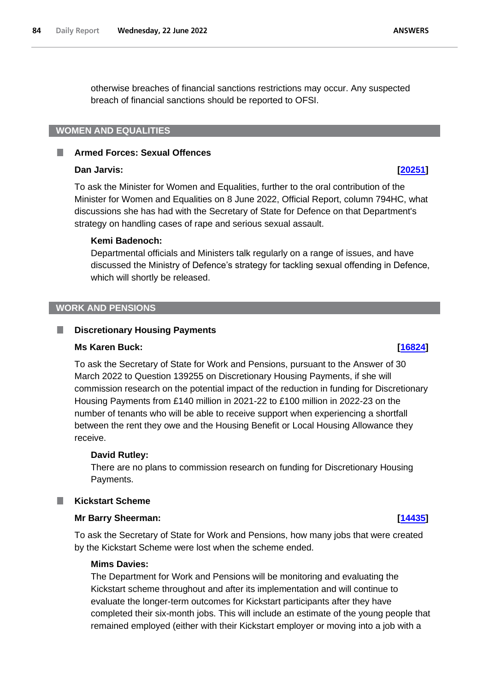otherwise breaches of financial sanctions restrictions may occur. Any suspected breach of financial sanctions should be reported to OFSI.

## **WOMEN AND EQUALITIES**

#### T. **Armed Forces: Sexual Offences**

### **Dan Jarvis: [\[20251\]](http://www.parliament.uk/business/publications/written-questions-answers-statements/written-question/Commons/2022-06-17/20251)**

To ask the Minister for Women and Equalities, further to the oral contribution of the Minister for Women and Equalities on 8 June 2022, Official Report, column 794HC, what discussions she has had with the Secretary of State for Defence on that Department's strategy on handling cases of rape and serious sexual assault.

#### **Kemi Badenoch:**

Departmental officials and Ministers talk regularly on a range of issues, and have discussed the Ministry of Defence's strategy for tackling sexual offending in Defence, which will shortly be released.

#### **WORK AND PENSIONS**

#### **Discretionary Housing Payments** L.

#### **Ms Karen Buck: [\[16824\]](http://www.parliament.uk/business/publications/written-questions-answers-statements/written-question/Commons/2022-06-13/16824)**

To ask the Secretary of State for Work and Pensions, pursuant to the Answer of 30 March 2022 to Question 139255 on Discretionary Housing Payments, if she will commission research on the potential impact of the reduction in funding for Discretionary Housing Payments from £140 million in 2021-22 to £100 million in 2022-23 on the number of tenants who will be able to receive support when experiencing a shortfall between the rent they owe and the Housing Benefit or Local Housing Allowance they receive.

#### **David Rutley:**

There are no plans to commission research on funding for Discretionary Housing Payments.

#### **Kickstart Scheme**

#### **Mr Barry Sheerman: [\[14435\]](http://www.parliament.uk/business/publications/written-questions-answers-statements/written-question/Commons/2022-06-08/14435)**

To ask the Secretary of State for Work and Pensions, how many jobs that were created by the Kickstart Scheme were lost when the scheme ended.

#### **Mims Davies:**

The Department for Work and Pensions will be monitoring and evaluating the Kickstart scheme throughout and after its implementation and will continue to evaluate the longer-term outcomes for Kickstart participants after they have completed their six-month jobs. This will include an estimate of the young people that remained employed (either with their Kickstart employer or moving into a job with a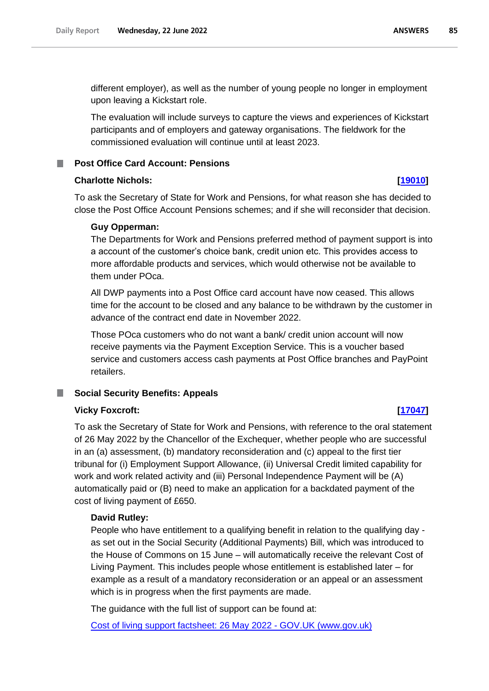different employer), as well as the number of young people no longer in employment upon leaving a Kickstart role.

The evaluation will include surveys to capture the views and experiences of Kickstart participants and of employers and gateway organisations. The fieldwork for the commissioned evaluation will continue until at least 2023.

### **Post Office Card Account: Pensions**

#### **Charlotte Nichols: [\[19010\]](http://www.parliament.uk/business/publications/written-questions-answers-statements/written-question/Commons/2022-06-15/19010)**

To ask the Secretary of State for Work and Pensions, for what reason she has decided to close the Post Office Account Pensions schemes; and if she will reconsider that decision.

#### **Guy Opperman:**

The Departments for Work and Pensions preferred method of payment support is into a account of the customer's choice bank, credit union etc. This provides access to more affordable products and services, which would otherwise not be available to them under POca.

All DWP payments into a Post Office card account have now ceased. This allows time for the account to be closed and any balance to be withdrawn by the customer in advance of the contract end date in November 2022.

Those POca customers who do not want a bank/ credit union account will now receive payments via the Payment Exception Service. This is a voucher based service and customers access cash payments at Post Office branches and PayPoint retailers.

## **Social Security Benefits: Appeals**

### **Vicky Foxcroft: [\[17047\]](http://www.parliament.uk/business/publications/written-questions-answers-statements/written-question/Commons/2022-06-13/17047)**

To ask the Secretary of State for Work and Pensions, with reference to the oral statement of 26 May 2022 by the Chancellor of the Exchequer, whether people who are successful in an (a) assessment, (b) mandatory reconsideration and (c) appeal to the first tier tribunal for (i) Employment Support Allowance, (ii) Universal Credit limited capability for work and work related activity and (iii) Personal Independence Payment will be (A) automatically paid or (B) need to make an application for a backdated payment of the cost of living payment of £650.

### **David Rutley:**

People who have entitlement to a qualifying benefit in relation to the qualifying day as set out in the Social Security (Additional Payments) Bill, which was introduced to the House of Commons on 15 June – will automatically receive the relevant Cost of Living Payment. This includes people whose entitlement is established later – for example as a result of a mandatory reconsideration or an appeal or an assessment which is in progress when the first payments are made.

The guidance with the full list of support can be found at:

[Cost of living support factsheet: 26 May 2022 -](https://www.gov.uk/government/publications/cost-of-living-support/cost-of-living-support-factsheet-26-may-2022) GOV.UK (www.gov.uk)

#### **ANSWERS** 85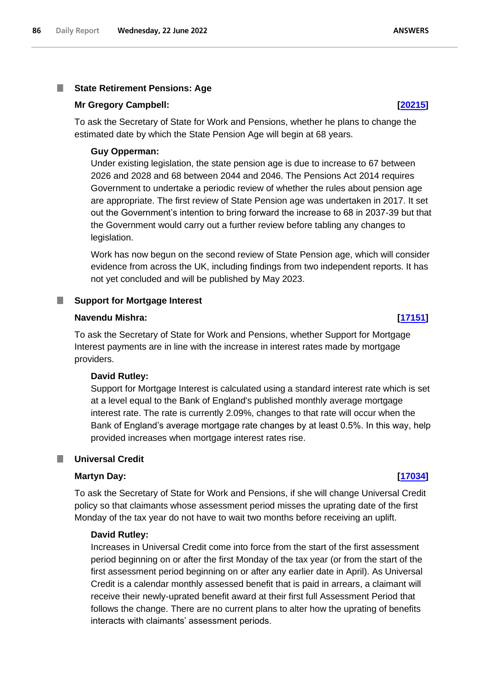#### T. **State Retirement Pensions: Age**

#### **Mr Gregory Campbell: [\[20215\]](http://www.parliament.uk/business/publications/written-questions-answers-statements/written-question/Commons/2022-06-17/20215)**

To ask the Secretary of State for Work and Pensions, whether he plans to change the estimated date by which the State Pension Age will begin at 68 years.

#### **Guy Opperman:**

Under existing legislation, the state pension age is due to increase to 67 between 2026 and 2028 and 68 between 2044 and 2046. The Pensions Act 2014 requires Government to undertake a periodic review of whether the rules about pension age are appropriate. The first review of State Pension age was undertaken in 2017. It set out the Government's intention to bring forward the increase to 68 in 2037-39 but that the Government would carry out a further review before tabling any changes to legislation.

Work has now begun on the second review of State Pension age, which will consider evidence from across the UK, including findings from two independent reports. It has not yet concluded and will be published by May 2023.

#### **Support for Mortgage Interest** ш

#### **Navendu Mishra: [\[17151\]](http://www.parliament.uk/business/publications/written-questions-answers-statements/written-question/Commons/2022-06-13/17151)**

To ask the Secretary of State for Work and Pensions, whether Support for Mortgage Interest payments are in line with the increase in interest rates made by mortgage providers.

#### **David Rutley:**

Support for Mortgage Interest is calculated using a standard interest rate which is set at a level equal to the Bank of England's published monthly average mortgage interest rate. The rate is currently 2.09%, changes to that rate will occur when the Bank of England's average mortgage rate changes by at least 0.5%. In this way, help provided increases when mortgage interest rates rise.

#### **Universal Credit**

#### **Martyn Day: [\[17034\]](http://www.parliament.uk/business/publications/written-questions-answers-statements/written-question/Commons/2022-06-13/17034)**

To ask the Secretary of State for Work and Pensions, if she will change Universal Credit policy so that claimants whose assessment period misses the uprating date of the first Monday of the tax year do not have to wait two months before receiving an uplift.

### **David Rutley:**

Increases in Universal Credit come into force from the start of the first assessment period beginning on or after the first Monday of the tax year (or from the start of the first assessment period beginning on or after any earlier date in April). As Universal Credit is a calendar monthly assessed benefit that is paid in arrears, a claimant will receive their newly-uprated benefit award at their first full Assessment Period that follows the change. There are no current plans to alter how the uprating of benefits interacts with claimants' assessment periods.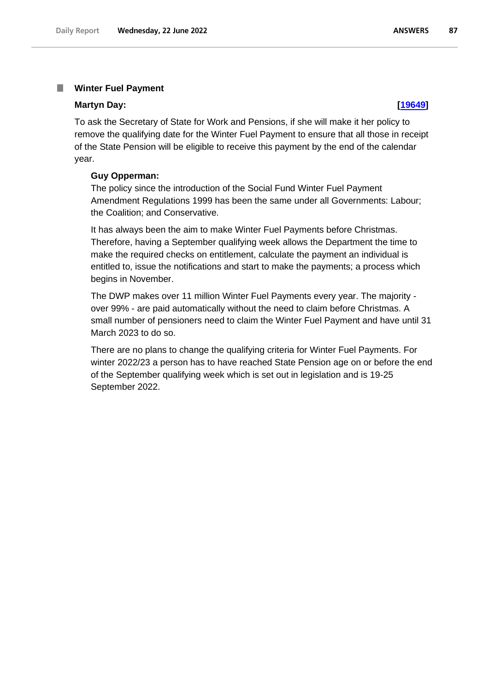#### T. **Winter Fuel Payment**

#### **Martyn Day: [\[19649\]](http://www.parliament.uk/business/publications/written-questions-answers-statements/written-question/Commons/2022-06-16/19649)**

To ask the Secretary of State for Work and Pensions, if she will make it her policy to remove the qualifying date for the Winter Fuel Payment to ensure that all those in receipt of the State Pension will be eligible to receive this payment by the end of the calendar year.

### **Guy Opperman:**

The policy since the introduction of the Social Fund Winter Fuel Payment Amendment Regulations 1999 has been the same under all Governments: Labour; the Coalition; and Conservative.

It has always been the aim to make Winter Fuel Payments before Christmas. Therefore, having a September qualifying week allows the Department the time to make the required checks on entitlement, calculate the payment an individual is entitled to, issue the notifications and start to make the payments; a process which begins in November.

The DWP makes over 11 million Winter Fuel Payments every year. The majority over 99% - are paid automatically without the need to claim before Christmas. A small number of pensioners need to claim the Winter Fuel Payment and have until 31 March 2023 to do so.

There are no plans to change the qualifying criteria for Winter Fuel Payments. For winter 2022/23 a person has to have reached State Pension age on or before the end of the September qualifying week which is set out in legislation and is 19-25 September 2022.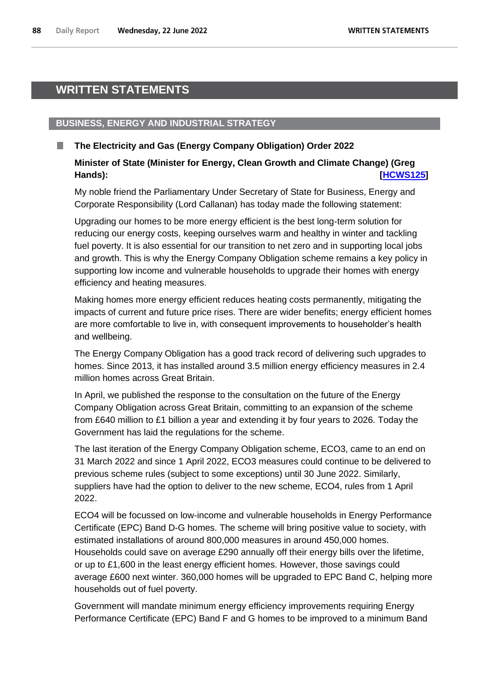## **WRITTEN STATEMENTS**

## **BUSINESS, ENERGY AND INDUSTRIAL STRATEGY**

## **The Electricity and Gas (Energy Company Obligation) Order 2022**

## **Minister of State (Minister for Energy, Clean Growth and Climate Change) (Greg Hands): [\[HCWS125\]](http://www.parliament.uk/business/publications/written-questions-answers-statements/written-statement/Commons/2022-06-22/HCWS125/)**

My noble friend the Parliamentary Under Secretary of State for Business, Energy and Corporate Responsibility (Lord Callanan) has today made the following statement:

Upgrading our homes to be more energy efficient is the best long-term solution for reducing our energy costs, keeping ourselves warm and healthy in winter and tackling fuel poverty. It is also essential for our transition to net zero and in supporting local jobs and growth. This is why the Energy Company Obligation scheme remains a key policy in supporting low income and vulnerable households to upgrade their homes with energy efficiency and heating measures.

Making homes more energy efficient reduces heating costs permanently, mitigating the impacts of current and future price rises. There are wider benefits; energy efficient homes are more comfortable to live in, with consequent improvements to householder's health and wellbeing.

The Energy Company Obligation has a good track record of delivering such upgrades to homes. Since 2013, it has installed around 3.5 million energy efficiency measures in 2.4 million homes across Great Britain.

In April, we published the response to the consultation on the future of the Energy Company Obligation across Great Britain, committing to an expansion of the scheme from £640 million to £1 billion a year and extending it by four years to 2026. Today the Government has laid the regulations for the scheme.

The last iteration of the Energy Company Obligation scheme, ECO3, came to an end on 31 March 2022 and since 1 April 2022, ECO3 measures could continue to be delivered to previous scheme rules (subject to some exceptions) until 30 June 2022. Similarly, suppliers have had the option to deliver to the new scheme, ECO4, rules from 1 April 2022.

ECO4 will be focussed on low-income and vulnerable households in Energy Performance Certificate (EPC) Band D-G homes. The scheme will bring positive value to society, with estimated installations of around 800,000 measures in around 450,000 homes. Households could save on average £290 annually off their energy bills over the lifetime, or up to £1,600 in the least energy efficient homes. However, those savings could average £600 next winter. 360,000 homes will be upgraded to EPC Band C, helping more households out of fuel poverty.

Government will mandate minimum energy efficiency improvements requiring Energy Performance Certificate (EPC) Band F and G homes to be improved to a minimum Band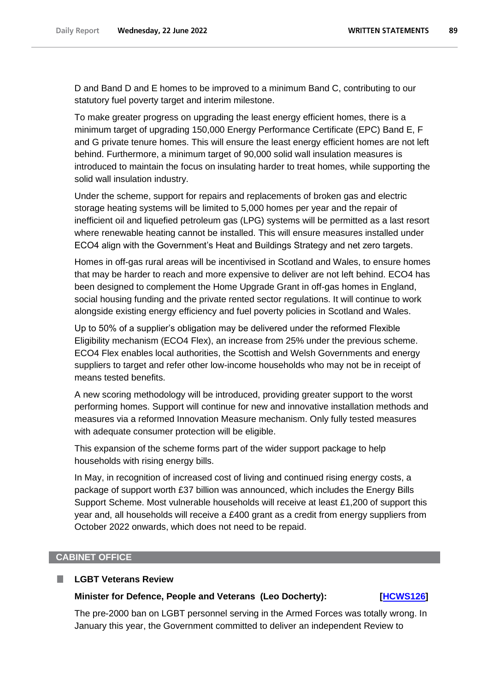D and Band D and E homes to be improved to a minimum Band C, contributing to our statutory fuel poverty target and interim milestone.

To make greater progress on upgrading the least energy efficient homes, there is a minimum target of upgrading 150,000 Energy Performance Certificate (EPC) Band E, F and G private tenure homes. This will ensure the least energy efficient homes are not left behind. Furthermore, a minimum target of 90,000 solid wall insulation measures is introduced to maintain the focus on insulating harder to treat homes, while supporting the solid wall insulation industry.

Under the scheme, support for repairs and replacements of broken gas and electric storage heating systems will be limited to 5,000 homes per year and the repair of inefficient oil and liquefied petroleum gas (LPG) systems will be permitted as a last resort where renewable heating cannot be installed. This will ensure measures installed under ECO4 align with the Government's Heat and Buildings Strategy and net zero targets.

Homes in off-gas rural areas will be incentivised in Scotland and Wales, to ensure homes that may be harder to reach and more expensive to deliver are not left behind. ECO4 has been designed to complement the Home Upgrade Grant in off-gas homes in England, social housing funding and the private rented sector regulations. It will continue to work alongside existing energy efficiency and fuel poverty policies in Scotland and Wales.

Up to 50% of a supplier's obligation may be delivered under the reformed Flexible Eligibility mechanism (ECO4 Flex), an increase from 25% under the previous scheme. ECO4 Flex enables local authorities, the Scottish and Welsh Governments and energy suppliers to target and refer other low-income households who may not be in receipt of means tested benefits.

A new scoring methodology will be introduced, providing greater support to the worst performing homes. Support will continue for new and innovative installation methods and measures via a reformed Innovation Measure mechanism. Only fully tested measures with adequate consumer protection will be eligible.

This expansion of the scheme forms part of the wider support package to help households with rising energy bills.

In May, in recognition of increased cost of living and continued rising energy costs, a package of support worth £37 billion was announced, which includes the Energy Bills Support Scheme. Most vulnerable households will receive at least  $£1,200$  of support this year and, all households will receive a £400 grant as a credit from energy suppliers from October 2022 onwards, which does not need to be repaid.

#### **CABINET OFFICE**

П

#### **LGBT Veterans Review**

#### **Minister for Defence, People and Veterans (Leo Docherty): [\[HCWS126\]](http://www.parliament.uk/business/publications/written-questions-answers-statements/written-statement/Commons/2022-06-22/HCWS126/)**

The pre-2000 ban on LGBT personnel serving in the Armed Forces was totally wrong. In January this year, the Government committed to deliver an independent Review to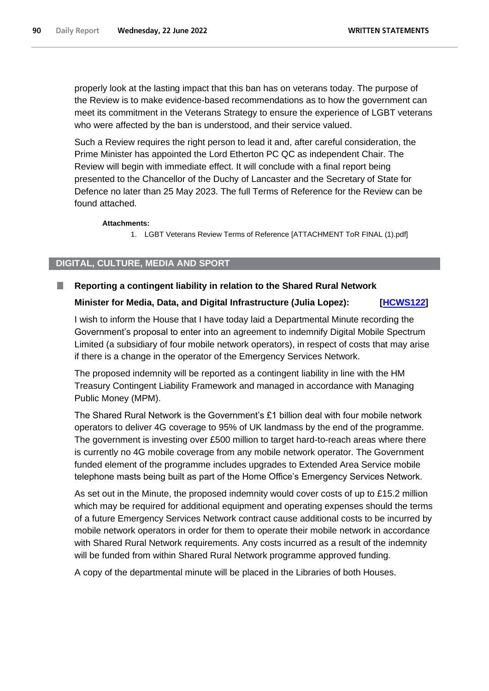properly look at the lasting impact that this ban has on veterans today. The purpose of the Review is to make evidence-based recommendations as to how the government can meet its commitment in the Veterans Strategy to ensure the experience of LGBT veterans who were affected by the ban is understood, and their service valued.

Such a Review requires the right person to lead it and, after careful consideration, the Prime Minister has appointed the Lord Etherton PC QC as independent Chair. The Review will begin with immediate effect. It will conclude with a final report being presented to the Chancellor of the Duchy of Lancaster and the Secretary of State for Defence no later than 25 May 2023. The full Terms of Reference for the Review can be found attached.

#### **Attachments:**

1. LGBT Veterans Review Terms of Reference [ATTACHMENT ToR FINAL (1).pdf]

### **DIGITAL, CULTURE, MEDIA AND SPORT**

#### ш **Reporting a contingent liability in relation to the Shared Rural Network**

### **Minister for Media, Data, and Digital Infrastructure (Julia Lopez): [\[HCWS122\]](http://www.parliament.uk/business/publications/written-questions-answers-statements/written-statement/Commons/2022-06-22/HCWS122/)**

I wish to inform the House that I have today laid a Departmental Minute recording the Government's proposal to enter into an agreement to indemnify Digital Mobile Spectrum Limited (a subsidiary of four mobile network operators), in respect of costs that may arise if there is a change in the operator of the Emergency Services Network.

The proposed indemnity will be reported as a contingent liability in line with the HM Treasury Contingent Liability Framework and managed in accordance with Managing Public Money (MPM).

The Shared Rural Network is the Government's £1 billion deal with four mobile network operators to deliver 4G coverage to 95% of UK landmass by the end of the programme. The government is investing over £500 million to target hard-to-reach areas where there is currently no 4G mobile coverage from any mobile network operator. The Government funded element of the programme includes upgrades to Extended Area Service mobile telephone masts being built as part of the Home Office's Emergency Services Network.

As set out in the Minute, the proposed indemnity would cover costs of up to £15.2 million which may be required for additional equipment and operating expenses should the terms of a future Emergency Services Network contract cause additional costs to be incurred by mobile network operators in order for them to operate their mobile network in accordance with Shared Rural Network requirements. Any costs incurred as a result of the indemnity will be funded from within Shared Rural Network programme approved funding.

A copy of the departmental minute will be placed in the Libraries of both Houses.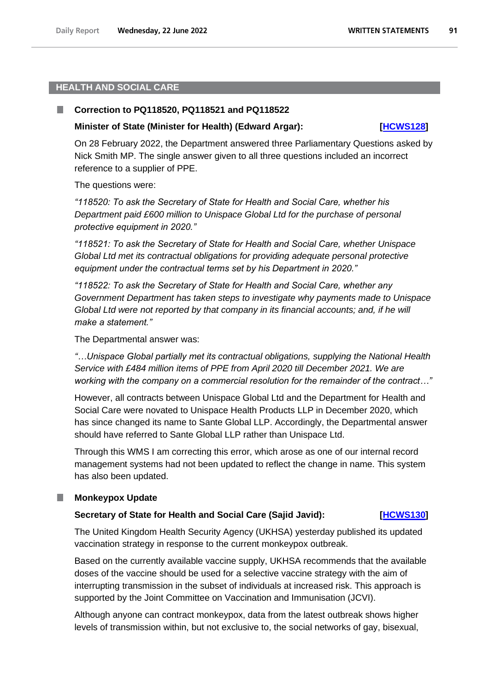### **HEALTH AND SOCIAL CARE**

#### П **Correction to PQ118520, PQ118521 and PQ118522**

#### **Minister of State (Minister for Health) (Edward Argar): [\[HCWS128\]](http://www.parliament.uk/business/publications/written-questions-answers-statements/written-statement/Commons/2022-06-22/HCWS128/)**

On 28 February 2022, the Department answered three Parliamentary Questions asked by Nick Smith MP. The single answer given to all three questions included an incorrect reference to a supplier of PPE.

The questions were:

*"118520: To ask the Secretary of State for Health and Social Care, whether his Department paid £600 million to Unispace Global Ltd for the purchase of personal protective equipment in 2020."* 

*"118521: To ask the Secretary of State for Health and Social Care, whether Unispace Global Ltd met its contractual obligations for providing adequate personal protective equipment under the contractual terms set by his Department in 2020."* 

*"118522: To ask the Secretary of State for Health and Social Care, whether any Government Department has taken steps to investigate why payments made to Unispace Global Ltd were not reported by that company in its financial accounts; and, if he will make a statement."* 

The Departmental answer was:

*"…Unispace Global partially met its contractual obligations, supplying the National Health Service with £484 million items of PPE from April 2020 till December 2021. We are working with the company on a commercial resolution for the remainder of the contract…"*

However, all contracts between Unispace Global Ltd and the Department for Health and Social Care were novated to Unispace Health Products LLP in December 2020, which has since changed its name to Sante Global LLP. Accordingly, the Departmental answer should have referred to Sante Global LLP rather than Unispace Ltd.

Through this WMS I am correcting this error, which arose as one of our internal record management systems had not been updated to reflect the change in name. This system has also been updated.

## **Monkeypox Update**

#### **Secretary of State for Health and Social Care (Sajid Javid): [HCWS130]**

The United Kingdom Health Security Agency (UKHSA) yesterday published its updated vaccination strategy in response to the current monkeypox outbreak.

Based on the currently available vaccine supply, UKHSA recommends that the available doses of the vaccine should be used for a selective vaccine strategy with the aim of interrupting transmission in the subset of individuals at increased risk. This approach is supported by the Joint Committee on Vaccination and Immunisation (JCVI).

Although anyone can contract monkeypox, data from the latest outbreak shows higher levels of transmission within, but not exclusive to, the social networks of gay, bisexual,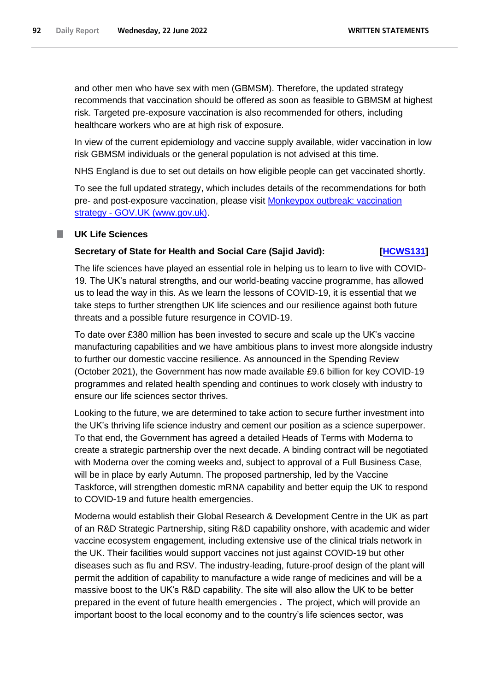and other men who have sex with men (GBMSM). Therefore, the updated strategy recommends that vaccination should be offered as soon as feasible to GBMSM at highest risk. Targeted pre-exposure vaccination is also recommended for others, including healthcare workers who are at high risk of exposure.

In view of the current epidemiology and vaccine supply available, wider vaccination in low risk GBMSM individuals or the general population is not advised at this time.

NHS England is due to set out details on how eligible people can get vaccinated shortly.

To see the full updated strategy, which includes details of the recommendations for both pre- and post-exposure vaccination, please visit [Monkeypox outbreak: vaccination](https://www.gov.uk/guidance/monkeypox-outbreak-vaccination-strategy)  strategy - [GOV.UK \(www.gov.uk\).](https://www.gov.uk/guidance/monkeypox-outbreak-vaccination-strategy)

### **UK Life Sciences**

### **Secretary of State for Health and Social Care (Sajid Javid): [\[HCWS131\]](http://www.parliament.uk/business/publications/written-questions-answers-statements/written-statement/Commons/2022-06-22/HCWS131/)**

The life sciences have played an essential role in helping us to learn to live with COVID-19. The UK's natural strengths, and our world-beating vaccine programme, has allowed us to lead the way in this. As we learn the lessons of COVID-19, it is essential that we take steps to further strengthen UK life sciences and our resilience against both future threats and a possible future resurgence in COVID-19.

To date over £380 million has been invested to secure and scale up the UK's vaccine manufacturing capabilities and we have ambitious plans to invest more alongside industry to further our domestic vaccine resilience. As announced in the Spending Review (October 2021), the Government has now made available £9.6 billion for key COVID-19 programmes and related health spending and continues to work closely with industry to ensure our life sciences sector thrives.

Looking to the future, we are determined to take action to secure further investment into the UK's thriving life science industry and cement our position as a science superpower. To that end, the Government has agreed a detailed Heads of Terms with Moderna to create a strategic partnership over the next decade. A binding contract will be negotiated with Moderna over the coming weeks and, subject to approval of a Full Business Case, will be in place by early Autumn. The proposed partnership, led by the Vaccine Taskforce, will strengthen domestic mRNA capability and better equip the UK to respond to COVID-19 and future health emergencies.

Moderna would establish their Global Research & Development Centre in the UK as part of an R&D Strategic Partnership, siting R&D capability onshore, with academic and wider vaccine ecosystem engagement, including extensive use of the clinical trials network in the UK. Their facilities would support vaccines not just against COVID-19 but other diseases such as flu and RSV. The industry-leading, future-proof design of the plant will permit the addition of capability to manufacture a wide range of medicines and will be a massive boost to the UK's R&D capability. The site will also allow the UK to be better prepared in the event of future health emergencies **.** The project, which will provide an important boost to the local economy and to the country's life sciences sector, was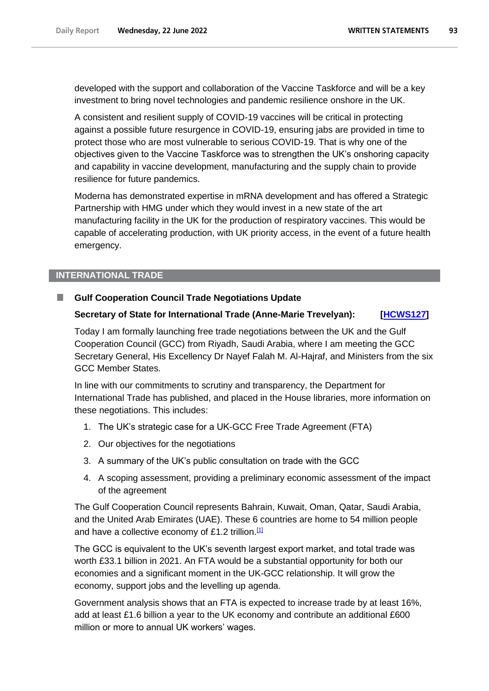developed with the support and collaboration of the Vaccine Taskforce and will be a key investment to bring novel technologies and pandemic resilience onshore in the UK.

A consistent and resilient supply of COVID-19 vaccines will be critical in protecting against a possible future resurgence in COVID-19, ensuring jabs are provided in time to protect those who are most vulnerable to serious COVID-19. That is why one of the objectives given to the Vaccine Taskforce was to strengthen the UK's onshoring capacity and capability in vaccine development, manufacturing and the supply chain to provide resilience for future pandemics.

Moderna has demonstrated expertise in mRNA development and has offered a Strategic Partnership with HMG under which they would invest in a new state of the art manufacturing facility in the UK for the production of respiratory vaccines. This would be capable of accelerating production, with UK priority access, in the event of a future health emergency.

## **INTERNATIONAL TRADE**

#### **Gulf Cooperation Council Trade Negotiations Update** .

## **Secretary of State for International Trade (Anne-Marie Trevelyan): [\[HCWS127\]](http://www.parliament.uk/business/publications/written-questions-answers-statements/written-statement/Commons/2022-06-22/HCWS127/)**

Today I am formally launching free trade negotiations between the UK and the Gulf Cooperation Council (GCC) from Riyadh, Saudi Arabia, where I am meeting the GCC Secretary General, His Excellency Dr Nayef Falah M. Al-Hajraf, and Ministers from the six GCC Member States.

In line with our commitments to scrutiny and transparency, the Department for International Trade has published, and placed in the House libraries, more information on these negotiations. This includes:

- 1. The UK's strategic case for a UK-GCC Free Trade Agreement (FTA)
- 2. Our objectives for the negotiations
- 3. A summary of the UK's public consultation on trade with the GCC
- 4. A scoping assessment, providing a preliminary economic assessment of the impact of the agreement

The Gulf Cooperation Council represents Bahrain, Kuwait, Oman, Qatar, Saudi Arabia, and the United Arab Emirates (UAE). These 6 countries are home to 54 million people and have a collective economy of £1.2 trillion.<sup>[1]</sup>

The GCC is equivalent to the UK's seventh largest export market, and total trade was worth £33.1 billion in 2021. An FTA would be a substantial opportunity for both our economies and a significant moment in the UK-GCC relationship. It will grow the economy, support jobs and the levelling up agenda.

Government analysis shows that an FTA is expected to increase trade by at least 16%, add at least £1.6 billion a year to the UK economy and contribute an additional £600 million or more to annual UK workers' wages.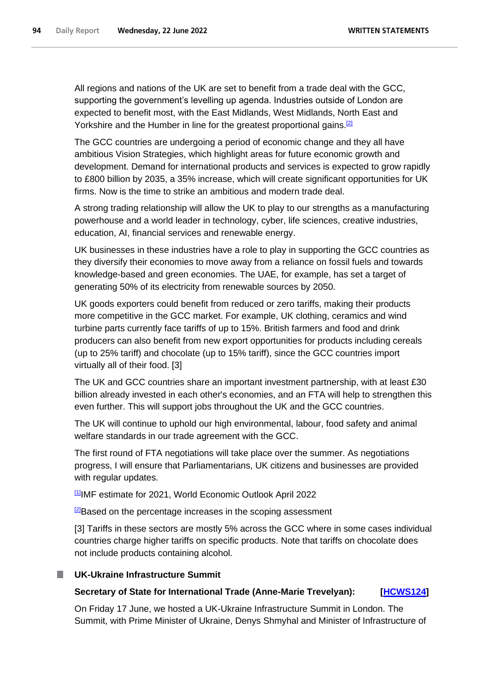All regions and nations of the UK are set to benefit from a trade deal with the GCC, supporting the government's levelling up agenda. Industries outside of London are expected to benefit most, with the East Midlands, West Midlands, North East and Yorkshire and the Humber in line for the greatest proportional gains.<sup>[2]</sup>

The GCC countries are undergoing a period of economic change and they all have ambitious Vision Strategies, which highlight areas for future economic growth and development. Demand for international products and services is expected to grow rapidly to £800 billion by 2035, a 35% increase, which will create significant opportunities for UK firms. Now is the time to strike an ambitious and modern trade deal.

A strong trading relationship will allow the UK to play to our strengths as a manufacturing powerhouse and a world leader in technology, cyber, life sciences, creative industries, education, AI, financial services and renewable energy.

UK businesses in these industries have a role to play in supporting the GCC countries as they diversify their economies to move away from a reliance on fossil fuels and towards knowledge-based and green economies. The UAE, for example, has set a target of generating 50% of its electricity from renewable sources by 2050.

UK goods exporters could benefit from reduced or zero tariffs, making their products more competitive in the GCC market. For example, UK clothing, ceramics and wind turbine parts currently face tariffs of up to 15%. British farmers and food and drink producers can also benefit from new export opportunities for products including cereals (up to 25% tariff) and chocolate (up to 15% tariff), since the GCC countries import virtually all of their food. [3]

The UK and GCC countries share an important investment partnership, with at least £30 billion already invested in each other's economies, and an FTA will help to strengthen this even further. This will support jobs throughout the UK and the GCC countries.

The UK will continue to uphold our high environmental, labour, food safety and animal welfare standards in our trade agreement with the GCC.

The first round of FTA negotiations will take place over the summer. As negotiations progress, I will ensure that Parliamentarians, UK citizens and businesses are provided with regular updates.

[1]IMF estimate for 2021, World Economic Outlook April 2022

**2**Based on the percentage increases in the scoping assessment

[3] Tariffs in these sectors are mostly 5% across the GCC where in some cases individual countries charge higher tariffs on specific products. Note that tariffs on chocolate does not include products containing alcohol.

## **UK-Ukraine Infrastructure Summit**

## **Secretary of State for International Trade (Anne-Marie Trevelyan): [\[HCWS124\]](http://www.parliament.uk/business/publications/written-questions-answers-statements/written-statement/Commons/2022-06-22/HCWS124/)**

On Friday 17 June, we hosted a UK-Ukraine Infrastructure Summit in London. The Summit, with Prime Minister of Ukraine, Denys Shmyhal and Minister of Infrastructure of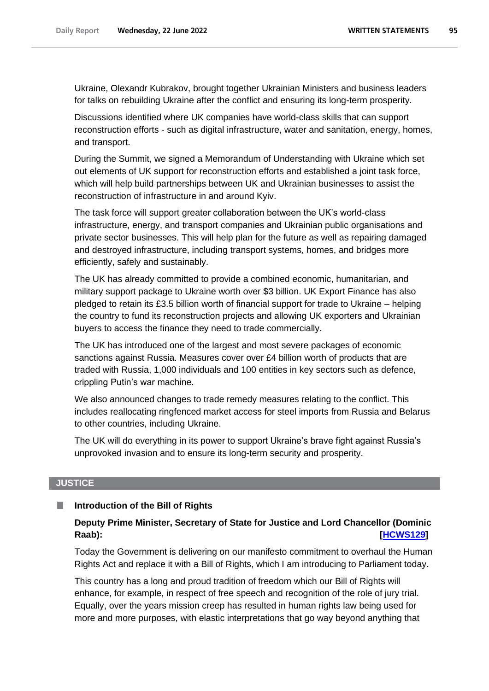Ukraine, Olexandr Kubrakov, brought together Ukrainian Ministers and business leaders for talks on rebuilding Ukraine after the conflict and ensuring its long-term prosperity.

Discussions identified where UK companies have world-class skills that can support reconstruction efforts - such as digital infrastructure, water and sanitation, energy, homes, and transport.

During the Summit, we signed a Memorandum of Understanding with Ukraine which set out elements of UK support for reconstruction efforts and established a joint task force, which will help build partnerships between UK and Ukrainian businesses to assist the reconstruction of infrastructure in and around Kyiv.

The task force will support greater collaboration between the UK's world-class infrastructure, energy, and transport companies and Ukrainian public organisations and private sector businesses. This will help plan for the future as well as repairing damaged and destroyed infrastructure, including transport systems, homes, and bridges more efficiently, safely and sustainably.

The UK has already committed to provide a combined economic, humanitarian, and military support package to Ukraine worth over \$3 billion. UK Export Finance has also pledged to retain its £3.5 billion worth of financial support for trade to Ukraine – helping the country to fund its reconstruction projects and allowing UK exporters and Ukrainian buyers to access the finance they need to trade commercially.

The UK has introduced one of the largest and most severe packages of economic sanctions against Russia. Measures cover over £4 billion worth of products that are traded with Russia, 1,000 individuals and 100 entities in key sectors such as defence, crippling Putin's war machine.

We also announced changes to trade remedy measures relating to the conflict. This includes reallocating ringfenced market access for steel imports from Russia and Belarus to other countries, including Ukraine.

The UK will do everything in its power to support Ukraine's brave fight against Russia's unprovoked invasion and to ensure its long-term security and prosperity.

#### **JUSTICE**

#### П **Introduction of the Bill of Rights**

## **Deputy Prime Minister, Secretary of State for Justice and Lord Chancellor (Dominic Raab): [\[HCWS129\]](http://www.parliament.uk/business/publications/written-questions-answers-statements/written-statement/Commons/2022-06-22/HCWS129/)**

Today the Government is delivering on our manifesto commitment to overhaul the Human Rights Act and replace it with a Bill of Rights, which I am introducing to Parliament today.

This country has a long and proud tradition of freedom which our Bill of Rights will enhance, for example, in respect of free speech and recognition of the role of jury trial. Equally, over the years mission creep has resulted in human rights law being used for more and more purposes, with elastic interpretations that go way beyond anything that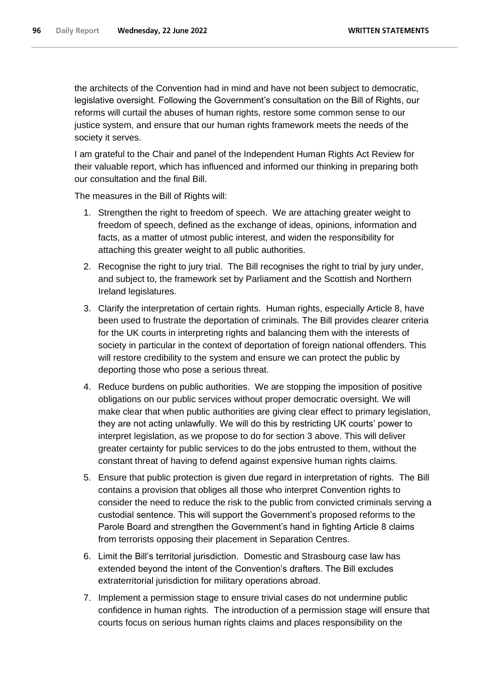the architects of the Convention had in mind and have not been subject to democratic, legislative oversight. Following the Government's consultation on the Bill of Rights, our reforms will curtail the abuses of human rights, restore some common sense to our justice system, and ensure that our human rights framework meets the needs of the society it serves.

I am grateful to the Chair and panel of the Independent Human Rights Act Review for their valuable report, which has influenced and informed our thinking in preparing both our consultation and the final Bill.

The measures in the Bill of Rights will:

- 1. Strengthen the right to freedom of speech. We are attaching greater weight to freedom of speech, defined as the exchange of ideas, opinions, information and facts, as a matter of utmost public interest, and widen the responsibility for attaching this greater weight to all public authorities.
- 2. Recognise the right to jury trial. The Bill recognises the right to trial by jury under, and subject to, the framework set by Parliament and the Scottish and Northern Ireland legislatures.
- 3. Clarify the interpretation of certain rights. Human rights, especially Article 8, have been used to frustrate the deportation of criminals. The Bill provides clearer criteria for the UK courts in interpreting rights and balancing them with the interests of society in particular in the context of deportation of foreign national offenders. This will restore credibility to the system and ensure we can protect the public by deporting those who pose a serious threat.
- 4. Reduce burdens on public authorities. We are stopping the imposition of positive obligations on our public services without proper democratic oversight. We will make clear that when public authorities are giving clear effect to primary legislation, they are not acting unlawfully. We will do this by restricting UK courts' power to interpret legislation, as we propose to do for section 3 above. This will deliver greater certainty for public services to do the jobs entrusted to them, without the constant threat of having to defend against expensive human rights claims.
- 5. Ensure that public protection is given due regard in interpretation of rights. The Bill contains a provision that obliges all those who interpret Convention rights to consider the need to reduce the risk to the public from convicted criminals serving a custodial sentence. This will support the Government's proposed reforms to the Parole Board and strengthen the Government's hand in fighting Article 8 claims from terrorists opposing their placement in Separation Centres.
- 6. Limit the Bill's territorial jurisdiction. Domestic and Strasbourg case law has extended beyond the intent of the Convention's drafters. The Bill excludes extraterritorial jurisdiction for military operations abroad.
- 7. Implement a permission stage to ensure trivial cases do not undermine public confidence in human rights. The introduction of a permission stage will ensure that courts focus on serious human rights claims and places responsibility on the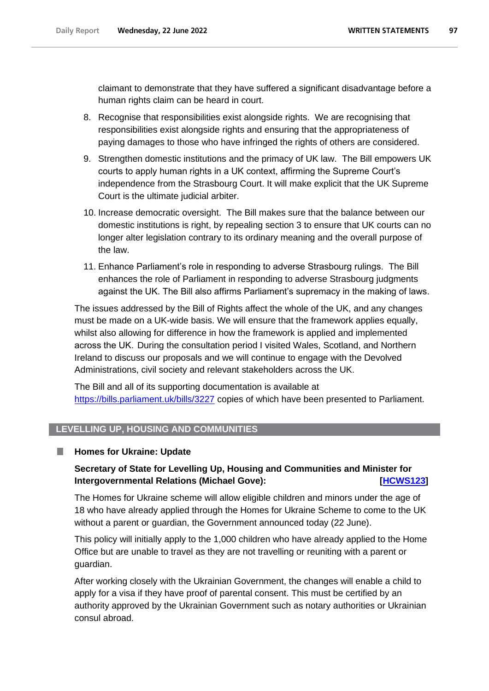claimant to demonstrate that they have suffered a significant disadvantage before a human rights claim can be heard in court.

- 8. Recognise that responsibilities exist alongside rights. We are recognising that responsibilities exist alongside rights and ensuring that the appropriateness of paying damages to those who have infringed the rights of others are considered.
- 9. Strengthen domestic institutions and the primacy of UK law. The Bill empowers UK courts to apply human rights in a UK context, affirming the Supreme Court's independence from the Strasbourg Court. It will make explicit that the UK Supreme Court is the ultimate judicial arbiter.
- 10. Increase democratic oversight. The Bill makes sure that the balance between our domestic institutions is right, by repealing section 3 to ensure that UK courts can no longer alter legislation contrary to its ordinary meaning and the overall purpose of the law.
- 11. Enhance Parliament's role in responding to adverse Strasbourg rulings. The Bill enhances the role of Parliament in responding to adverse Strasbourg judgments against the UK. The Bill also affirms Parliament's supremacy in the making of laws.

The issues addressed by the Bill of Rights affect the whole of the UK, and any changes must be made on a UK-wide basis. We will ensure that the framework applies equally, whilst also allowing for difference in how the framework is applied and implemented across the UK.  During the consultation period I visited Wales, Scotland, and Northern Ireland to discuss our proposals and we will continue to engage with the Devolved Administrations, civil society and relevant stakeholders across the UK.

The Bill and all of its supporting documentation is available at <https://bills.parliament.uk/bills/3227> copies of which have been presented to Parliament.

## **LEVELLING UP, HOUSING AND COMMUNITIES**

#### **Homes for Ukraine: Update** .

## **Secretary of State for Levelling Up, Housing and Communities and Minister for Intergovernmental Relations (Michael Gove):** *<b>IMCWS123* [HCWS123]</del>

The Homes for Ukraine scheme will allow eligible children and minors under the age of 18 who have already applied through the Homes for Ukraine Scheme to come to the UK without a parent or guardian, the Government announced today (22 June).

This policy will initially apply to the 1,000 children who have already applied to the Home Office but are unable to travel as they are not travelling or reuniting with a parent or guardian.

After working closely with the Ukrainian Government, the changes will enable a child to apply for a visa if they have proof of parental consent. This must be certified by an authority approved by the Ukrainian Government such as notary authorities or Ukrainian consul abroad.